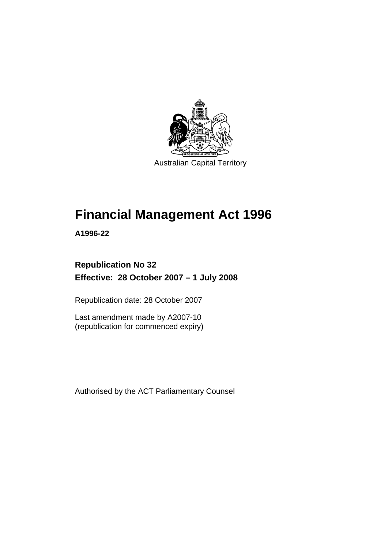

# **[Financial Management Act 1996](#page-10-0)**

**A1996-22** 

# **Republication No 32 Effective: 28 October 2007 – 1 July 2008**

Republication date: 28 October 2007

Last amendment made by A2007-10 (republication for commenced expiry)

Authorised by the ACT Parliamentary Counsel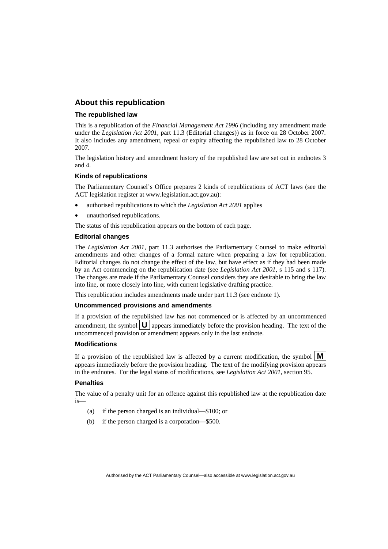#### **About this republication**

#### **The republished law**

This is a republication of the *Financial Management Act 1996* (including any amendment made under the *Legislation Act 2001*, part 11.3 (Editorial changes)) as in force on 28 October 2007*.*  It also includes any amendment, repeal or expiry affecting the republished law to 28 October 2007.

The legislation history and amendment history of the republished law are set out in endnotes 3 and 4.

#### **Kinds of republications**

The Parliamentary Counsel's Office prepares 2 kinds of republications of ACT laws (see the ACT legislation register at www.legislation.act.gov.au):

- authorised republications to which the *Legislation Act 2001* applies
- unauthorised republications.

The status of this republication appears on the bottom of each page.

#### **Editorial changes**

The *Legislation Act 2001*, part 11.3 authorises the Parliamentary Counsel to make editorial amendments and other changes of a formal nature when preparing a law for republication. Editorial changes do not change the effect of the law, but have effect as if they had been made by an Act commencing on the republication date (see *Legislation Act 2001*, s 115 and s 117). The changes are made if the Parliamentary Counsel considers they are desirable to bring the law into line, or more closely into line, with current legislative drafting practice.

This republication includes amendments made under part 11.3 (see endnote 1).

#### **Uncommenced provisions and amendments**

If a provision of the republished law has not commenced or is affected by an uncommenced amendment, the symbol  $\mathbf{U}$  appears immediately before the provision heading. The text of the uncommenced provision  $\overline{or}$  amendment appears only in the last endnote.

#### **Modifications**

If a provision of the republished law is affected by a current modification, the symbol  $\mathbf{M}$ appears immediately before the provision heading. The text of the modifying provision appears in the endnotes. For the legal status of modifications, see *Legislation Act 2001*, section 95.

#### **Penalties**

The value of a penalty unit for an offence against this republished law at the republication date is—

- (a) if the person charged is an individual—\$100; or
- (b) if the person charged is a corporation—\$500.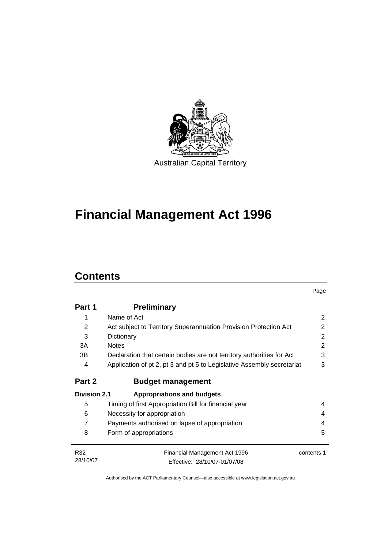

# **[Financial Management Act 1996](#page-10-0)**

# **Contents**

|                     |                                                                        | Page       |  |
|---------------------|------------------------------------------------------------------------|------------|--|
| Part 1              | <b>Preliminary</b>                                                     |            |  |
| 1                   | Name of Act                                                            | 2          |  |
| 2                   | Act subject to Territory Superannuation Provision Protection Act       | 2          |  |
| 3                   | Dictionary                                                             | 2          |  |
| 3A                  | <b>Notes</b>                                                           | 2          |  |
| 3B                  | Declaration that certain bodies are not territory authorities for Act  | 3          |  |
| 4                   | Application of pt 2, pt 3 and pt 5 to Legislative Assembly secretariat | 3          |  |
| Part 2              | <b>Budget management</b>                                               |            |  |
| <b>Division 2.1</b> | <b>Appropriations and budgets</b>                                      |            |  |
| 5                   | Timing of first Appropriation Bill for financial year                  | 4          |  |
| 6                   | Necessity for appropriation                                            | 4          |  |
| $\overline{7}$      | Payments authorised on lapse of appropriation                          |            |  |
| 8                   | Form of appropriations                                                 | 5          |  |
| R32                 | Financial Management Act 1996                                          | contents 1 |  |
| 28/10/07            | Effective: 28/10/07-01/07/08                                           |            |  |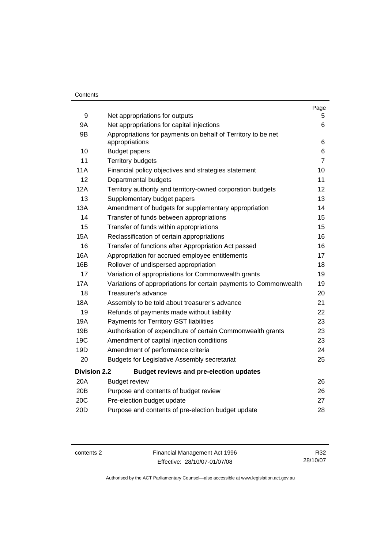#### **Contents**

|                     |                                                                                | Page           |
|---------------------|--------------------------------------------------------------------------------|----------------|
| 9                   | Net appropriations for outputs                                                 | 5.             |
| <b>9A</b>           | Net appropriations for capital injections                                      | 6              |
| 9B                  | Appropriations for payments on behalf of Territory to be net<br>appropriations | 6              |
| 10                  | <b>Budget papers</b>                                                           | 6              |
| 11                  | <b>Territory budgets</b>                                                       | $\overline{7}$ |
| 11A                 | Financial policy objectives and strategies statement                           | 10             |
| 12                  | Departmental budgets                                                           | 11             |
| 12A                 | Territory authority and territory-owned corporation budgets                    | 12             |
| 13                  | Supplementary budget papers                                                    | 13             |
| 13A                 | Amendment of budgets for supplementary appropriation                           | 14             |
| 14                  | Transfer of funds between appropriations                                       | 15             |
| 15                  | Transfer of funds within appropriations                                        | 15             |
| 15A                 | Reclassification of certain appropriations                                     | 16             |
| 16                  | Transfer of functions after Appropriation Act passed                           | 16             |
| 16A                 | Appropriation for accrued employee entitlements                                | 17             |
| 16B                 | Rollover of undispersed appropriation                                          | 18             |
| 17                  | Variation of appropriations for Commonwealth grants                            | 19             |
| <b>17A</b>          | Variations of appropriations for certain payments to Commonwealth              | 19             |
| 18                  | Treasurer's advance                                                            | 20             |
| <b>18A</b>          | Assembly to be told about treasurer's advance                                  | 21             |
| 19                  | Refunds of payments made without liability                                     | 22             |
| 19A                 | Payments for Territory GST liabilities                                         | 23             |
| 19B                 | Authorisation of expenditure of certain Commonwealth grants                    | 23             |
| 19C                 | Amendment of capital injection conditions                                      | 23             |
| 19D                 | Amendment of performance criteria                                              | 24             |
| 20                  | <b>Budgets for Legislative Assembly secretariat</b>                            | 25             |
| <b>Division 2.2</b> | <b>Budget reviews and pre-election updates</b>                                 |                |
| 20A                 | <b>Budget review</b>                                                           | 26             |
| 20B                 | Purpose and contents of budget review                                          | 26             |
| 20C                 | Pre-election budget update                                                     | 27             |
| 20D                 | Purpose and contents of pre-election budget update                             | 28             |

contents 2 Financial Management Act 1996 Effective: 28/10/07-01/07/08

R32 28/10/07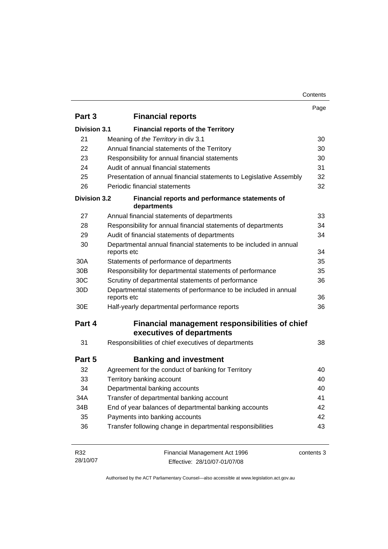| Contents |
|----------|
|----------|

|                     |                                                                                  | Page       |
|---------------------|----------------------------------------------------------------------------------|------------|
| Part 3              | <b>Financial reports</b>                                                         |            |
| <b>Division 3.1</b> | <b>Financial reports of the Territory</b>                                        |            |
| 21                  | Meaning of the Territory in div 3.1                                              | 30         |
| 22                  | Annual financial statements of the Territory                                     | 30         |
| 23                  | Responsibility for annual financial statements                                   | 30         |
| 24                  | Audit of annual financial statements                                             | 31         |
| 25                  | Presentation of annual financial statements to Legislative Assembly              | 32         |
| 26                  | Periodic financial statements                                                    | 32         |
| <b>Division 3.2</b> | Financial reports and performance statements of<br>departments                   |            |
| 27                  | Annual financial statements of departments                                       | 33         |
| 28                  | Responsibility for annual financial statements of departments                    | 34         |
| 29                  | Audit of financial statements of departments                                     | 34         |
| 30                  | Departmental annual financial statements to be included in annual<br>reports etc | 34         |
| 30A                 | Statements of performance of departments                                         | 35         |
| 30 <sub>B</sub>     | Responsibility for departmental statements of performance                        | 35         |
| 30 <sub>C</sub>     | Scrutiny of departmental statements of performance                               | 36         |
| 30 <sub>D</sub>     | Departmental statements of performance to be included in annual<br>reports etc   | 36         |
| 30E                 | Half-yearly departmental performance reports                                     | 36         |
| Part 4              | Financial management responsibilities of chief<br>executives of departments      |            |
| 31                  | Responsibilities of chief executives of departments                              | 38         |
| Part 5              | <b>Banking and investment</b>                                                    |            |
| 32                  | Agreement for the conduct of banking for Territory                               | 40         |
| 33                  | Territory banking account                                                        | 40         |
| 34                  | Departmental banking accounts                                                    | 40         |
| 34A                 | Transfer of departmental banking account                                         | 41         |
| 34B                 | End of year balances of departmental banking accounts                            | 42         |
| 35                  | Payments into banking accounts                                                   | 42         |
| 36                  | Transfer following change in departmental responsibilities                       | 43         |
| R32<br>28/10/07     | Financial Management Act 1996<br>Effective: 28/10/07-01/07/08                    | contents 3 |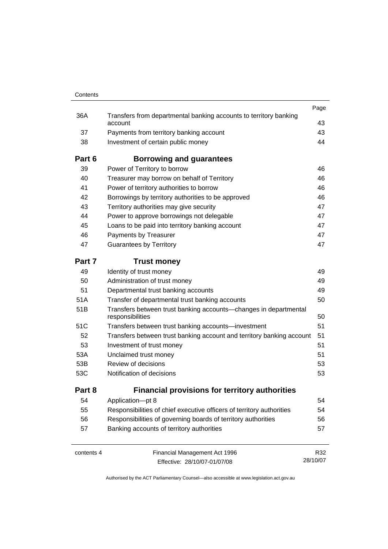| Contents   |                                                                                      |          |
|------------|--------------------------------------------------------------------------------------|----------|
|            |                                                                                      | Page     |
| 36A        | Transfers from departmental banking accounts to territory banking<br>account         | 43       |
| 37         | Payments from territory banking account                                              | 43       |
| 38         | Investment of certain public money                                                   | 44       |
| Part 6     | <b>Borrowing and guarantees</b>                                                      |          |
| 39         | Power of Territory to borrow                                                         | 46       |
| 40         | Treasurer may borrow on behalf of Territory                                          | 46       |
| 41         | Power of territory authorities to borrow                                             | 46       |
| 42         | Borrowings by territory authorities to be approved                                   | 46       |
| 43         | Territory authorities may give security                                              | 47       |
| 44         | Power to approve borrowings not delegable                                            | 47       |
| 45         | Loans to be paid into territory banking account                                      | 47       |
| 46         | Payments by Treasurer                                                                | 47       |
| 47         | <b>Guarantees by Territory</b>                                                       | 47       |
| Part 7     | <b>Trust money</b>                                                                   |          |
| 49         | Identity of trust money                                                              | 49       |
| 50         | Administration of trust money                                                        | 49       |
| 51         | Departmental trust banking accounts                                                  | 49       |
| 51A        | Transfer of departmental trust banking accounts                                      | 50       |
| 51B        | Transfers between trust banking accounts-changes in departmental<br>responsibilities | 50       |
| 51C        | Transfers between trust banking accounts-investment                                  | 51       |
| 52         | Transfers between trust banking account and territory banking account                | 51       |
| 53         | Investment of trust money                                                            | 51       |
| 53A        | Unclaimed trust money                                                                | 51       |
| 53B        | Review of decisions                                                                  | 53       |
| 53C        | Notification of decisions                                                            | 53       |
| Part 8     | <b>Financial provisions for territory authorities</b>                                |          |
| 54         | Application-pt 8                                                                     | 54       |
| 55         | Responsibilities of chief executive officers of territory authorities                | 54       |
| 56         | Responsibilities of governing boards of territory authorities                        | 56       |
| 57         | Banking accounts of territory authorities                                            | 57       |
| contents 4 | Financial Management Act 1996                                                        | R32      |
|            | Effective: 28/10/07-01/07/08                                                         | 28/10/07 |

Effective: 28/10/07-01/07/08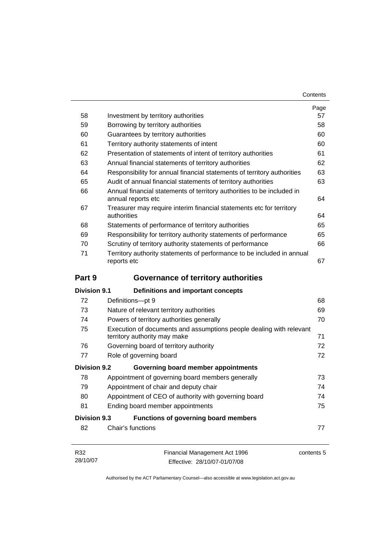| Contents |
|----------|
|----------|

|                     |                                                                                                     | Page       |
|---------------------|-----------------------------------------------------------------------------------------------------|------------|
| 58                  | Investment by territory authorities                                                                 | 57         |
| 59                  | Borrowing by territory authorities                                                                  | 58         |
| 60                  | Guarantees by territory authorities                                                                 | 60         |
| 61                  | Territory authority statements of intent                                                            | 60         |
| 62                  | Presentation of statements of intent of territory authorities                                       | 61         |
| 63                  | Annual financial statements of territory authorities                                                | 62         |
| 64                  | Responsibility for annual financial statements of territory authorities                             | 63         |
| 65                  | Audit of annual financial statements of territory authorities                                       | 63         |
| 66                  | Annual financial statements of territory authorities to be included in<br>annual reports etc        | 64         |
| 67                  | Treasurer may require interim financial statements etc for territory<br>authorities                 | 64         |
| 68                  | Statements of performance of territory authorities                                                  | 65         |
| 69                  | Responsibility for territory authority statements of performance                                    | 65         |
| 70                  | Scrutiny of territory authority statements of performance                                           | 66         |
| 71                  | Territory authority statements of performance to be included in annual<br>reports etc               | 67         |
| Part 9              | Governance of territory authorities                                                                 |            |
| <b>Division 9.1</b> | Definitions and important concepts                                                                  |            |
| 72                  | Definitions-pt 9                                                                                    | 68         |
| 73                  | Nature of relevant territory authorities                                                            | 69         |
| 74                  | Powers of territory authorities generally                                                           | 70         |
| 75                  | Execution of documents and assumptions people dealing with relevant<br>territory authority may make | 71         |
| 76                  | Governing board of territory authority                                                              | 72         |
| 77                  | Role of governing board                                                                             | 72         |
| <b>Division 9.2</b> | Governing board member appointments                                                                 |            |
| 78                  | Appointment of governing board members generally                                                    | 73         |
| 79                  | Appointment of chair and deputy chair                                                               | 74         |
| 80                  | Appointment of CEO of authority with governing board                                                | 74         |
| 81                  | Ending board member appointments                                                                    | 75         |
| <b>Division 9.3</b> | Functions of governing board members                                                                |            |
| 82                  | Chair's functions                                                                                   | 77         |
| R32                 | Financial Management Act 1996                                                                       | contents 5 |
| 28/10/07            | Effective: 28/10/07-01/07/08                                                                        |            |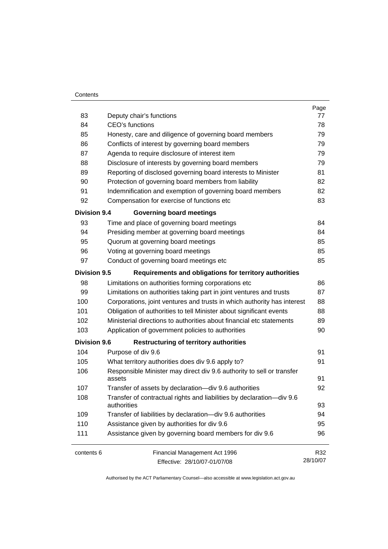#### **Contents**

| 83                  | Deputy chair's functions                                                             | Page<br>77 |
|---------------------|--------------------------------------------------------------------------------------|------------|
| 84                  | CEO's functions                                                                      | 78         |
| 85                  | Honesty, care and diligence of governing board members                               | 79         |
| 86                  | Conflicts of interest by governing board members                                     | 79         |
| 87                  | Agenda to require disclosure of interest item                                        | 79         |
| 88                  | Disclosure of interests by governing board members                                   | 79         |
| 89                  | Reporting of disclosed governing board interests to Minister                         | 81         |
| 90                  | Protection of governing board members from liability                                 | 82         |
| 91                  | Indemnification and exemption of governing board members                             | 82         |
| 92                  | Compensation for exercise of functions etc                                           | 83         |
| <b>Division 9.4</b> | <b>Governing board meetings</b>                                                      |            |
| 93                  | Time and place of governing board meetings                                           | 84         |
| 94                  | Presiding member at governing board meetings                                         | 84         |
| 95                  | Quorum at governing board meetings                                                   | 85         |
| 96                  | Voting at governing board meetings                                                   | 85         |
| 97                  | Conduct of governing board meetings etc                                              | 85         |
| <b>Division 9.5</b> | Requirements and obligations for territory authorities                               |            |
| 98                  | Limitations on authorities forming corporations etc                                  | 86         |
| 99                  | Limitations on authorities taking part in joint ventures and trusts                  | 87         |
| 100                 | Corporations, joint ventures and trusts in which authority has interest              | 88         |
| 101                 | Obligation of authorities to tell Minister about significant events                  | 88         |
| 102                 | Ministerial directions to authorities about financial etc statements                 | 89         |
| 103                 | Application of government policies to authorities                                    | 90         |
| <b>Division 9.6</b> | <b>Restructuring of territory authorities</b>                                        |            |
| 104                 | Purpose of div 9.6                                                                   | 91         |
| 105                 | What territory authorities does div 9.6 apply to?                                    | 91         |
| 106                 | Responsible Minister may direct div 9.6 authority to sell or transfer<br>assets      | 91         |
| 107                 | Transfer of assets by declaration-div 9.6 authorities                                | 92         |
| 108                 | Transfer of contractual rights and liabilities by declaration-div 9.6<br>authorities | 93         |
| 109                 | Transfer of liabilities by declaration-div 9.6 authorities                           | 94         |
| 110                 | Assistance given by authorities for div 9.6                                          | 95         |
| 111                 | Assistance given by governing board members for div 9.6                              | 96         |
| contents 6          | Financial Management Act 1996                                                        | R32        |
|                     | Effective: 28/10/07-01/07/08                                                         | 28/10/07   |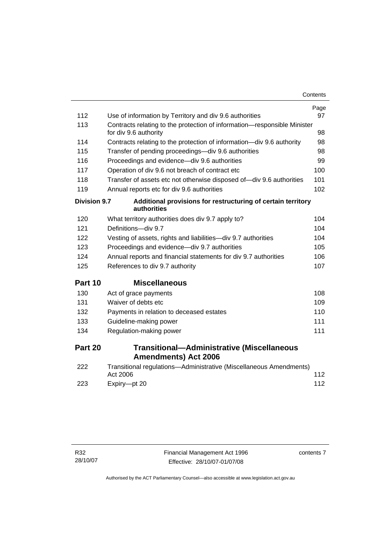| 112                 | Use of information by Territory and div 9.6 authorities                          | Page<br>97 |
|---------------------|----------------------------------------------------------------------------------|------------|
| 113                 | Contracts relating to the protection of information-responsible Minister         |            |
|                     | for div 9.6 authority                                                            | 98         |
| 114                 | Contracts relating to the protection of information—div 9.6 authority            | 98         |
| 115                 | Transfer of pending proceedings—div 9.6 authorities                              | 98         |
| 116                 | Proceedings and evidence-div 9.6 authorities                                     | 99         |
| 117                 | Operation of div 9.6 not breach of contract etc                                  | 100        |
| 118                 | Transfer of assets etc not otherwise disposed of-div 9.6 authorities             | 101        |
| 119                 | Annual reports etc for div 9.6 authorities                                       | 102        |
| <b>Division 9.7</b> | Additional provisions for restructuring of certain territory<br>authorities      |            |
| 120                 | What territory authorities does div 9.7 apply to?                                | 104        |
| 121                 | Definitions-div 9.7                                                              | 104        |
| 122                 | Vesting of assets, rights and liabilities-div 9.7 authorities                    | 104        |
| 123                 | Proceedings and evidence-div 9.7 authorities                                     | 105        |
| 124                 | Annual reports and financial statements for div 9.7 authorities                  | 106        |
| 125                 | References to div 9.7 authority                                                  | 107        |
| Part 10             | <b>Miscellaneous</b>                                                             |            |
| 130                 | Act of grace payments                                                            | 108        |
| 131                 | Waiver of debts etc                                                              | 109        |
| 132                 | Payments in relation to deceased estates                                         | 110        |
| 133                 | Guideline-making power                                                           | 111        |
| 134                 | Regulation-making power                                                          | 111        |
| Part 20             | <b>Transitional-Administrative (Miscellaneous</b><br><b>Amendments) Act 2006</b> |            |
| 222                 | Transitional regulations-Administrative (Miscellaneous Amendments)<br>Act 2006   | 112        |
| 223                 | Expiry-pt 20                                                                     | 112        |

contents 7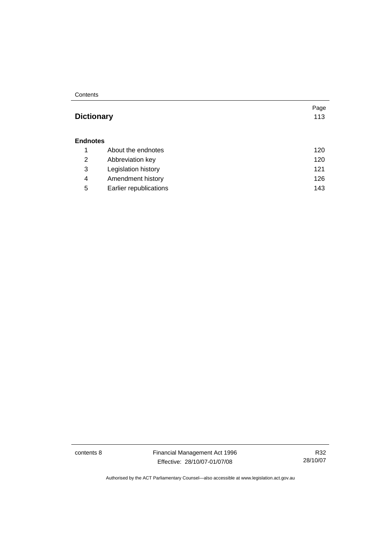**Contents** 

## Page **Dictionary** [113](#page-122-0) **Endnotes** 1 About the endnotes [120](#page-129-0) 2 Abbreviation key [120](#page-129-0) 3 Legislation history [121](#page-130-0) 4 Amendment history [126](#page-135-0) 5 Earlier republications [143](#page-152-0)

contents 8 Financial Management Act 1996 Effective: 28/10/07-01/07/08

R32 28/10/07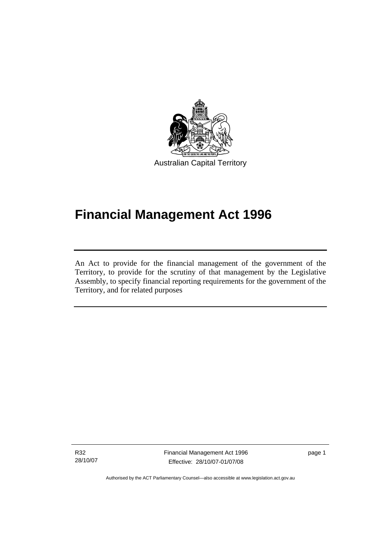<span id="page-10-0"></span>

# **Financial Management Act 1996**

An Act to provide for the financial management of the government of the Territory, to provide for the scrutiny of that management by the Legislative Assembly, to specify financial reporting requirements for the government of the Territory, and for related purposes

R32 28/10/07

l

Financial Management Act 1996 Effective: 28/10/07-01/07/08

page 1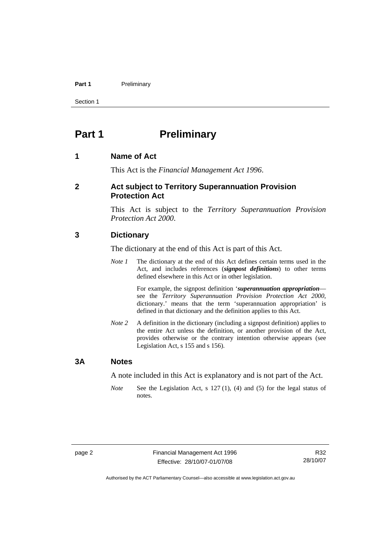#### <span id="page-11-0"></span>Part 1 **Preliminary**

Section 1

# **Part 1** Preliminary

#### **1 Name of Act**

This Act is the *Financial Management Act 1996*.

#### **2 Act subject to Territory Superannuation Provision Protection Act**

This Act is subject to the *Territory Superannuation Provision Protection Act 2000*.

#### **3 Dictionary**

The dictionary at the end of this Act is part of this Act.

*Note 1* The dictionary at the end of this Act defines certain terms used in the Act, and includes references (*signpost definitions*) to other terms defined elsewhere in this Act or in other legislation.

> For example, the signpost definition '*superannuation appropriation* see the *Territory Superannuation Provision Protection Act 2000*, dictionary.' means that the term 'superannuation appropriation' is defined in that dictionary and the definition applies to this Act.

*Note 2* A definition in the dictionary (including a signpost definition) applies to the entire Act unless the definition, or another provision of the Act, provides otherwise or the contrary intention otherwise appears (see Legislation Act, s 155 and s 156).

#### **3A Notes**

A note included in this Act is explanatory and is not part of the Act.

*Note* See the Legislation Act, s 127 (1), (4) and (5) for the legal status of notes.

R32 28/10/07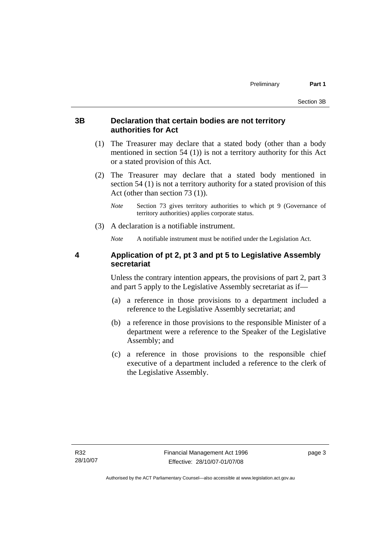#### <span id="page-12-0"></span>**3B Declaration that certain bodies are not territory authorities for Act**

- (1) The Treasurer may declare that a stated body (other than a body mentioned in section 54 (1)) is not a territory authority for this Act or a stated provision of this Act.
- (2) The Treasurer may declare that a stated body mentioned in section 54 (1) is not a territory authority for a stated provision of this Act (other than section 73 (1)).
	- *Note* Section 73 gives territory authorities to which pt 9 (Governance of territory authorities) applies corporate status.
- (3) A declaration is a notifiable instrument.

*Note* A notifiable instrument must be notified under the Legislation Act.

#### **4 Application of pt 2, pt 3 and pt 5 to Legislative Assembly secretariat**

Unless the contrary intention appears, the provisions of part 2, part 3 and part 5 apply to the Legislative Assembly secretariat as if—

- (a) a reference in those provisions to a department included a reference to the Legislative Assembly secretariat; and
- (b) a reference in those provisions to the responsible Minister of a department were a reference to the Speaker of the Legislative Assembly; and
- (c) a reference in those provisions to the responsible chief executive of a department included a reference to the clerk of the Legislative Assembly.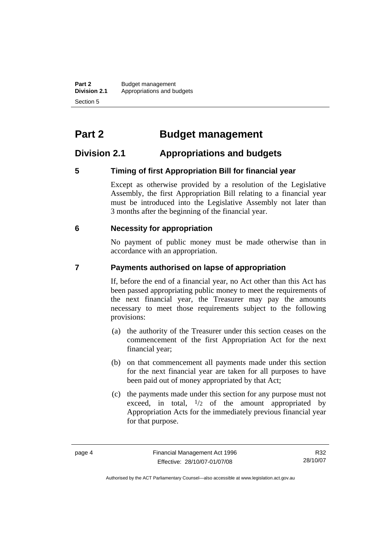<span id="page-13-0"></span>**Part 2 Budget management**<br>**Division 2.1 Appropriations and be Division 2.1** Appropriations and budgets Section 5

# **Part 2 Budget management**

### **Division 2.1 Appropriations and budgets**

#### **5 Timing of first Appropriation Bill for financial year**

Except as otherwise provided by a resolution of the Legislative Assembly, the first Appropriation Bill relating to a financial year must be introduced into the Legislative Assembly not later than 3 months after the beginning of the financial year.

#### **6 Necessity for appropriation**

No payment of public money must be made otherwise than in accordance with an appropriation.

#### **7 Payments authorised on lapse of appropriation**

If, before the end of a financial year, no Act other than this Act has been passed appropriating public money to meet the requirements of the next financial year, the Treasurer may pay the amounts necessary to meet those requirements subject to the following provisions:

- (a) the authority of the Treasurer under this section ceases on the commencement of the first Appropriation Act for the next financial year;
- (b) on that commencement all payments made under this section for the next financial year are taken for all purposes to have been paid out of money appropriated by that Act;
- (c) the payments made under this section for any purpose must not exceed, in total,  $\frac{1}{2}$  of the amount appropriated by Appropriation Acts for the immediately previous financial year for that purpose.

R32 28/10/07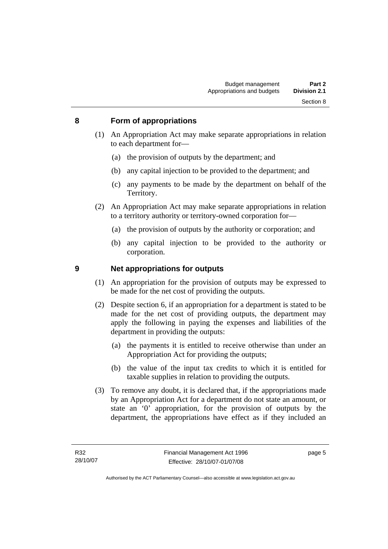#### <span id="page-14-0"></span>**8 Form of appropriations**

- (1) An Appropriation Act may make separate appropriations in relation to each department for—
	- (a) the provision of outputs by the department; and
	- (b) any capital injection to be provided to the department; and
	- (c) any payments to be made by the department on behalf of the Territory.
- (2) An Appropriation Act may make separate appropriations in relation to a territory authority or territory-owned corporation for—
	- (a) the provision of outputs by the authority or corporation; and
	- (b) any capital injection to be provided to the authority or corporation.

#### **9 Net appropriations for outputs**

- (1) An appropriation for the provision of outputs may be expressed to be made for the net cost of providing the outputs.
- (2) Despite section 6, if an appropriation for a department is stated to be made for the net cost of providing outputs, the department may apply the following in paying the expenses and liabilities of the department in providing the outputs:
	- (a) the payments it is entitled to receive otherwise than under an Appropriation Act for providing the outputs;
	- (b) the value of the input tax credits to which it is entitled for taxable supplies in relation to providing the outputs.
- (3) To remove any doubt, it is declared that, if the appropriations made by an Appropriation Act for a department do not state an amount, or state an '0' appropriation, for the provision of outputs by the department, the appropriations have effect as if they included an

page 5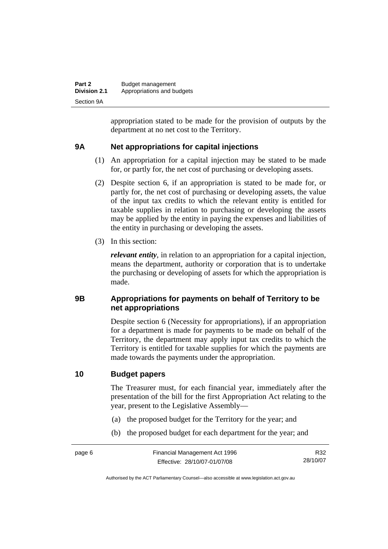<span id="page-15-0"></span>

| Part 2              | Budget management          |
|---------------------|----------------------------|
| <b>Division 2.1</b> | Appropriations and budgets |
| Section 9A          |                            |

appropriation stated to be made for the provision of outputs by the department at no net cost to the Territory.

#### **9A Net appropriations for capital injections**

- (1) An appropriation for a capital injection may be stated to be made for, or partly for, the net cost of purchasing or developing assets.
- (2) Despite section 6, if an appropriation is stated to be made for, or partly for, the net cost of purchasing or developing assets, the value of the input tax credits to which the relevant entity is entitled for taxable supplies in relation to purchasing or developing the assets may be applied by the entity in paying the expenses and liabilities of the entity in purchasing or developing the assets.
- (3) In this section:

*relevant entity*, in relation to an appropriation for a capital injection, means the department, authority or corporation that is to undertake the purchasing or developing of assets for which the appropriation is made.

#### **9B Appropriations for payments on behalf of Territory to be net appropriations**

Despite section 6 (Necessity for appropriations), if an appropriation for a department is made for payments to be made on behalf of the Territory, the department may apply input tax credits to which the Territory is entitled for taxable supplies for which the payments are made towards the payments under the appropriation.

#### **10 Budget papers**

The Treasurer must, for each financial year, immediately after the presentation of the bill for the first Appropriation Act relating to the year, present to the Legislative Assembly—

- (a) the proposed budget for the Territory for the year; and
- (b) the proposed budget for each department for the year; and

R32 28/10/07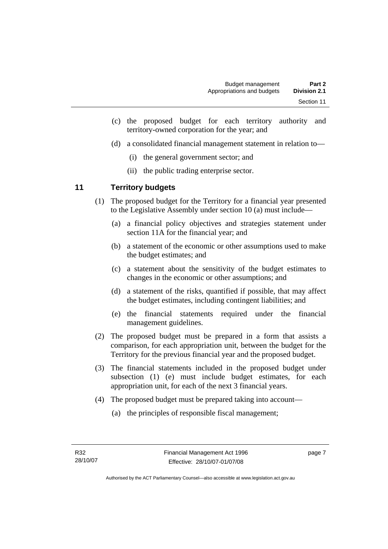- <span id="page-16-0"></span> (c) the proposed budget for each territory authority and territory-owned corporation for the year; and
- (d) a consolidated financial management statement in relation to—
	- (i) the general government sector; and
	- (ii) the public trading enterprise sector.

#### **11 Territory budgets**

- (1) The proposed budget for the Territory for a financial year presented to the Legislative Assembly under section 10 (a) must include—
	- (a) a financial policy objectives and strategies statement under section 11A for the financial year; and
	- (b) a statement of the economic or other assumptions used to make the budget estimates; and
	- (c) a statement about the sensitivity of the budget estimates to changes in the economic or other assumptions; and
	- (d) a statement of the risks, quantified if possible, that may affect the budget estimates, including contingent liabilities; and
	- (e) the financial statements required under the financial management guidelines.
- (2) The proposed budget must be prepared in a form that assists a comparison, for each appropriation unit, between the budget for the Territory for the previous financial year and the proposed budget.
- (3) The financial statements included in the proposed budget under subsection (1) (e) must include budget estimates, for each appropriation unit, for each of the next 3 financial years.
- (4) The proposed budget must be prepared taking into account—
	- (a) the principles of responsible fiscal management;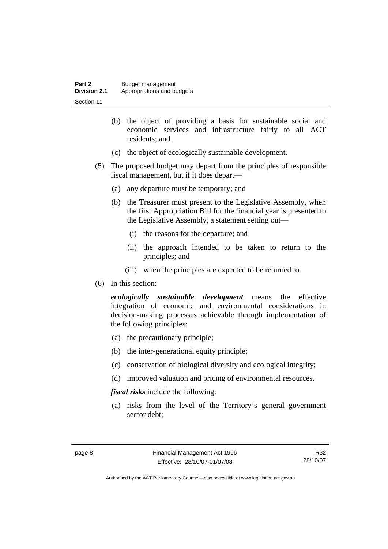| Part 2              | Budget management          |
|---------------------|----------------------------|
| <b>Division 2.1</b> | Appropriations and budgets |
| Section 11          |                            |

- (b) the object of providing a basis for sustainable social and economic services and infrastructure fairly to all ACT residents; and
- (c) the object of ecologically sustainable development.
- (5) The proposed budget may depart from the principles of responsible fiscal management, but if it does depart—
	- (a) any departure must be temporary; and
	- (b) the Treasurer must present to the Legislative Assembly, when the first Appropriation Bill for the financial year is presented to the Legislative Assembly, a statement setting out—
		- (i) the reasons for the departure; and
		- (ii) the approach intended to be taken to return to the principles; and
		- (iii) when the principles are expected to be returned to.
- (6) In this section:

*ecologically sustainable development* means the effective integration of economic and environmental considerations in decision-making processes achievable through implementation of the following principles:

- (a) the precautionary principle;
- (b) the inter-generational equity principle;
- (c) conservation of biological diversity and ecological integrity;
- (d) improved valuation and pricing of environmental resources.

*fiscal risks* include the following:

 (a) risks from the level of the Territory's general government sector debt;

R32 28/10/07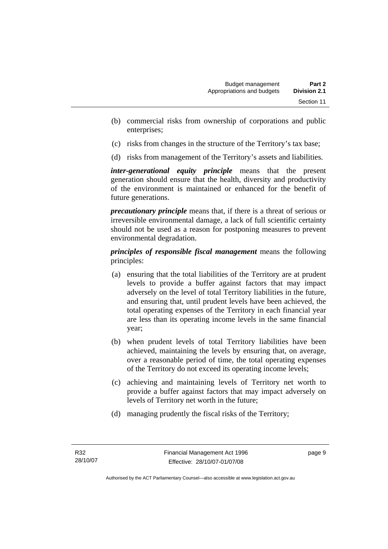- (b) commercial risks from ownership of corporations and public enterprises;
- (c) risks from changes in the structure of the Territory's tax base;
- (d) risks from management of the Territory's assets and liabilities.

*inter-generational equity principle* means that the present generation should ensure that the health, diversity and productivity of the environment is maintained or enhanced for the benefit of future generations.

*precautionary principle* means that, if there is a threat of serious or irreversible environmental damage, a lack of full scientific certainty should not be used as a reason for postponing measures to prevent environmental degradation.

*principles of responsible fiscal management* means the following principles:

- (a) ensuring that the total liabilities of the Territory are at prudent levels to provide a buffer against factors that may impact adversely on the level of total Territory liabilities in the future, and ensuring that, until prudent levels have been achieved, the total operating expenses of the Territory in each financial year are less than its operating income levels in the same financial year;
- (b) when prudent levels of total Territory liabilities have been achieved, maintaining the levels by ensuring that, on average, over a reasonable period of time, the total operating expenses of the Territory do not exceed its operating income levels;
- (c) achieving and maintaining levels of Territory net worth to provide a buffer against factors that may impact adversely on levels of Territory net worth in the future;
- (d) managing prudently the fiscal risks of the Territory;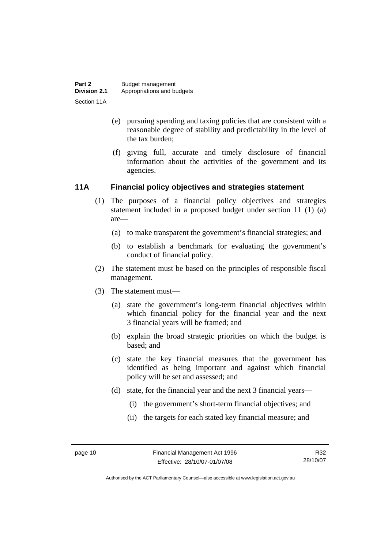- <span id="page-19-0"></span> (e) pursuing spending and taxing policies that are consistent with a reasonable degree of stability and predictability in the level of the tax burden;
- (f) giving full, accurate and timely disclosure of financial information about the activities of the government and its agencies.

#### **11A Financial policy objectives and strategies statement**

- (1) The purposes of a financial policy objectives and strategies statement included in a proposed budget under section 11 (1) (a) are—
	- (a) to make transparent the government's financial strategies; and
	- (b) to establish a benchmark for evaluating the government's conduct of financial policy.
- (2) The statement must be based on the principles of responsible fiscal management.
- (3) The statement must—
	- (a) state the government's long-term financial objectives within which financial policy for the financial year and the next 3 financial years will be framed; and
	- (b) explain the broad strategic priorities on which the budget is based; and
	- (c) state the key financial measures that the government has identified as being important and against which financial policy will be set and assessed; and
	- (d) state, for the financial year and the next 3 financial years—
		- (i) the government's short-term financial objectives; and
		- (ii) the targets for each stated key financial measure; and

R32 28/10/07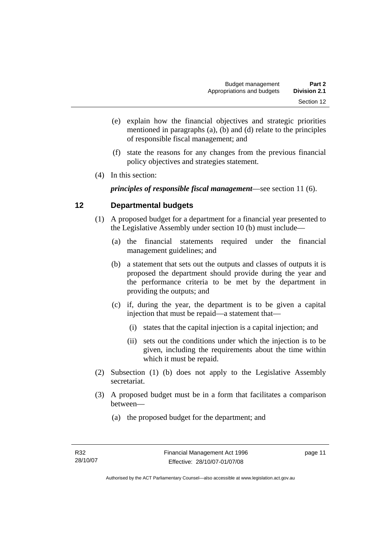- <span id="page-20-0"></span> (e) explain how the financial objectives and strategic priorities mentioned in paragraphs (a), (b) and (d) relate to the principles of responsible fiscal management; and
- (f) state the reasons for any changes from the previous financial policy objectives and strategies statement.
- (4) In this section:

*principles of responsible fiscal management*—see section 11 (6).

#### **12 Departmental budgets**

- (1) A proposed budget for a department for a financial year presented to the Legislative Assembly under section 10 (b) must include—
	- (a) the financial statements required under the financial management guidelines; and
	- (b) a statement that sets out the outputs and classes of outputs it is proposed the department should provide during the year and the performance criteria to be met by the department in providing the outputs; and
	- (c) if, during the year, the department is to be given a capital injection that must be repaid—a statement that—
		- (i) states that the capital injection is a capital injection; and
		- (ii) sets out the conditions under which the injection is to be given, including the requirements about the time within which it must be repaid.
- (2) Subsection (1) (b) does not apply to the Legislative Assembly secretariat.
- (3) A proposed budget must be in a form that facilitates a comparison between—
	- (a) the proposed budget for the department; and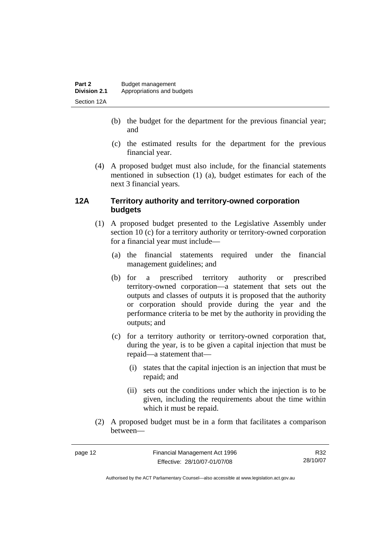- <span id="page-21-0"></span> (b) the budget for the department for the previous financial year; and
- (c) the estimated results for the department for the previous financial year.
- (4) A proposed budget must also include, for the financial statements mentioned in subsection (1) (a), budget estimates for each of the next 3 financial years.

#### **12A Territory authority and territory-owned corporation budgets**

- (1) A proposed budget presented to the Legislative Assembly under section 10 (c) for a territory authority or territory-owned corporation for a financial year must include—
	- (a) the financial statements required under the financial management guidelines; and
	- (b) for a prescribed territory authority or prescribed territory-owned corporation—a statement that sets out the outputs and classes of outputs it is proposed that the authority or corporation should provide during the year and the performance criteria to be met by the authority in providing the outputs; and
	- (c) for a territory authority or territory-owned corporation that, during the year, is to be given a capital injection that must be repaid—a statement that—
		- (i) states that the capital injection is an injection that must be repaid; and
		- (ii) sets out the conditions under which the injection is to be given, including the requirements about the time within which it must be repaid.
- (2) A proposed budget must be in a form that facilitates a comparison between—

R32 28/10/07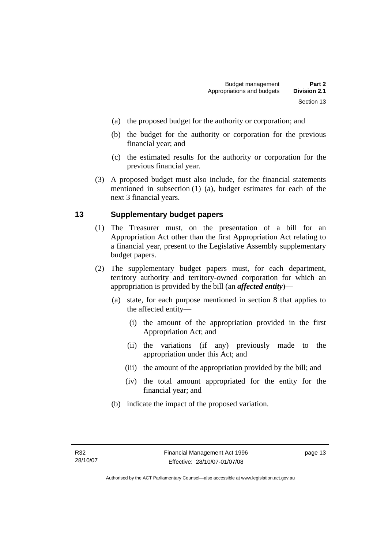- <span id="page-22-0"></span>(a) the proposed budget for the authority or corporation; and
- (b) the budget for the authority or corporation for the previous financial year; and
- (c) the estimated results for the authority or corporation for the previous financial year.
- (3) A proposed budget must also include, for the financial statements mentioned in subsection (1) (a), budget estimates for each of the next 3 financial years.

#### **13 Supplementary budget papers**

- (1) The Treasurer must, on the presentation of a bill for an Appropriation Act other than the first Appropriation Act relating to a financial year, present to the Legislative Assembly supplementary budget papers.
- (2) The supplementary budget papers must, for each department, territory authority and territory-owned corporation for which an appropriation is provided by the bill (an *affected entity*)—
	- (a) state, for each purpose mentioned in section 8 that applies to the affected entity—
		- (i) the amount of the appropriation provided in the first Appropriation Act; and
		- (ii) the variations (if any) previously made to the appropriation under this Act; and
		- (iii) the amount of the appropriation provided by the bill; and
		- (iv) the total amount appropriated for the entity for the financial year; and
	- (b) indicate the impact of the proposed variation.

page 13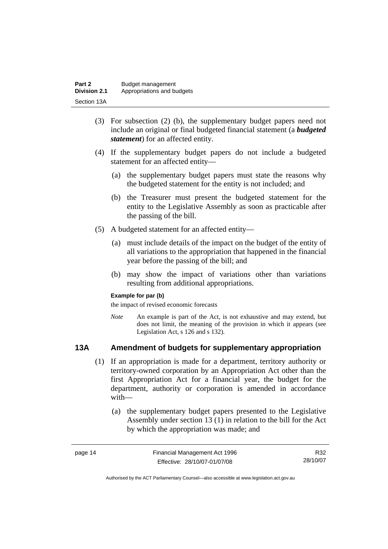<span id="page-23-0"></span>

| Part 2              | Budget management          |
|---------------------|----------------------------|
| <b>Division 2.1</b> | Appropriations and budgets |
| Section 13A         |                            |

- (3) For subsection (2) (b), the supplementary budget papers need not include an original or final budgeted financial statement (a *budgeted statement*) for an affected entity.
- (4) If the supplementary budget papers do not include a budgeted statement for an affected entity—
	- (a) the supplementary budget papers must state the reasons why the budgeted statement for the entity is not included; and
	- (b) the Treasurer must present the budgeted statement for the entity to the Legislative Assembly as soon as practicable after the passing of the bill.
- (5) A budgeted statement for an affected entity—
	- (a) must include details of the impact on the budget of the entity of all variations to the appropriation that happened in the financial year before the passing of the bill; and
	- (b) may show the impact of variations other than variations resulting from additional appropriations.

#### **Example for par (b)**

the impact of revised economic forecasts

*Note* An example is part of the Act, is not exhaustive and may extend, but does not limit, the meaning of the provision in which it appears (see Legislation Act, s 126 and s 132).

#### **13A Amendment of budgets for supplementary appropriation**

- (1) If an appropriation is made for a department, territory authority or territory-owned corporation by an Appropriation Act other than the first Appropriation Act for a financial year, the budget for the department, authority or corporation is amended in accordance with—
	- (a) the supplementary budget papers presented to the Legislative Assembly under section 13 (1) in relation to the bill for the Act by which the appropriation was made; and

| page 14 | Financial Management Act 1996 | R32      |
|---------|-------------------------------|----------|
|         | Effective: 28/10/07-01/07/08  | 28/10/07 |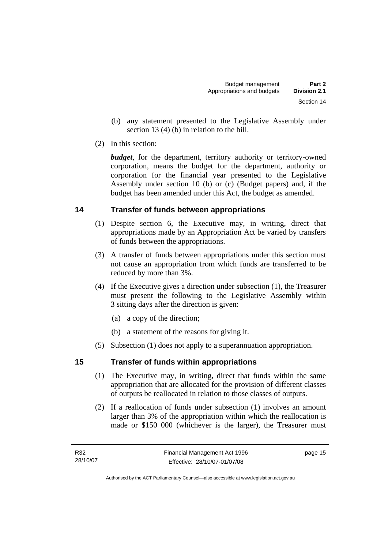- <span id="page-24-0"></span> (b) any statement presented to the Legislative Assembly under section 13 (4) (b) in relation to the bill.
- (2) In this section:

*budget*, for the department, territory authority or territory-owned corporation, means the budget for the department, authority or corporation for the financial year presented to the Legislative Assembly under section 10 (b) or (c) (Budget papers) and, if the budget has been amended under this Act, the budget as amended.

### **14 Transfer of funds between appropriations**

- (1) Despite section 6, the Executive may, in writing, direct that appropriations made by an Appropriation Act be varied by transfers of funds between the appropriations.
- (3) A transfer of funds between appropriations under this section must not cause an appropriation from which funds are transferred to be reduced by more than 3%.
- (4) If the Executive gives a direction under subsection (1), the Treasurer must present the following to the Legislative Assembly within 3 sitting days after the direction is given:
	- (a) a copy of the direction;
	- (b) a statement of the reasons for giving it.
- (5) Subsection (1) does not apply to a superannuation appropriation.

### **15 Transfer of funds within appropriations**

- (1) The Executive may, in writing, direct that funds within the same appropriation that are allocated for the provision of different classes of outputs be reallocated in relation to those classes of outputs.
- (2) If a reallocation of funds under subsection (1) involves an amount larger than 3% of the appropriation within which the reallocation is made or \$150 000 (whichever is the larger), the Treasurer must

page 15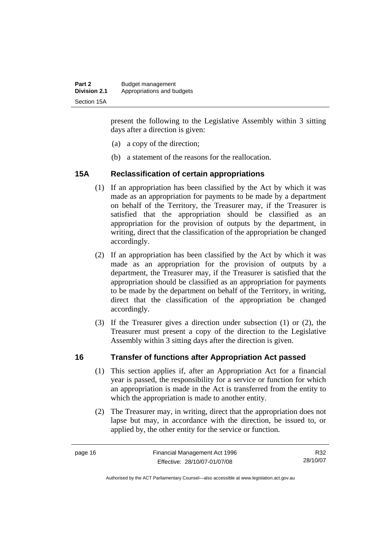<span id="page-25-0"></span>

| Part 2              | Budget management          |
|---------------------|----------------------------|
| <b>Division 2.1</b> | Appropriations and budgets |
| Section 15A         |                            |

present the following to the Legislative Assembly within 3 sitting days after a direction is given:

- (a) a copy of the direction;
- (b) a statement of the reasons for the reallocation.

#### **15A Reclassification of certain appropriations**

- (1) If an appropriation has been classified by the Act by which it was made as an appropriation for payments to be made by a department on behalf of the Territory, the Treasurer may, if the Treasurer is satisfied that the appropriation should be classified as an appropriation for the provision of outputs by the department, in writing, direct that the classification of the appropriation be changed accordingly.
- (2) If an appropriation has been classified by the Act by which it was made as an appropriation for the provision of outputs by a department, the Treasurer may, if the Treasurer is satisfied that the appropriation should be classified as an appropriation for payments to be made by the department on behalf of the Territory, in writing, direct that the classification of the appropriation be changed accordingly.
- (3) If the Treasurer gives a direction under subsection (1) or (2), the Treasurer must present a copy of the direction to the Legislative Assembly within 3 sitting days after the direction is given.

#### **16 Transfer of functions after Appropriation Act passed**

- (1) This section applies if, after an Appropriation Act for a financial year is passed, the responsibility for a service or function for which an appropriation is made in the Act is transferred from the entity to which the appropriation is made to another entity.
- (2) The Treasurer may, in writing, direct that the appropriation does not lapse but may, in accordance with the direction, be issued to, or applied by, the other entity for the service or function.

R32 28/10/07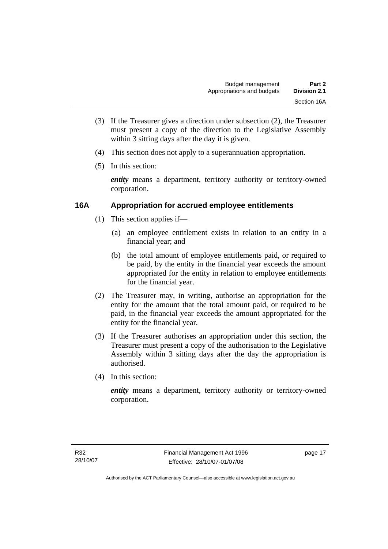- <span id="page-26-0"></span> (3) If the Treasurer gives a direction under subsection (2), the Treasurer must present a copy of the direction to the Legislative Assembly within 3 sitting days after the day it is given.
- (4) This section does not apply to a superannuation appropriation.
- (5) In this section:

*entity* means a department, territory authority or territory-owned corporation.

#### **16A Appropriation for accrued employee entitlements**

- (1) This section applies if—
	- (a) an employee entitlement exists in relation to an entity in a financial year; and
	- (b) the total amount of employee entitlements paid, or required to be paid, by the entity in the financial year exceeds the amount appropriated for the entity in relation to employee entitlements for the financial year.
- (2) The Treasurer may, in writing, authorise an appropriation for the entity for the amount that the total amount paid, or required to be paid, in the financial year exceeds the amount appropriated for the entity for the financial year.
- (3) If the Treasurer authorises an appropriation under this section, the Treasurer must present a copy of the authorisation to the Legislative Assembly within 3 sitting days after the day the appropriation is authorised.
- (4) In this section:

*entity* means a department, territory authority or territory-owned corporation.

page 17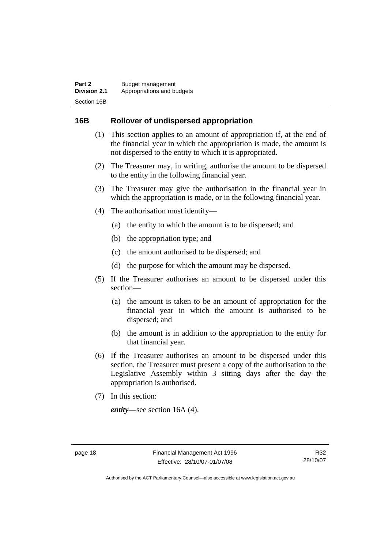#### <span id="page-27-0"></span>**16B Rollover of undispersed appropriation**

- (1) This section applies to an amount of appropriation if, at the end of the financial year in which the appropriation is made, the amount is not dispersed to the entity to which it is appropriated.
- (2) The Treasurer may, in writing, authorise the amount to be dispersed to the entity in the following financial year.
- (3) The Treasurer may give the authorisation in the financial year in which the appropriation is made, or in the following financial year.
- (4) The authorisation must identify—
	- (a) the entity to which the amount is to be dispersed; and
	- (b) the appropriation type; and
	- (c) the amount authorised to be dispersed; and
	- (d) the purpose for which the amount may be dispersed.
- (5) If the Treasurer authorises an amount to be dispersed under this section—
	- (a) the amount is taken to be an amount of appropriation for the financial year in which the amount is authorised to be dispersed; and
	- (b) the amount is in addition to the appropriation to the entity for that financial year.
- (6) If the Treasurer authorises an amount to be dispersed under this section, the Treasurer must present a copy of the authorisation to the Legislative Assembly within 3 sitting days after the day the appropriation is authorised.
- (7) In this section:

*entity*—see section 16A (4).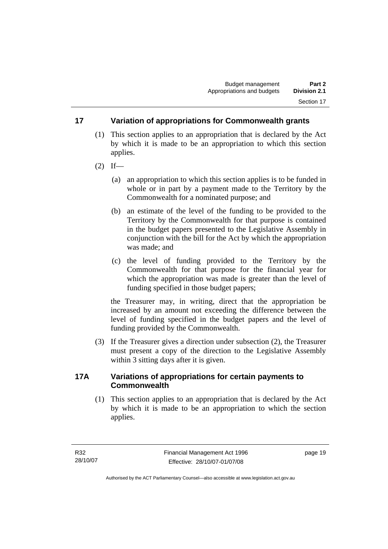#### <span id="page-28-0"></span>**17 Variation of appropriations for Commonwealth grants**

- (1) This section applies to an appropriation that is declared by the Act by which it is made to be an appropriation to which this section applies.
- $(2)$  If—
	- (a) an appropriation to which this section applies is to be funded in whole or in part by a payment made to the Territory by the Commonwealth for a nominated purpose; and
	- (b) an estimate of the level of the funding to be provided to the Territory by the Commonwealth for that purpose is contained in the budget papers presented to the Legislative Assembly in conjunction with the bill for the Act by which the appropriation was made; and
	- (c) the level of funding provided to the Territory by the Commonwealth for that purpose for the financial year for which the appropriation was made is greater than the level of funding specified in those budget papers;

the Treasurer may, in writing, direct that the appropriation be increased by an amount not exceeding the difference between the level of funding specified in the budget papers and the level of funding provided by the Commonwealth.

 (3) If the Treasurer gives a direction under subsection (2), the Treasurer must present a copy of the direction to the Legislative Assembly within 3 sitting days after it is given.

#### **17A Variations of appropriations for certain payments to Commonwealth**

 (1) This section applies to an appropriation that is declared by the Act by which it is made to be an appropriation to which the section applies.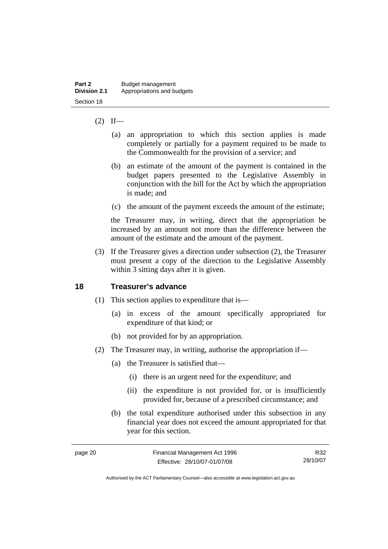#### <span id="page-29-0"></span> $(2)$  If—

- (a) an appropriation to which this section applies is made completely or partially for a payment required to be made to the Commonwealth for the provision of a service; and
- (b) an estimate of the amount of the payment is contained in the budget papers presented to the Legislative Assembly in conjunction with the bill for the Act by which the appropriation is made; and
- (c) the amount of the payment exceeds the amount of the estimate;

the Treasurer may, in writing, direct that the appropriation be increased by an amount not more than the difference between the amount of the estimate and the amount of the payment.

 (3) If the Treasurer gives a direction under subsection (2), the Treasurer must present a copy of the direction to the Legislative Assembly within 3 sitting days after it is given.

#### **18 Treasurer's advance**

- (1) This section applies to expenditure that is—
	- (a) in excess of the amount specifically appropriated for expenditure of that kind; or
	- (b) not provided for by an appropriation.
- (2) The Treasurer may, in writing, authorise the appropriation if—
	- (a) the Treasurer is satisfied that—
		- (i) there is an urgent need for the expenditure; and
		- (ii) the expenditure is not provided for, or is insufficiently provided for, because of a prescribed circumstance; and
	- (b) the total expenditure authorised under this subsection in any financial year does not exceed the amount appropriated for that year for this section.

| page 20 | Financial Management Act 1996 | R32      |
|---------|-------------------------------|----------|
|         | Effective: 28/10/07-01/07/08  | 28/10/07 |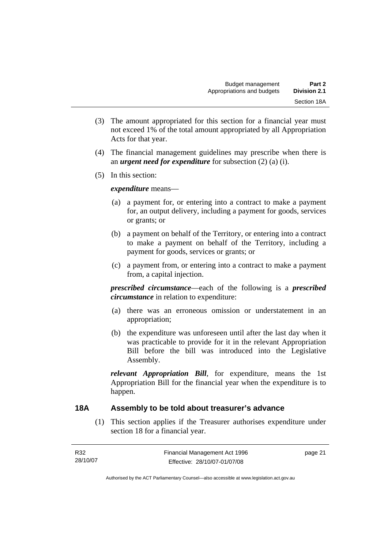- <span id="page-30-0"></span> (3) The amount appropriated for this section for a financial year must not exceed 1% of the total amount appropriated by all Appropriation Acts for that year.
- (4) The financial management guidelines may prescribe when there is an *urgent need for expenditure* for subsection (2) (a) (i).
- (5) In this section:

*expenditure* means—

- (a) a payment for, or entering into a contract to make a payment for, an output delivery, including a payment for goods, services or grants; or
- (b) a payment on behalf of the Territory, or entering into a contract to make a payment on behalf of the Territory, including a payment for goods, services or grants; or
- (c) a payment from, or entering into a contract to make a payment from, a capital injection.

*prescribed circumstance*—each of the following is a *prescribed circumstance* in relation to expenditure:

- (a) there was an erroneous omission or understatement in an appropriation;
- (b) the expenditure was unforeseen until after the last day when it was practicable to provide for it in the relevant Appropriation Bill before the bill was introduced into the Legislative Assembly.

*relevant Appropriation Bill*, for expenditure, means the 1st Appropriation Bill for the financial year when the expenditure is to happen.

#### **18A Assembly to be told about treasurer's advance**

 (1) This section applies if the Treasurer authorises expenditure under section 18 for a financial year.

| R32      | Financial Management Act 1996 | page 21 |
|----------|-------------------------------|---------|
| 28/10/07 | Effective: 28/10/07-01/07/08  |         |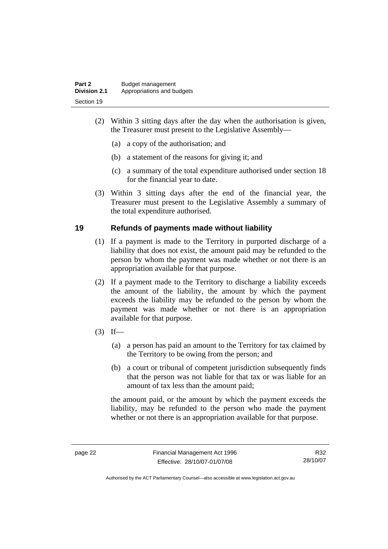<span id="page-31-0"></span>

| Part 2              | Budget management          |
|---------------------|----------------------------|
| <b>Division 2.1</b> | Appropriations and budgets |
| Section 19          |                            |

- (2) Within 3 sitting days after the day when the authorisation is given, the Treasurer must present to the Legislative Assembly—
	- (a) a copy of the authorisation; and
	- (b) a statement of the reasons for giving it; and
	- (c) a summary of the total expenditure authorised under section 18 for the financial year to date.
- (3) Within 3 sitting days after the end of the financial year, the Treasurer must present to the Legislative Assembly a summary of the total expenditure authorised.

#### **19 Refunds of payments made without liability**

- (1) If a payment is made to the Territory in purported discharge of a liability that does not exist, the amount paid may be refunded to the person by whom the payment was made whether or not there is an appropriation available for that purpose.
- (2) If a payment made to the Territory to discharge a liability exceeds the amount of the liability, the amount by which the payment exceeds the liability may be refunded to the person by whom the payment was made whether or not there is an appropriation available for that purpose.
- $(3)$  If—
	- (a) a person has paid an amount to the Territory for tax claimed by the Territory to be owing from the person; and
	- (b) a court or tribunal of competent jurisdiction subsequently finds that the person was not liable for that tax or was liable for an amount of tax less than the amount paid;

the amount paid, or the amount by which the payment exceeds the liability, may be refunded to the person who made the payment whether or not there is an appropriation available for that purpose.

R32 28/10/07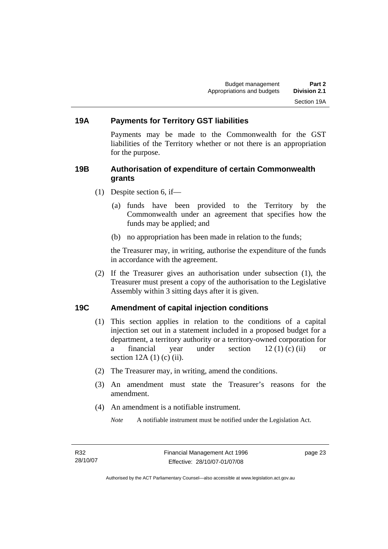#### <span id="page-32-0"></span>**19A Payments for Territory GST liabilities**

Payments may be made to the Commonwealth for the GST liabilities of the Territory whether or not there is an appropriation for the purpose.

#### **19B Authorisation of expenditure of certain Commonwealth grants**

- (1) Despite section 6, if—
	- (a) funds have been provided to the Territory by the Commonwealth under an agreement that specifies how the funds may be applied; and
	- (b) no appropriation has been made in relation to the funds;

the Treasurer may, in writing, authorise the expenditure of the funds in accordance with the agreement.

 (2) If the Treasurer gives an authorisation under subsection (1), the Treasurer must present a copy of the authorisation to the Legislative Assembly within 3 sitting days after it is given.

#### **19C Amendment of capital injection conditions**

- (1) This section applies in relation to the conditions of a capital injection set out in a statement included in a proposed budget for a department, a territory authority or a territory-owned corporation for a financial year under section 12 (1) (c) (ii) or section 12A (1) (c) (ii).
- (2) The Treasurer may, in writing, amend the conditions.
- (3) An amendment must state the Treasurer's reasons for the amendment.
- (4) An amendment is a notifiable instrument.

*Note* A notifiable instrument must be notified under the Legislation Act.

page 23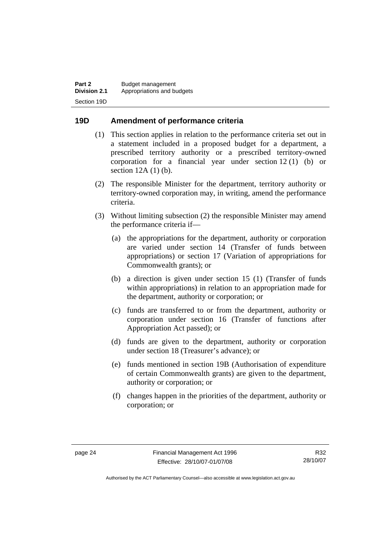#### <span id="page-33-0"></span>**19D Amendment of performance criteria**

- (1) This section applies in relation to the performance criteria set out in a statement included in a proposed budget for a department, a prescribed territory authority or a prescribed territory-owned corporation for a financial year under section 12 (1) (b) or section 12A (1) (b).
- (2) The responsible Minister for the department, territory authority or territory-owned corporation may, in writing, amend the performance criteria.
- (3) Without limiting subsection (2) the responsible Minister may amend the performance criteria if—
	- (a) the appropriations for the department, authority or corporation are varied under section 14 (Transfer of funds between appropriations) or section 17 (Variation of appropriations for Commonwealth grants); or
	- (b) a direction is given under section 15 (1) (Transfer of funds within appropriations) in relation to an appropriation made for the department, authority or corporation; or
	- (c) funds are transferred to or from the department, authority or corporation under section 16 (Transfer of functions after Appropriation Act passed); or
	- (d) funds are given to the department, authority or corporation under section 18 (Treasurer's advance); or
	- (e) funds mentioned in section 19B (Authorisation of expenditure of certain Commonwealth grants) are given to the department, authority or corporation; or
	- (f) changes happen in the priorities of the department, authority or corporation; or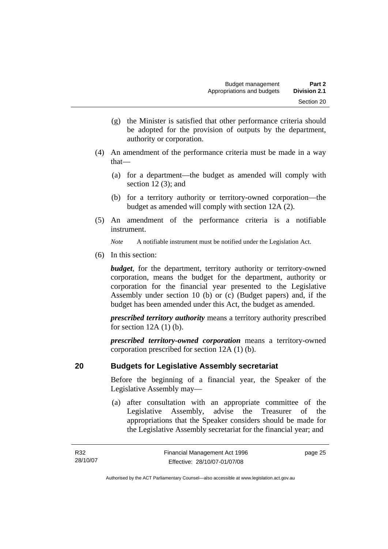- <span id="page-34-0"></span> (g) the Minister is satisfied that other performance criteria should be adopted for the provision of outputs by the department, authority or corporation.
- (4) An amendment of the performance criteria must be made in a way that—
	- (a) for a department—the budget as amended will comply with section 12 (3); and
	- (b) for a territory authority or territory-owned corporation—the budget as amended will comply with section 12A (2).
- (5) An amendment of the performance criteria is a notifiable instrument.

*Note* A notifiable instrument must be notified under the Legislation Act.

(6) In this section:

*budget*, for the department, territory authority or territory-owned corporation, means the budget for the department, authority or corporation for the financial year presented to the Legislative Assembly under section 10 (b) or (c) (Budget papers) and, if the budget has been amended under this Act, the budget as amended.

*prescribed territory authority* means a territory authority prescribed for section  $12A(1)$  (b).

*prescribed territory-owned corporation* means a territory-owned corporation prescribed for section 12A (1) (b).

#### **20 Budgets for Legislative Assembly secretariat**

Before the beginning of a financial year, the Speaker of the Legislative Assembly may—

 (a) after consultation with an appropriate committee of the Legislative Assembly, advise the Treasurer of the appropriations that the Speaker considers should be made for the Legislative Assembly secretariat for the financial year; and

page 25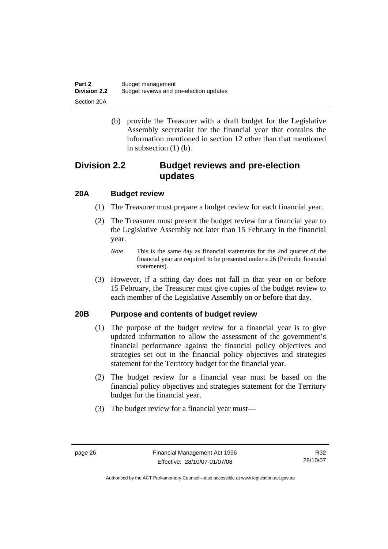<span id="page-35-0"></span>

| Part 2              | Budget management                       |
|---------------------|-----------------------------------------|
| <b>Division 2.2</b> | Budget reviews and pre-election updates |
| Section 20A         |                                         |

 (b) provide the Treasurer with a draft budget for the Legislative Assembly secretariat for the financial year that contains the information mentioned in section 12 other than that mentioned in subsection (1) (b).

### **Division 2.2 Budget reviews and pre-election updates**

#### **20A Budget review**

- (1) The Treasurer must prepare a budget review for each financial year.
- (2) The Treasurer must present the budget review for a financial year to the Legislative Assembly not later than 15 February in the financial year.
	- *Note* This is the same day as financial statements for the 2nd quarter of the financial year are required to be presented under s 26 (Periodic financial statements).
- (3) However, if a sitting day does not fall in that year on or before 15 February, the Treasurer must give copies of the budget review to each member of the Legislative Assembly on or before that day.

#### **20B Purpose and contents of budget review**

- (1) The purpose of the budget review for a financial year is to give updated information to allow the assessment of the government's financial performance against the financial policy objectives and strategies set out in the financial policy objectives and strategies statement for the Territory budget for the financial year.
- (2) The budget review for a financial year must be based on the financial policy objectives and strategies statement for the Territory budget for the financial year.
- (3) The budget review for a financial year must—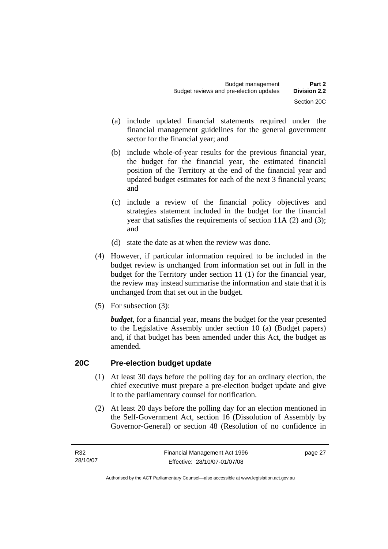- (a) include updated financial statements required under the financial management guidelines for the general government sector for the financial year; and
- (b) include whole-of-year results for the previous financial year, the budget for the financial year, the estimated financial position of the Territory at the end of the financial year and updated budget estimates for each of the next 3 financial years; and
- (c) include a review of the financial policy objectives and strategies statement included in the budget for the financial year that satisfies the requirements of section 11A (2) and (3); and
- (d) state the date as at when the review was done.
- (4) However, if particular information required to be included in the budget review is unchanged from information set out in full in the budget for the Territory under section 11 (1) for the financial year, the review may instead summarise the information and state that it is unchanged from that set out in the budget.
- (5) For subsection (3):

*budget*, for a financial year, means the budget for the year presented to the Legislative Assembly under section 10 (a) (Budget papers) and, if that budget has been amended under this Act, the budget as amended.

# **20C Pre-election budget update**

- (1) At least 30 days before the polling day for an ordinary election, the chief executive must prepare a pre-election budget update and give it to the parliamentary counsel for notification.
- (2) At least 20 days before the polling day for an election mentioned in the Self-Government Act, section 16 (Dissolution of Assembly by Governor-General) or section 48 (Resolution of no confidence in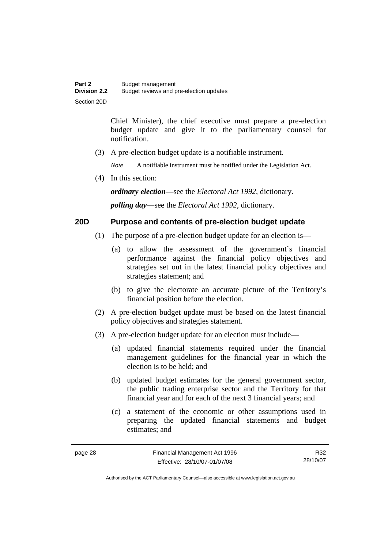Chief Minister), the chief executive must prepare a pre-election budget update and give it to the parliamentary counsel for notification.

(3) A pre-election budget update is a notifiable instrument.

*Note* A notifiable instrument must be notified under the Legislation Act.

(4) In this section:

*ordinary election*—see the *Electoral Act 1992*, dictionary.

*polling day*—see the *Electoral Act 1992*, dictionary.

# **20D Purpose and contents of pre-election budget update**

- (1) The purpose of a pre-election budget update for an election is—
	- (a) to allow the assessment of the government's financial performance against the financial policy objectives and strategies set out in the latest financial policy objectives and strategies statement; and
	- (b) to give the electorate an accurate picture of the Territory's financial position before the election.
- (2) A pre-election budget update must be based on the latest financial policy objectives and strategies statement.
- (3) A pre-election budget update for an election must include—
	- (a) updated financial statements required under the financial management guidelines for the financial year in which the election is to be held; and
	- (b) updated budget estimates for the general government sector, the public trading enterprise sector and the Territory for that financial year and for each of the next 3 financial years; and
	- (c) a statement of the economic or other assumptions used in preparing the updated financial statements and budget estimates; and

R32 28/10/07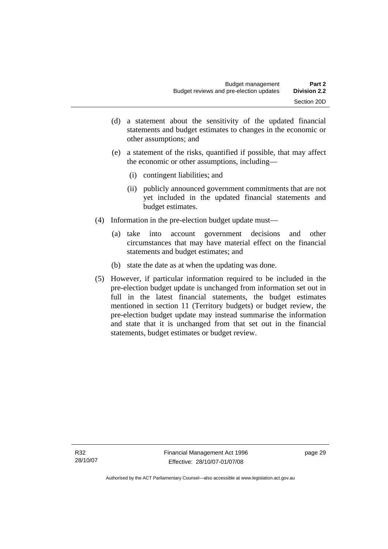- (d) a statement about the sensitivity of the updated financial statements and budget estimates to changes in the economic or other assumptions; and
- (e) a statement of the risks, quantified if possible, that may affect the economic or other assumptions, including—
	- (i) contingent liabilities; and
	- (ii) publicly announced government commitments that are not yet included in the updated financial statements and budget estimates.
- (4) Information in the pre-election budget update must—
	- (a) take into account government decisions and other circumstances that may have material effect on the financial statements and budget estimates; and
	- (b) state the date as at when the updating was done.
- (5) However, if particular information required to be included in the pre-election budget update is unchanged from information set out in full in the latest financial statements, the budget estimates mentioned in section 11 (Territory budgets) or budget review, the pre-election budget update may instead summarise the information and state that it is unchanged from that set out in the financial statements, budget estimates or budget review.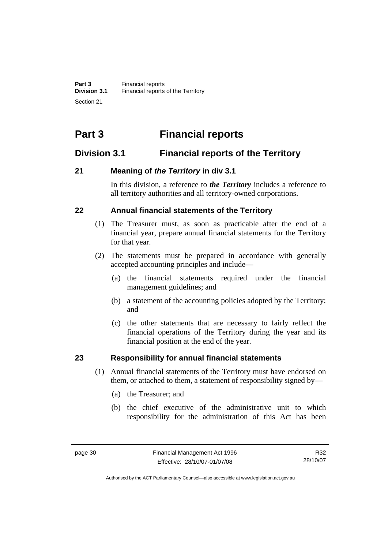# **Part 3 Financial reports**

# **Division 3.1 Financial reports of the Territory**

# **21 Meaning of** *the Territory* **in div 3.1**

In this division, a reference to *the Territory* includes a reference to all territory authorities and all territory-owned corporations.

# **22 Annual financial statements of the Territory**

- (1) The Treasurer must, as soon as practicable after the end of a financial year, prepare annual financial statements for the Territory for that year.
- (2) The statements must be prepared in accordance with generally accepted accounting principles and include—
	- (a) the financial statements required under the financial management guidelines; and
	- (b) a statement of the accounting policies adopted by the Territory; and
	- (c) the other statements that are necessary to fairly reflect the financial operations of the Territory during the year and its financial position at the end of the year.

# **23 Responsibility for annual financial statements**

- (1) Annual financial statements of the Territory must have endorsed on them, or attached to them, a statement of responsibility signed by—
	- (a) the Treasurer; and
	- (b) the chief executive of the administrative unit to which responsibility for the administration of this Act has been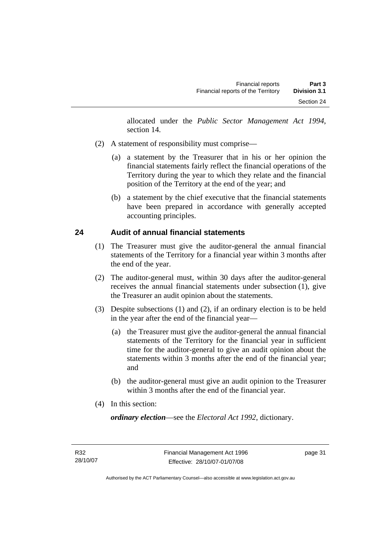allocated under the *Public Sector Management Act 1994*, section 14.

- (2) A statement of responsibility must comprise—
	- (a) a statement by the Treasurer that in his or her opinion the financial statements fairly reflect the financial operations of the Territory during the year to which they relate and the financial position of the Territory at the end of the year; and
	- (b) a statement by the chief executive that the financial statements have been prepared in accordance with generally accepted accounting principles.

# **24 Audit of annual financial statements**

- (1) The Treasurer must give the auditor-general the annual financial statements of the Territory for a financial year within 3 months after the end of the year.
- (2) The auditor-general must, within 30 days after the auditor-general receives the annual financial statements under subsection (1), give the Treasurer an audit opinion about the statements.
- (3) Despite subsections (1) and (2), if an ordinary election is to be held in the year after the end of the financial year—
	- (a) the Treasurer must give the auditor-general the annual financial statements of the Territory for the financial year in sufficient time for the auditor-general to give an audit opinion about the statements within 3 months after the end of the financial year; and
	- (b) the auditor-general must give an audit opinion to the Treasurer within 3 months after the end of the financial year.
- (4) In this section:

*ordinary election*—see the *Electoral Act 1992*, dictionary.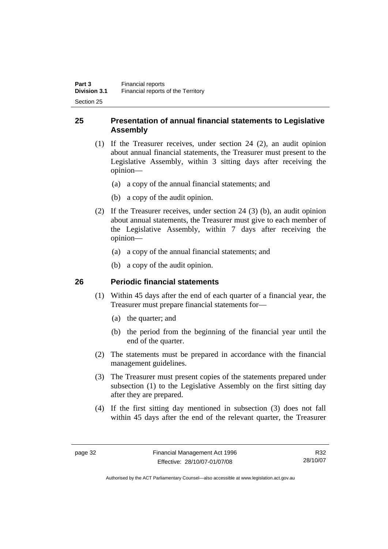# **25 Presentation of annual financial statements to Legislative Assembly**

- (1) If the Treasurer receives, under section 24 (2), an audit opinion about annual financial statements, the Treasurer must present to the Legislative Assembly, within 3 sitting days after receiving the opinion—
	- (a) a copy of the annual financial statements; and
	- (b) a copy of the audit opinion.
- (2) If the Treasurer receives, under section 24 (3) (b), an audit opinion about annual statements, the Treasurer must give to each member of the Legislative Assembly, within 7 days after receiving the opinion—
	- (a) a copy of the annual financial statements; and
	- (b) a copy of the audit opinion.

# **26 Periodic financial statements**

- (1) Within 45 days after the end of each quarter of a financial year, the Treasurer must prepare financial statements for—
	- (a) the quarter; and
	- (b) the period from the beginning of the financial year until the end of the quarter.
- (2) The statements must be prepared in accordance with the financial management guidelines.
- (3) The Treasurer must present copies of the statements prepared under subsection (1) to the Legislative Assembly on the first sitting day after they are prepared.
- (4) If the first sitting day mentioned in subsection (3) does not fall within 45 days after the end of the relevant quarter, the Treasurer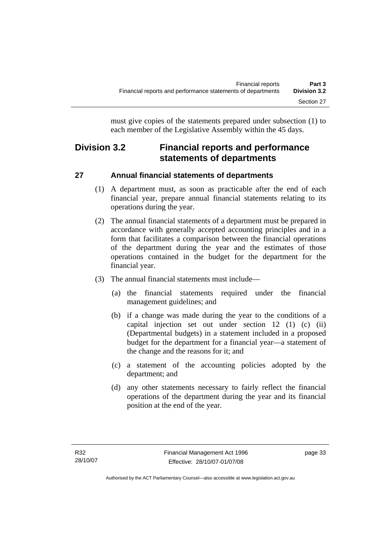must give copies of the statements prepared under subsection (1) to each member of the Legislative Assembly within the 45 days.

# **Division 3.2 Financial reports and performance statements of departments**

# **27 Annual financial statements of departments**

- (1) A department must, as soon as practicable after the end of each financial year, prepare annual financial statements relating to its operations during the year.
- (2) The annual financial statements of a department must be prepared in accordance with generally accepted accounting principles and in a form that facilitates a comparison between the financial operations of the department during the year and the estimates of those operations contained in the budget for the department for the financial year.
- (3) The annual financial statements must include—
	- (a) the financial statements required under the financial management guidelines; and
	- (b) if a change was made during the year to the conditions of a capital injection set out under section 12 (1) (c) (ii) (Departmental budgets) in a statement included in a proposed budget for the department for a financial year—a statement of the change and the reasons for it; and
	- (c) a statement of the accounting policies adopted by the department; and
	- (d) any other statements necessary to fairly reflect the financial operations of the department during the year and its financial position at the end of the year.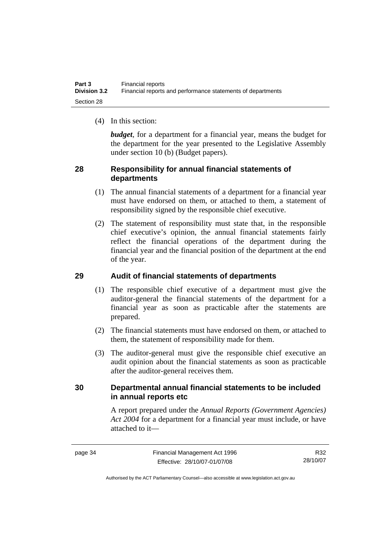(4) In this section:

*budget*, for a department for a financial year, means the budget for the department for the year presented to the Legislative Assembly under section 10 (b) (Budget papers).

# **28 Responsibility for annual financial statements of departments**

- (1) The annual financial statements of a department for a financial year must have endorsed on them, or attached to them, a statement of responsibility signed by the responsible chief executive.
- (2) The statement of responsibility must state that, in the responsible chief executive's opinion, the annual financial statements fairly reflect the financial operations of the department during the financial year and the financial position of the department at the end of the year.

# **29 Audit of financial statements of departments**

- (1) The responsible chief executive of a department must give the auditor-general the financial statements of the department for a financial year as soon as practicable after the statements are prepared.
- (2) The financial statements must have endorsed on them, or attached to them, the statement of responsibility made for them.
- (3) The auditor-general must give the responsible chief executive an audit opinion about the financial statements as soon as practicable after the auditor-general receives them.

# **30 Departmental annual financial statements to be included in annual reports etc**

A report prepared under the *Annual Reports (Government Agencies) Act 2004* for a department for a financial year must include, or have attached to it—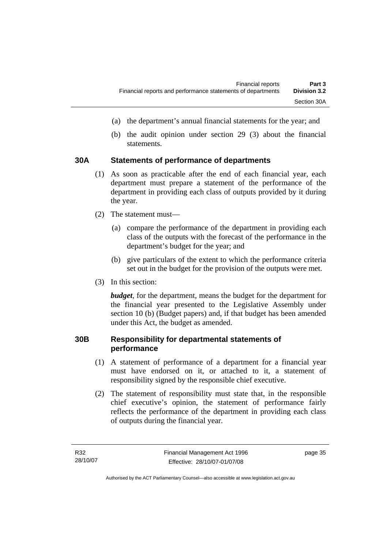- (a) the department's annual financial statements for the year; and
- (b) the audit opinion under section 29 (3) about the financial statements.

# **30A Statements of performance of departments**

- (1) As soon as practicable after the end of each financial year, each department must prepare a statement of the performance of the department in providing each class of outputs provided by it during the year.
- (2) The statement must—
	- (a) compare the performance of the department in providing each class of the outputs with the forecast of the performance in the department's budget for the year; and
	- (b) give particulars of the extent to which the performance criteria set out in the budget for the provision of the outputs were met.
- (3) In this section:

*budget*, for the department, means the budget for the department for the financial year presented to the Legislative Assembly under section 10 (b) (Budget papers) and, if that budget has been amended under this Act, the budget as amended.

# **30B Responsibility for departmental statements of performance**

- (1) A statement of performance of a department for a financial year must have endorsed on it, or attached to it, a statement of responsibility signed by the responsible chief executive.
- (2) The statement of responsibility must state that, in the responsible chief executive's opinion, the statement of performance fairly reflects the performance of the department in providing each class of outputs during the financial year.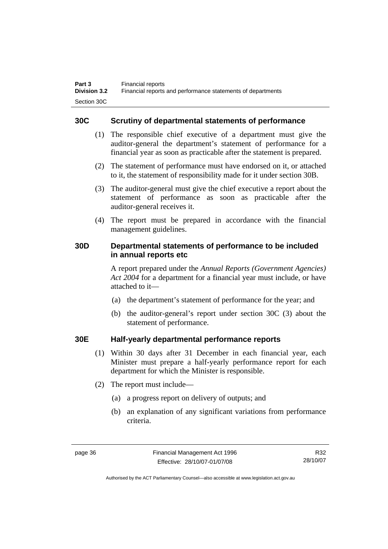# **30C Scrutiny of departmental statements of performance**

- (1) The responsible chief executive of a department must give the auditor-general the department's statement of performance for a financial year as soon as practicable after the statement is prepared.
- (2) The statement of performance must have endorsed on it, or attached to it, the statement of responsibility made for it under section 30B.
- (3) The auditor-general must give the chief executive a report about the statement of performance as soon as practicable after the auditor-general receives it.
- (4) The report must be prepared in accordance with the financial management guidelines.

# **30D Departmental statements of performance to be included in annual reports etc**

A report prepared under the *Annual Reports (Government Agencies) Act 2004* for a department for a financial year must include, or have attached to it—

- (a) the department's statement of performance for the year; and
- (b) the auditor-general's report under section 30C (3) about the statement of performance.

# **30E Half-yearly departmental performance reports**

- (1) Within 30 days after 31 December in each financial year, each Minister must prepare a half-yearly performance report for each department for which the Minister is responsible.
- (2) The report must include—
	- (a) a progress report on delivery of outputs; and
	- (b) an explanation of any significant variations from performance criteria.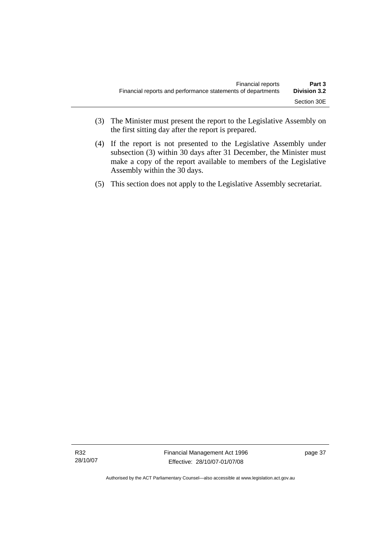- (3) The Minister must present the report to the Legislative Assembly on the first sitting day after the report is prepared.
- (4) If the report is not presented to the Legislative Assembly under subsection (3) within 30 days after 31 December, the Minister must make a copy of the report available to members of the Legislative Assembly within the 30 days.
- (5) This section does not apply to the Legislative Assembly secretariat.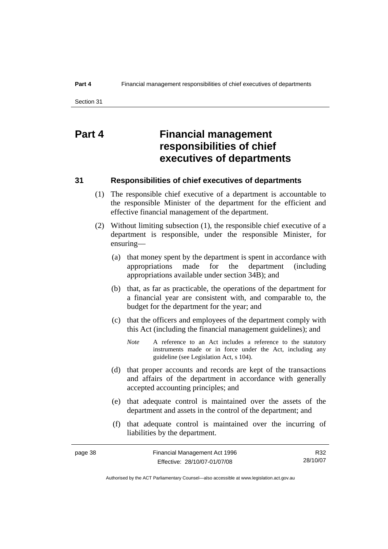# **Part 4 Financial management responsibilities of chief executives of departments**

### **31 Responsibilities of chief executives of departments**

- (1) The responsible chief executive of a department is accountable to the responsible Minister of the department for the efficient and effective financial management of the department.
- (2) Without limiting subsection (1), the responsible chief executive of a department is responsible, under the responsible Minister, for ensuring—
	- (a) that money spent by the department is spent in accordance with appropriations made for the department (including appropriations available under section 34B); and
	- (b) that, as far as practicable, the operations of the department for a financial year are consistent with, and comparable to, the budget for the department for the year; and
	- (c) that the officers and employees of the department comply with this Act (including the financial management guidelines); and
		- *Note* A reference to an Act includes a reference to the statutory instruments made or in force under the Act, including any guideline (see Legislation Act, s 104).
	- (d) that proper accounts and records are kept of the transactions and affairs of the department in accordance with generally accepted accounting principles; and
	- (e) that adequate control is maintained over the assets of the department and assets in the control of the department; and
	- (f) that adequate control is maintained over the incurring of liabilities by the department.

| page 38 | Financial Management Act 1996 | R32      |
|---------|-------------------------------|----------|
|         | Effective: 28/10/07-01/07/08  | 28/10/07 |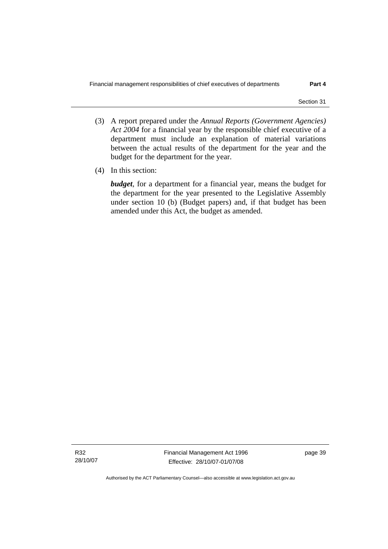- (3) A report prepared under the *Annual Reports (Government Agencies) Act 2004* for a financial year by the responsible chief executive of a department must include an explanation of material variations between the actual results of the department for the year and the budget for the department for the year.
- (4) In this section:

*budget*, for a department for a financial year, means the budget for the department for the year presented to the Legislative Assembly under section 10 (b) (Budget papers) and, if that budget has been amended under this Act, the budget as amended.

R32 28/10/07 Financial Management Act 1996 Effective: 28/10/07-01/07/08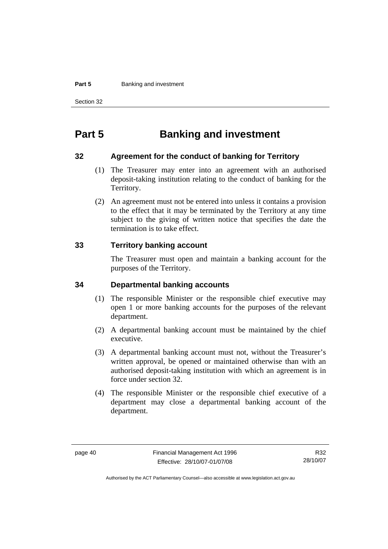#### **Part 5 Banking and investment**

Section 32

# **Part 5 Banking and investment**

#### **32 Agreement for the conduct of banking for Territory**

- (1) The Treasurer may enter into an agreement with an authorised deposit-taking institution relating to the conduct of banking for the Territory.
- (2) An agreement must not be entered into unless it contains a provision to the effect that it may be terminated by the Territory at any time subject to the giving of written notice that specifies the date the termination is to take effect.

# **33 Territory banking account**

The Treasurer must open and maintain a banking account for the purposes of the Territory.

### **34 Departmental banking accounts**

- (1) The responsible Minister or the responsible chief executive may open 1 or more banking accounts for the purposes of the relevant department.
- (2) A departmental banking account must be maintained by the chief executive.
- (3) A departmental banking account must not, without the Treasurer's written approval, be opened or maintained otherwise than with an authorised deposit-taking institution with which an agreement is in force under section 32.
- (4) The responsible Minister or the responsible chief executive of a department may close a departmental banking account of the department.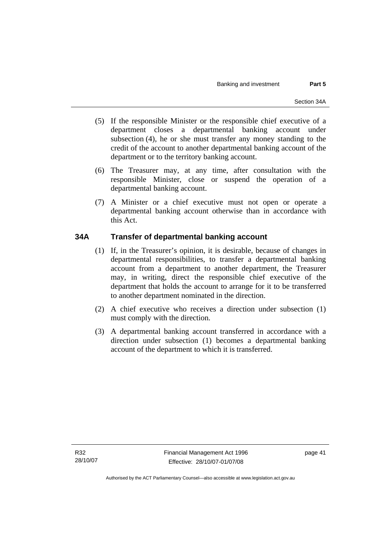- (5) If the responsible Minister or the responsible chief executive of a department closes a departmental banking account under subsection (4), he or she must transfer any money standing to the credit of the account to another departmental banking account of the department or to the territory banking account.
- (6) The Treasurer may, at any time, after consultation with the responsible Minister, close or suspend the operation of a departmental banking account.
- (7) A Minister or a chief executive must not open or operate a departmental banking account otherwise than in accordance with this Act.

# **34A Transfer of departmental banking account**

- (1) If, in the Treasurer's opinion, it is desirable, because of changes in departmental responsibilities, to transfer a departmental banking account from a department to another department, the Treasurer may, in writing, direct the responsible chief executive of the department that holds the account to arrange for it to be transferred to another department nominated in the direction.
- (2) A chief executive who receives a direction under subsection (1) must comply with the direction.
- (3) A departmental banking account transferred in accordance with a direction under subsection (1) becomes a departmental banking account of the department to which it is transferred.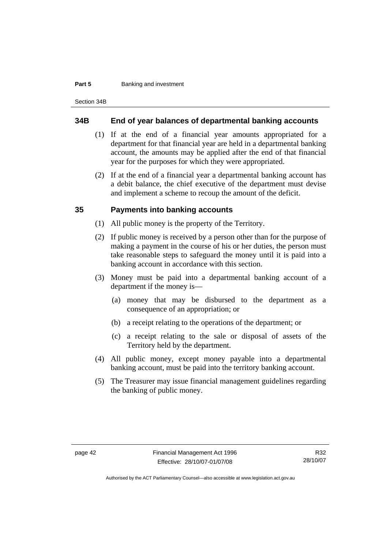#### **Part 5 Banking and investment**

Section 34B

#### **34B End of year balances of departmental banking accounts**

- (1) If at the end of a financial year amounts appropriated for a department for that financial year are held in a departmental banking account, the amounts may be applied after the end of that financial year for the purposes for which they were appropriated.
- (2) If at the end of a financial year a departmental banking account has a debit balance, the chief executive of the department must devise and implement a scheme to recoup the amount of the deficit.

### **35 Payments into banking accounts**

- (1) All public money is the property of the Territory.
- (2) If public money is received by a person other than for the purpose of making a payment in the course of his or her duties, the person must take reasonable steps to safeguard the money until it is paid into a banking account in accordance with this section.
- (3) Money must be paid into a departmental banking account of a department if the money is—
	- (a) money that may be disbursed to the department as a consequence of an appropriation; or
	- (b) a receipt relating to the operations of the department; or
	- (c) a receipt relating to the sale or disposal of assets of the Territory held by the department.
- (4) All public money, except money payable into a departmental banking account, must be paid into the territory banking account.
- (5) The Treasurer may issue financial management guidelines regarding the banking of public money.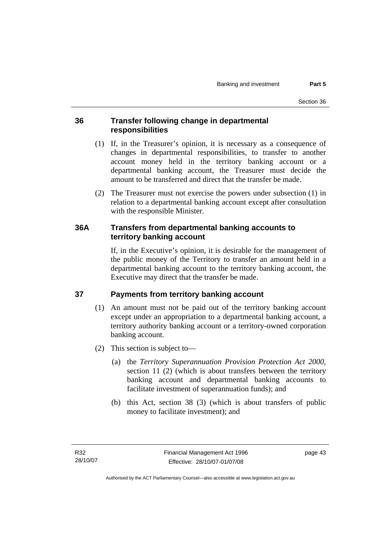# **36 Transfer following change in departmental responsibilities**

- (1) If, in the Treasurer's opinion, it is necessary as a consequence of changes in departmental responsibilities, to transfer to another account money held in the territory banking account or a departmental banking account, the Treasurer must decide the amount to be transferred and direct that the transfer be made.
- (2) The Treasurer must not exercise the powers under subsection (1) in relation to a departmental banking account except after consultation with the responsible Minister.

# **36A Transfers from departmental banking accounts to territory banking account**

If, in the Executive's opinion, it is desirable for the management of the public money of the Territory to transfer an amount held in a departmental banking account to the territory banking account, the Executive may direct that the transfer be made.

# **37 Payments from territory banking account**

- (1) An amount must not be paid out of the territory banking account except under an appropriation to a departmental banking account, a territory authority banking account or a territory-owned corporation banking account.
- (2) This section is subject to—
	- (a) the *Territory Superannuation Provision Protection Act 2000*, section 11 (2) (which is about transfers between the territory banking account and departmental banking accounts to facilitate investment of superannuation funds); and
	- (b) this Act, section 38 (3) (which is about transfers of public money to facilitate investment); and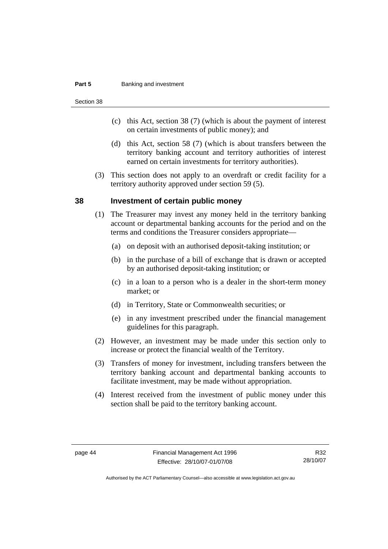#### **Part 5 Banking and investment**

Section 38

- (c) this Act, section 38 (7) (which is about the payment of interest on certain investments of public money); and
- (d) this Act, section 58 (7) (which is about transfers between the territory banking account and territory authorities of interest earned on certain investments for territory authorities).
- (3) This section does not apply to an overdraft or credit facility for a territory authority approved under section 59 (5).

#### **38 Investment of certain public money**

- (1) The Treasurer may invest any money held in the territory banking account or departmental banking accounts for the period and on the terms and conditions the Treasurer considers appropriate—
	- (a) on deposit with an authorised deposit-taking institution; or
	- (b) in the purchase of a bill of exchange that is drawn or accepted by an authorised deposit-taking institution; or
	- (c) in a loan to a person who is a dealer in the short-term money market; or
	- (d) in Territory, State or Commonwealth securities; or
	- (e) in any investment prescribed under the financial management guidelines for this paragraph.
- (2) However, an investment may be made under this section only to increase or protect the financial wealth of the Territory.
- (3) Transfers of money for investment, including transfers between the territory banking account and departmental banking accounts to facilitate investment, may be made without appropriation.
- (4) Interest received from the investment of public money under this section shall be paid to the territory banking account.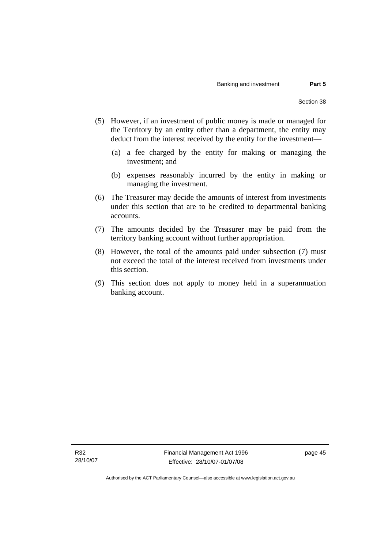- (5) However, if an investment of public money is made or managed for the Territory by an entity other than a department, the entity may deduct from the interest received by the entity for the investment—
	- (a) a fee charged by the entity for making or managing the investment; and
	- (b) expenses reasonably incurred by the entity in making or managing the investment.
- (6) The Treasurer may decide the amounts of interest from investments under this section that are to be credited to departmental banking accounts.
- (7) The amounts decided by the Treasurer may be paid from the territory banking account without further appropriation.
- (8) However, the total of the amounts paid under subsection (7) must not exceed the total of the interest received from investments under this section.
- (9) This section does not apply to money held in a superannuation banking account.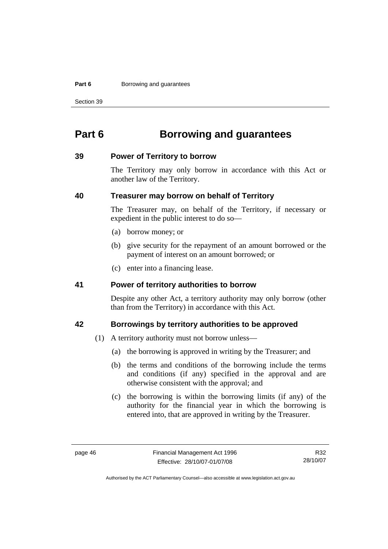#### **Part 6 Borrowing and guarantees**

Section 39

# **Part 6 Borrowing and guarantees**

#### **39 Power of Territory to borrow**

The Territory may only borrow in accordance with this Act or another law of the Territory.

### **40 Treasurer may borrow on behalf of Territory**

The Treasurer may, on behalf of the Territory, if necessary or expedient in the public interest to do so—

- (a) borrow money; or
- (b) give security for the repayment of an amount borrowed or the payment of interest on an amount borrowed; or
- (c) enter into a financing lease.

#### **41 Power of territory authorities to borrow**

Despite any other Act, a territory authority may only borrow (other than from the Territory) in accordance with this Act.

### **42 Borrowings by territory authorities to be approved**

- (1) A territory authority must not borrow unless—
	- (a) the borrowing is approved in writing by the Treasurer; and
	- (b) the terms and conditions of the borrowing include the terms and conditions (if any) specified in the approval and are otherwise consistent with the approval; and
	- (c) the borrowing is within the borrowing limits (if any) of the authority for the financial year in which the borrowing is entered into, that are approved in writing by the Treasurer.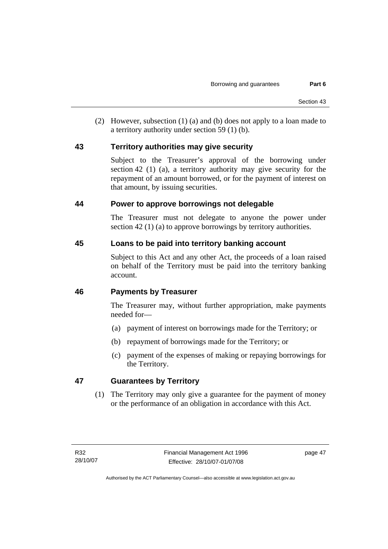(2) However, subsection (1) (a) and (b) does not apply to a loan made to a territory authority under section 59 (1) (b).

# **43 Territory authorities may give security**

Subject to the Treasurer's approval of the borrowing under section 42 (1) (a), a territory authority may give security for the repayment of an amount borrowed, or for the payment of interest on that amount, by issuing securities.

# **44 Power to approve borrowings not delegable**

The Treasurer must not delegate to anyone the power under section 42 (1) (a) to approve borrowings by territory authorities.

# **45 Loans to be paid into territory banking account**

Subject to this Act and any other Act, the proceeds of a loan raised on behalf of the Territory must be paid into the territory banking account.

# **46 Payments by Treasurer**

The Treasurer may, without further appropriation, make payments needed for—

- (a) payment of interest on borrowings made for the Territory; or
- (b) repayment of borrowings made for the Territory; or
- (c) payment of the expenses of making or repaying borrowings for the Territory.

# **47 Guarantees by Territory**

 (1) The Territory may only give a guarantee for the payment of money or the performance of an obligation in accordance with this Act.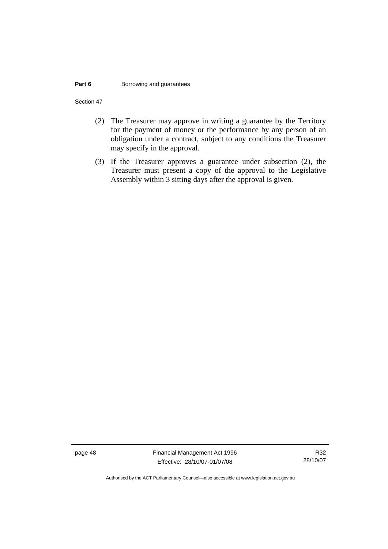#### **Part 6 Borrowing and guarantees**

Section 47

- (2) The Treasurer may approve in writing a guarantee by the Territory for the payment of money or the performance by any person of an obligation under a contract, subject to any conditions the Treasurer may specify in the approval.
- (3) If the Treasurer approves a guarantee under subsection (2), the Treasurer must present a copy of the approval to the Legislative Assembly within 3 sitting days after the approval is given.

page 48 Financial Management Act 1996 Effective: 28/10/07-01/07/08

R32 28/10/07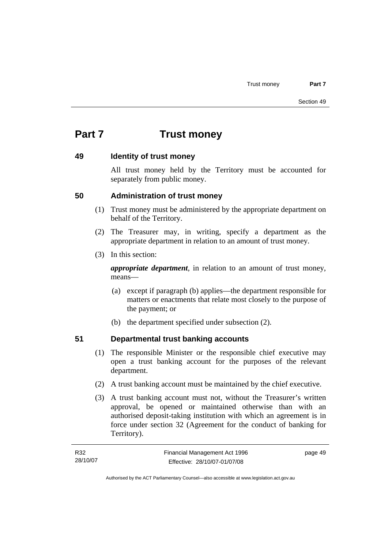# **Part 7 Trust money**

# **49 Identity of trust money**

All trust money held by the Territory must be accounted for separately from public money.

# **50 Administration of trust money**

- (1) Trust money must be administered by the appropriate department on behalf of the Territory.
- (2) The Treasurer may, in writing, specify a department as the appropriate department in relation to an amount of trust money.
- (3) In this section:

*appropriate department*, in relation to an amount of trust money, means—

- (a) except if paragraph (b) applies—the department responsible for matters or enactments that relate most closely to the purpose of the payment; or
- (b) the department specified under subsection (2).

# **51 Departmental trust banking accounts**

- (1) The responsible Minister or the responsible chief executive may open a trust banking account for the purposes of the relevant department.
- (2) A trust banking account must be maintained by the chief executive.
- (3) A trust banking account must not, without the Treasurer's written approval, be opened or maintained otherwise than with an authorised deposit-taking institution with which an agreement is in force under section 32 (Agreement for the conduct of banking for Territory).

| R32      | Financial Management Act 1996 | page 49 |
|----------|-------------------------------|---------|
| 28/10/07 | Effective: 28/10/07-01/07/08  |         |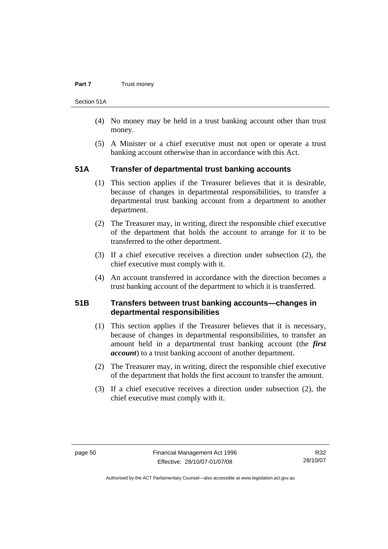#### **Part 7 Trust money**

Section 51A

- (4) No money may be held in a trust banking account other than trust money.
- (5) A Minister or a chief executive must not open or operate a trust banking account otherwise than in accordance with this Act.

# **51A Transfer of departmental trust banking accounts**

- (1) This section applies if the Treasurer believes that it is desirable, because of changes in departmental responsibilities, to transfer a departmental trust banking account from a department to another department.
- (2) The Treasurer may, in writing, direct the responsible chief executive of the department that holds the account to arrange for it to be transferred to the other department.
- (3) If a chief executive receives a direction under subsection (2), the chief executive must comply with it.
- (4) An account transferred in accordance with the direction becomes a trust banking account of the department to which it is transferred.

# **51B Transfers between trust banking accounts—changes in departmental responsibilities**

- (1) This section applies if the Treasurer believes that it is necessary, because of changes in departmental responsibilities, to transfer an amount held in a departmental trust banking account (the *first account*) to a trust banking account of another department.
- (2) The Treasurer may, in writing, direct the responsible chief executive of the department that holds the first account to transfer the amount.
- (3) If a chief executive receives a direction under subsection (2), the chief executive must comply with it.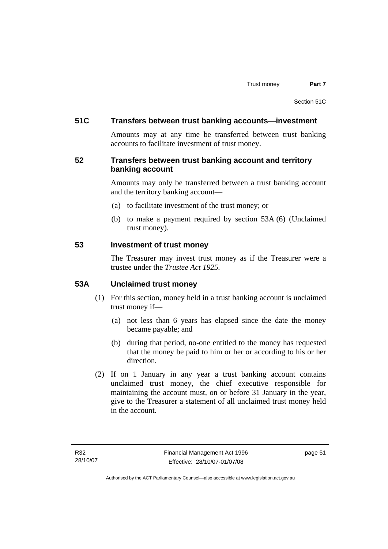# **51C Transfers between trust banking accounts—investment**

Amounts may at any time be transferred between trust banking accounts to facilitate investment of trust money.

# **52 Transfers between trust banking account and territory banking account**

Amounts may only be transferred between a trust banking account and the territory banking account—

- (a) to facilitate investment of the trust money; or
- (b) to make a payment required by section 53A (6) (Unclaimed trust money).

### **53 Investment of trust money**

The Treasurer may invest trust money as if the Treasurer were a trustee under the *Trustee Act 1925.*

# **53A Unclaimed trust money**

- (1) For this section, money held in a trust banking account is unclaimed trust money if—
	- (a) not less than 6 years has elapsed since the date the money became payable; and
	- (b) during that period, no-one entitled to the money has requested that the money be paid to him or her or according to his or her direction.
- (2) If on 1 January in any year a trust banking account contains unclaimed trust money, the chief executive responsible for maintaining the account must, on or before 31 January in the year, give to the Treasurer a statement of all unclaimed trust money held in the account.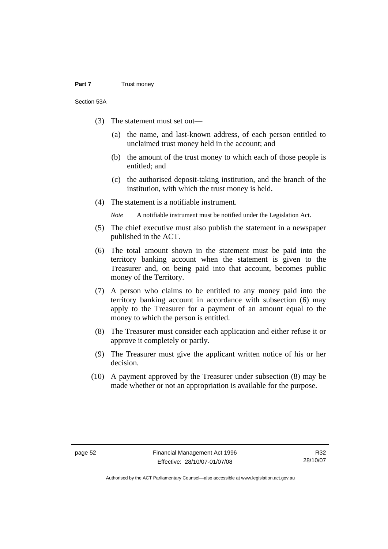#### **Part 7** Trust money

Section 53A

- (3) The statement must set out—
	- (a) the name, and last-known address, of each person entitled to unclaimed trust money held in the account; and
	- (b) the amount of the trust money to which each of those people is entitled; and
	- (c) the authorised deposit-taking institution, and the branch of the institution, with which the trust money is held.
- (4) The statement is a notifiable instrument.

*Note* A notifiable instrument must be notified under the Legislation Act.

- (5) The chief executive must also publish the statement in a newspaper published in the ACT.
- (6) The total amount shown in the statement must be paid into the territory banking account when the statement is given to the Treasurer and, on being paid into that account, becomes public money of the Territory.
- (7) A person who claims to be entitled to any money paid into the territory banking account in accordance with subsection (6) may apply to the Treasurer for a payment of an amount equal to the money to which the person is entitled.
- (8) The Treasurer must consider each application and either refuse it or approve it completely or partly.
- (9) The Treasurer must give the applicant written notice of his or her decision.
- (10) A payment approved by the Treasurer under subsection (8) may be made whether or not an appropriation is available for the purpose.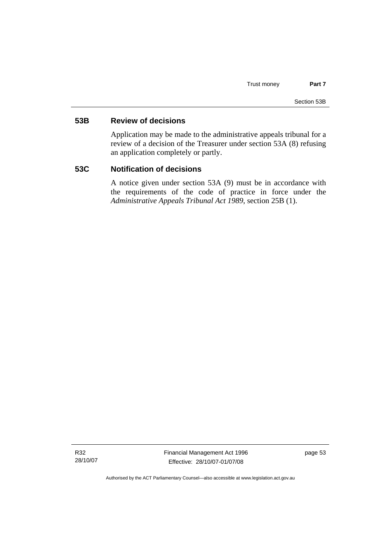# **53B Review of decisions**

Application may be made to the administrative appeals tribunal for a review of a decision of the Treasurer under section 53A (8) refusing an application completely or partly.

# **53C Notification of decisions**

A notice given under section 53A (9) must be in accordance with the requirements of the code of practice in force under the *Administrative Appeals Tribunal Act 1989*, section 25B (1).

R32 28/10/07 Financial Management Act 1996 Effective: 28/10/07-01/07/08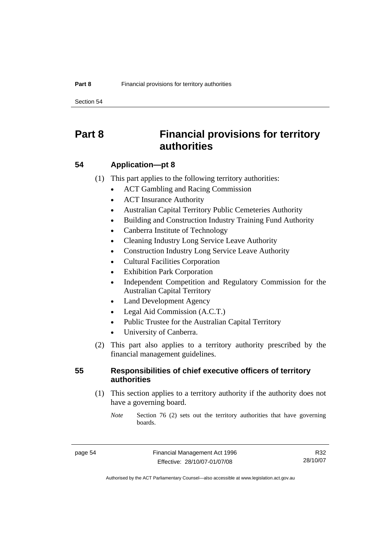Section 54

# **Part 8 Financial provisions for territory authorities**

# **54 Application—pt 8**

(1) This part applies to the following territory authorities:

- ACT Gambling and Racing Commission
- ACT Insurance Authority
- Australian Capital Territory Public Cemeteries Authority
- Building and Construction Industry Training Fund Authority
- Canberra Institute of Technology
- Cleaning Industry Long Service Leave Authority
- Construction Industry Long Service Leave Authority
- Cultural Facilities Corporation
- **Exhibition Park Corporation**
- Independent Competition and Regulatory Commission for the Australian Capital Territory
- Land Development Agency
- Legal Aid Commission (A.C.T.)
- Public Trustee for the Australian Capital Territory
- University of Canberra.
- (2) This part also applies to a territory authority prescribed by the financial management guidelines.

# **55 Responsibilities of chief executive officers of territory authorities**

 (1) This section applies to a territory authority if the authority does not have a governing board.

*Note* Section 76 (2) sets out the territory authorities that have governing boards.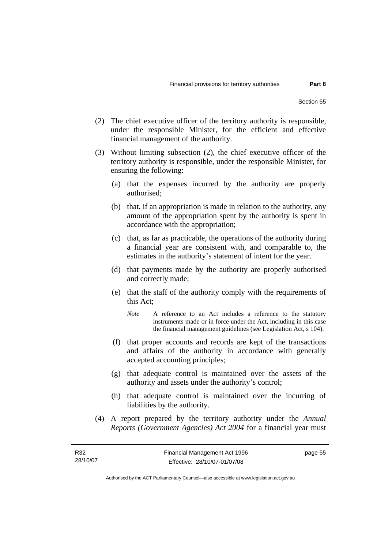- (2) The chief executive officer of the territory authority is responsible, under the responsible Minister, for the efficient and effective financial management of the authority.
- (3) Without limiting subsection (2), the chief executive officer of the territory authority is responsible, under the responsible Minister, for ensuring the following:
	- (a) that the expenses incurred by the authority are properly authorised;
	- (b) that, if an appropriation is made in relation to the authority, any amount of the appropriation spent by the authority is spent in accordance with the appropriation;
	- (c) that, as far as practicable, the operations of the authority during a financial year are consistent with, and comparable to, the estimates in the authority's statement of intent for the year.
	- (d) that payments made by the authority are properly authorised and correctly made;
	- (e) that the staff of the authority comply with the requirements of this Act;
		- *Note* A reference to an Act includes a reference to the statutory instruments made or in force under the Act, including in this case the financial management guidelines (see Legislation Act, s 104).
	- (f) that proper accounts and records are kept of the transactions and affairs of the authority in accordance with generally accepted accounting principles;
	- (g) that adequate control is maintained over the assets of the authority and assets under the authority's control;
	- (h) that adequate control is maintained over the incurring of liabilities by the authority.
- (4) A report prepared by the territory authority under the *Annual Reports (Government Agencies) Act 2004* for a financial year must

Authorised by the ACT Parliamentary Counsel—also accessible at www.legislation.act.gov.au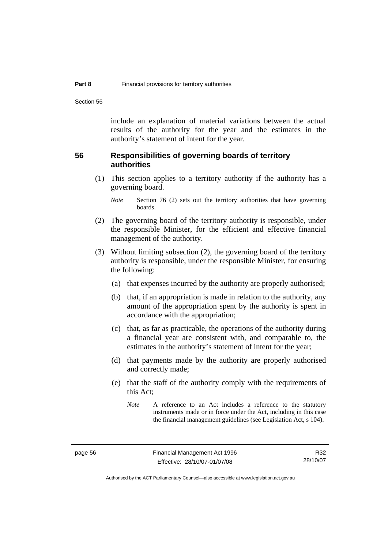Section 56

include an explanation of material variations between the actual results of the authority for the year and the estimates in the authority's statement of intent for the year.

### **56 Responsibilities of governing boards of territory authorities**

 (1) This section applies to a territory authority if the authority has a governing board.

- (2) The governing board of the territory authority is responsible, under the responsible Minister, for the efficient and effective financial management of the authority.
- (3) Without limiting subsection (2), the governing board of the territory authority is responsible, under the responsible Minister, for ensuring the following:
	- (a) that expenses incurred by the authority are properly authorised;
	- (b) that, if an appropriation is made in relation to the authority, any amount of the appropriation spent by the authority is spent in accordance with the appropriation;
	- (c) that, as far as practicable, the operations of the authority during a financial year are consistent with, and comparable to, the estimates in the authority's statement of intent for the year;
	- (d) that payments made by the authority are properly authorised and correctly made;
	- (e) that the staff of the authority comply with the requirements of this Act;

*Note* Section 76 (2) sets out the territory authorities that have governing boards.

*Note* A reference to an Act includes a reference to the statutory instruments made or in force under the Act, including in this case the financial management guidelines (see Legislation Act, s 104).

Authorised by the ACT Parliamentary Counsel—also accessible at www.legislation.act.gov.au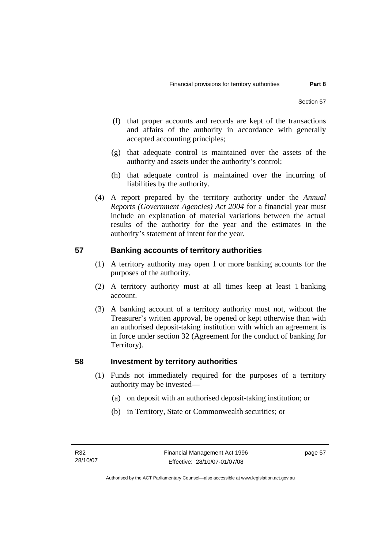- (f) that proper accounts and records are kept of the transactions and affairs of the authority in accordance with generally accepted accounting principles;
- (g) that adequate control is maintained over the assets of the authority and assets under the authority's control;
- (h) that adequate control is maintained over the incurring of liabilities by the authority.
- (4) A report prepared by the territory authority under the *Annual Reports (Government Agencies) Act 2004* for a financial year must include an explanation of material variations between the actual results of the authority for the year and the estimates in the authority's statement of intent for the year.

# **57 Banking accounts of territory authorities**

- (1) A territory authority may open 1 or more banking accounts for the purposes of the authority.
- (2) A territory authority must at all times keep at least 1 banking account.
- (3) A banking account of a territory authority must not, without the Treasurer's written approval, be opened or kept otherwise than with an authorised deposit-taking institution with which an agreement is in force under section 32 (Agreement for the conduct of banking for Territory).

# **58 Investment by territory authorities**

- (1) Funds not immediately required for the purposes of a territory authority may be invested—
	- (a) on deposit with an authorised deposit-taking institution; or
	- (b) in Territory, State or Commonwealth securities; or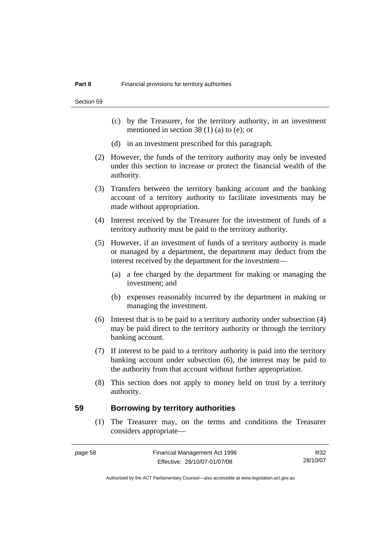Section 59

- (c) by the Treasurer, for the territory authority, in an investment mentioned in section 38 (1) (a) to (e); or
- (d) in an investment prescribed for this paragraph.
- (2) However, the funds of the territory authority may only be invested under this section to increase or protect the financial wealth of the authority.
- (3) Transfers between the territory banking account and the banking account of a territory authority to facilitate investments may be made without appropriation.
- (4) Interest received by the Treasurer for the investment of funds of a territory authority must be paid to the territory authority.
- (5) However, if an investment of funds of a territory authority is made or managed by a department, the department may deduct from the interest received by the department for the investment—
	- (a) a fee charged by the department for making or managing the investment; and
	- (b) expenses reasonably incurred by the department in making or managing the investment.
- (6) Interest that is to be paid to a territory authority under subsection (4) may be paid direct to the territory authority or through the territory banking account.
- (7) If interest to be paid to a territory authority is paid into the territory banking account under subsection (6), the interest may be paid to the authority from that account without further appropriation.
- (8) This section does not apply to money held on trust by a territory authority.

#### **59 Borrowing by territory authorities**

 (1) The Treasurer may, on the terms and conditions the Treasurer considers appropriate—

R32 28/10/07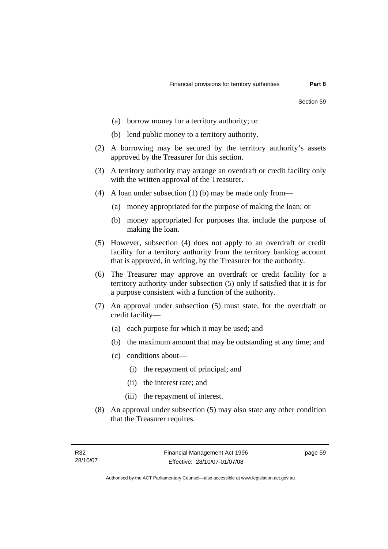- (a) borrow money for a territory authority; or
- (b) lend public money to a territory authority.
- (2) A borrowing may be secured by the territory authority's assets approved by the Treasurer for this section.
- (3) A territory authority may arrange an overdraft or credit facility only with the written approval of the Treasurer.
- (4) A loan under subsection (1) (b) may be made only from—
	- (a) money appropriated for the purpose of making the loan; or
	- (b) money appropriated for purposes that include the purpose of making the loan.
- (5) However, subsection (4) does not apply to an overdraft or credit facility for a territory authority from the territory banking account that is approved, in writing, by the Treasurer for the authority.
- (6) The Treasurer may approve an overdraft or credit facility for a territory authority under subsection (5) only if satisfied that it is for a purpose consistent with a function of the authority.
- (7) An approval under subsection (5) must state, for the overdraft or credit facility—
	- (a) each purpose for which it may be used; and
	- (b) the maximum amount that may be outstanding at any time; and
	- (c) conditions about—
		- (i) the repayment of principal; and
		- (ii) the interest rate; and
		- (iii) the repayment of interest.
- (8) An approval under subsection (5) may also state any other condition that the Treasurer requires.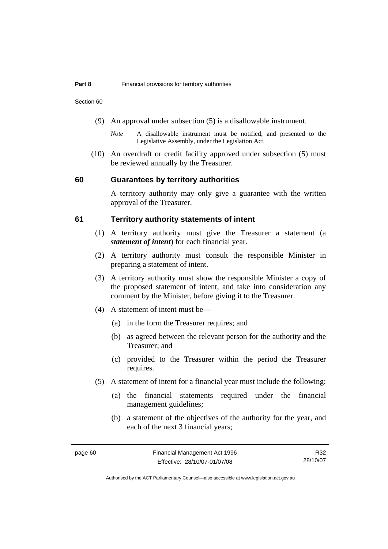Section 60

- (9) An approval under subsection (5) is a disallowable instrument.
	- *Note* A disallowable instrument must be notified, and presented to the Legislative Assembly, under the Legislation Act.
- (10) An overdraft or credit facility approved under subsection (5) must be reviewed annually by the Treasurer.

#### **60 Guarantees by territory authorities**

A territory authority may only give a guarantee with the written approval of the Treasurer.

### **61 Territory authority statements of intent**

- (1) A territory authority must give the Treasurer a statement (a *statement of intent*) for each financial year.
- (2) A territory authority must consult the responsible Minister in preparing a statement of intent.
- (3) A territory authority must show the responsible Minister a copy of the proposed statement of intent, and take into consideration any comment by the Minister, before giving it to the Treasurer.
- (4) A statement of intent must be—
	- (a) in the form the Treasurer requires; and
	- (b) as agreed between the relevant person for the authority and the Treasurer; and
	- (c) provided to the Treasurer within the period the Treasurer requires.
- (5) A statement of intent for a financial year must include the following:
	- (a) the financial statements required under the financial management guidelines;
	- (b) a statement of the objectives of the authority for the year, and each of the next 3 financial years;

R32 28/10/07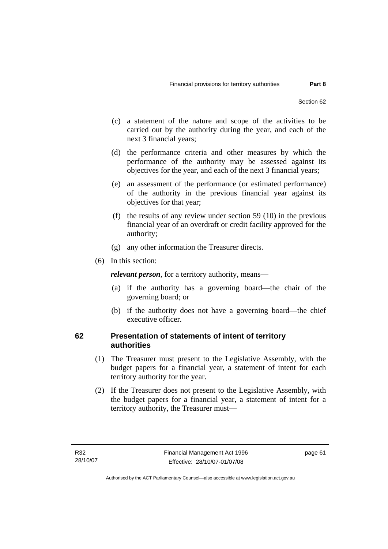- (c) a statement of the nature and scope of the activities to be carried out by the authority during the year, and each of the next 3 financial years;
- (d) the performance criteria and other measures by which the performance of the authority may be assessed against its objectives for the year, and each of the next 3 financial years;
- (e) an assessment of the performance (or estimated performance) of the authority in the previous financial year against its objectives for that year;
- (f) the results of any review under section 59 (10) in the previous financial year of an overdraft or credit facility approved for the authority;
- (g) any other information the Treasurer directs.
- (6) In this section:

*relevant person*, for a territory authority, means—

- (a) if the authority has a governing board—the chair of the governing board; or
- (b) if the authority does not have a governing board—the chief executive officer.

# **62 Presentation of statements of intent of territory authorities**

- (1) The Treasurer must present to the Legislative Assembly, with the budget papers for a financial year, a statement of intent for each territory authority for the year.
- (2) If the Treasurer does not present to the Legislative Assembly, with the budget papers for a financial year, a statement of intent for a territory authority, the Treasurer must—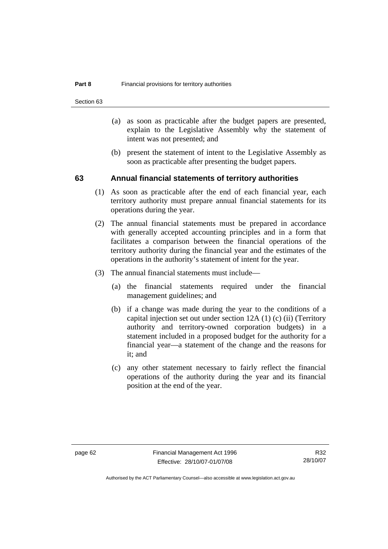Section 63

- (a) as soon as practicable after the budget papers are presented, explain to the Legislative Assembly why the statement of intent was not presented; and
- (b) present the statement of intent to the Legislative Assembly as soon as practicable after presenting the budget papers.

### **63 Annual financial statements of territory authorities**

- (1) As soon as practicable after the end of each financial year, each territory authority must prepare annual financial statements for its operations during the year.
- (2) The annual financial statements must be prepared in accordance with generally accepted accounting principles and in a form that facilitates a comparison between the financial operations of the territory authority during the financial year and the estimates of the operations in the authority's statement of intent for the year.
- (3) The annual financial statements must include—
	- (a) the financial statements required under the financial management guidelines; and
	- (b) if a change was made during the year to the conditions of a capital injection set out under section 12A (1) (c) (ii) (Territory authority and territory-owned corporation budgets) in a statement included in a proposed budget for the authority for a financial year—a statement of the change and the reasons for it; and
	- (c) any other statement necessary to fairly reflect the financial operations of the authority during the year and its financial position at the end of the year.

R32 28/10/07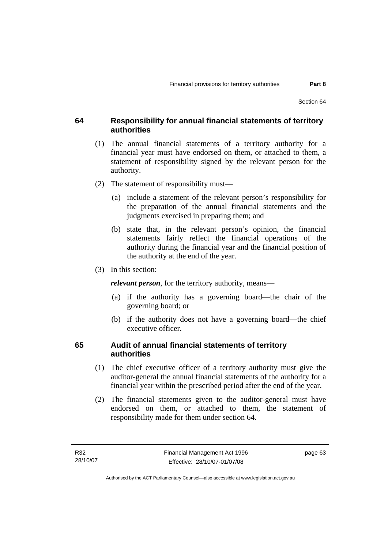#### **64 Responsibility for annual financial statements of territory authorities**

- (1) The annual financial statements of a territory authority for a financial year must have endorsed on them, or attached to them, a statement of responsibility signed by the relevant person for the authority.
- (2) The statement of responsibility must—
	- (a) include a statement of the relevant person's responsibility for the preparation of the annual financial statements and the judgments exercised in preparing them; and
	- (b) state that, in the relevant person's opinion, the financial statements fairly reflect the financial operations of the authority during the financial year and the financial position of the authority at the end of the year.
- (3) In this section:

*relevant person*, for the territory authority, means—

- (a) if the authority has a governing board—the chair of the governing board; or
- (b) if the authority does not have a governing board—the chief executive officer.

#### **65 Audit of annual financial statements of territory authorities**

- (1) The chief executive officer of a territory authority must give the auditor-general the annual financial statements of the authority for a financial year within the prescribed period after the end of the year.
- (2) The financial statements given to the auditor-general must have endorsed on them, or attached to them, the statement of responsibility made for them under section 64.

page 63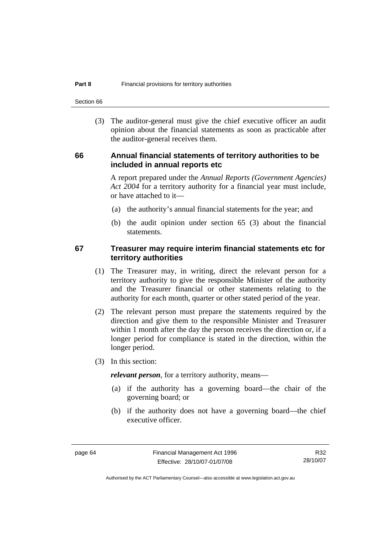Section 66

 (3) The auditor-general must give the chief executive officer an audit opinion about the financial statements as soon as practicable after the auditor-general receives them.

#### **66 Annual financial statements of territory authorities to be included in annual reports etc**

A report prepared under the *Annual Reports (Government Agencies) Act 2004* for a territory authority for a financial year must include, or have attached to it—

- (a) the authority's annual financial statements for the year; and
- (b) the audit opinion under section 65 (3) about the financial statements.

#### **67 Treasurer may require interim financial statements etc for territory authorities**

- (1) The Treasurer may, in writing, direct the relevant person for a territory authority to give the responsible Minister of the authority and the Treasurer financial or other statements relating to the authority for each month, quarter or other stated period of the year.
- (2) The relevant person must prepare the statements required by the direction and give them to the responsible Minister and Treasurer within 1 month after the day the person receives the direction or, if a longer period for compliance is stated in the direction, within the longer period.
- (3) In this section:

*relevant person*, for a territory authority, means—

- (a) if the authority has a governing board—the chair of the governing board; or
- (b) if the authority does not have a governing board—the chief executive officer.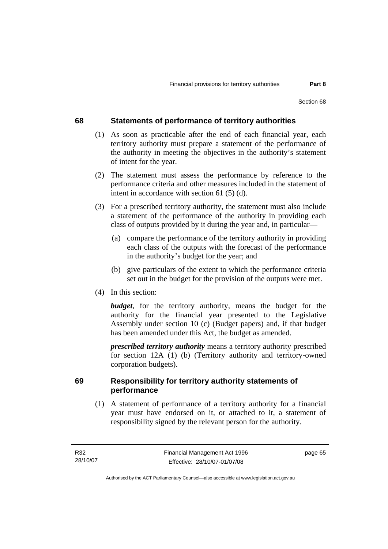#### **68 Statements of performance of territory authorities**

- (1) As soon as practicable after the end of each financial year, each territory authority must prepare a statement of the performance of the authority in meeting the objectives in the authority's statement of intent for the year.
- (2) The statement must assess the performance by reference to the performance criteria and other measures included in the statement of intent in accordance with section 61 (5) (d).
- (3) For a prescribed territory authority, the statement must also include a statement of the performance of the authority in providing each class of outputs provided by it during the year and, in particular—
	- (a) compare the performance of the territory authority in providing each class of the outputs with the forecast of the performance in the authority's budget for the year; and
	- (b) give particulars of the extent to which the performance criteria set out in the budget for the provision of the outputs were met.
- (4) In this section:

*budget*, for the territory authority, means the budget for the authority for the financial year presented to the Legislative Assembly under section 10 (c) (Budget papers) and, if that budget has been amended under this Act, the budget as amended.

*prescribed territory authority* means a territory authority prescribed for section 12A (1) (b) (Territory authority and territory-owned corporation budgets).

### **69 Responsibility for territory authority statements of performance**

 (1) A statement of performance of a territory authority for a financial year must have endorsed on it, or attached to it, a statement of responsibility signed by the relevant person for the authority.

page 65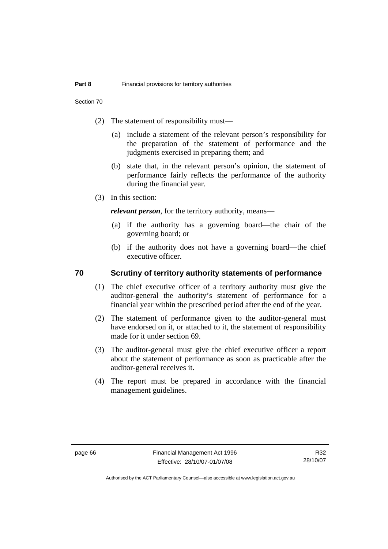Section 70

- (2) The statement of responsibility must—
	- (a) include a statement of the relevant person's responsibility for the preparation of the statement of performance and the judgments exercised in preparing them; and
	- (b) state that, in the relevant person's opinion, the statement of performance fairly reflects the performance of the authority during the financial year.
- (3) In this section:

*relevant person*, for the territory authority, means—

- (a) if the authority has a governing board—the chair of the governing board; or
- (b) if the authority does not have a governing board—the chief executive officer.

#### **70 Scrutiny of territory authority statements of performance**

- (1) The chief executive officer of a territory authority must give the auditor-general the authority's statement of performance for a financial year within the prescribed period after the end of the year.
- (2) The statement of performance given to the auditor-general must have endorsed on it, or attached to it, the statement of responsibility made for it under section 69.
- (3) The auditor-general must give the chief executive officer a report about the statement of performance as soon as practicable after the auditor-general receives it.
- (4) The report must be prepared in accordance with the financial management guidelines.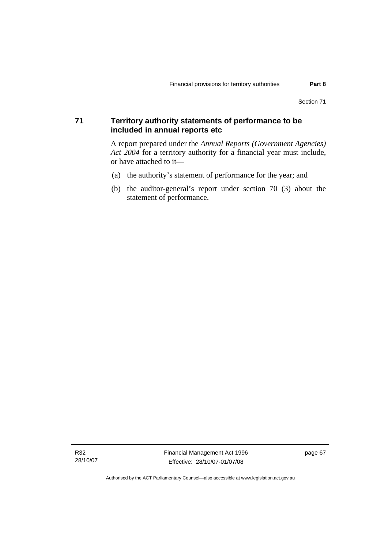## **71 Territory authority statements of performance to be included in annual reports etc**

A report prepared under the *Annual Reports (Government Agencies) Act 2004* for a territory authority for a financial year must include, or have attached to it—

- (a) the authority's statement of performance for the year; and
- (b) the auditor-general's report under section 70 (3) about the statement of performance.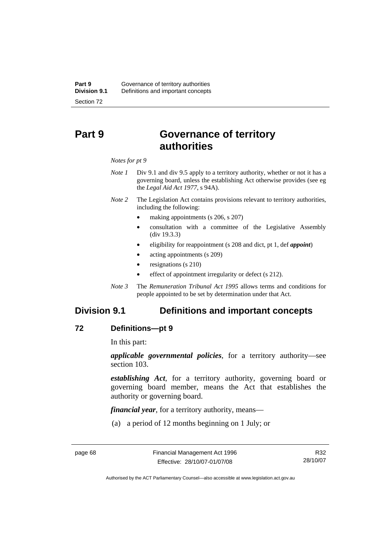# **Part 9 Governance of territory authorities**

#### *Notes for pt 9*

- *Note 1* Div 9.1 and div 9.5 apply to a territory authority, whether or not it has a governing board, unless the establishing Act otherwise provides (see eg the *Legal Aid Act 1977*, s 94A).
- *Note 2* The Legislation Act contains provisions relevant to territory authorities, including the following:
	- making appointments (s 206, s 207)
	- consultation with a committee of the Legislative Assembly (div 19.3.3)
	- eligibility for reappointment (s 208 and dict, pt 1, def *appoint*)
	- acting appointments (s 209)
	- resignations (s 210)
	- effect of appointment irregularity or defect (s 212).
- *Note 3* The *Remuneration Tribunal Act 1995* allows terms and conditions for people appointed to be set by determination under that Act.

# **Division 9.1 Definitions and important concepts**

#### **72 Definitions—pt 9**

In this part:

*applicable governmental policies*, for a territory authority—see section 103.

*establishing Act*, for a territory authority, governing board or governing board member, means the Act that establishes the authority or governing board.

*financial year*, for a territory authority, means—

(a) a period of 12 months beginning on 1 July; or

R32 28/10/07

Authorised by the ACT Parliamentary Counsel—also accessible at www.legislation.act.gov.au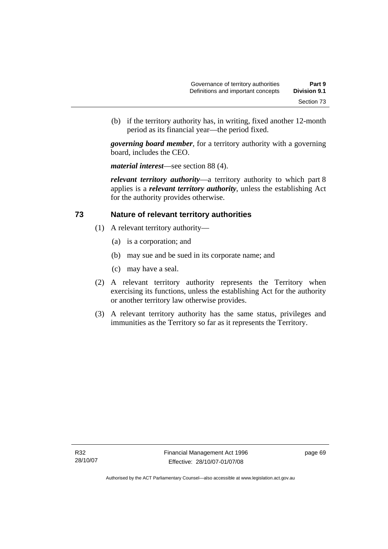(b) if the territory authority has, in writing, fixed another 12-month period as its financial year—the period fixed.

*governing board member*, for a territory authority with a governing board, includes the CEO.

*material interest*—see section 88 (4).

*relevant territory authority*—a territory authority to which part 8 applies is a *relevant territory authority*, unless the establishing Act for the authority provides otherwise.

#### **73 Nature of relevant territory authorities**

- (1) A relevant territory authority—
	- (a) is a corporation; and
	- (b) may sue and be sued in its corporate name; and
	- (c) may have a seal.
- (2) A relevant territory authority represents the Territory when exercising its functions, unless the establishing Act for the authority or another territory law otherwise provides.
- (3) A relevant territory authority has the same status, privileges and immunities as the Territory so far as it represents the Territory.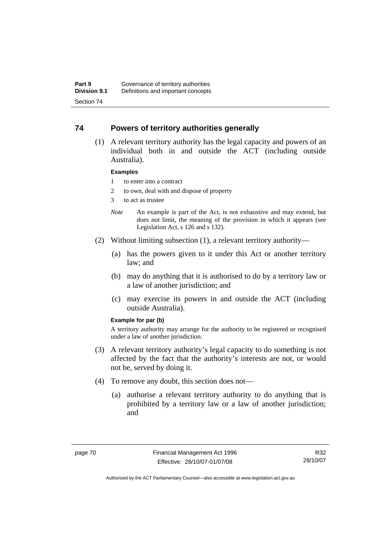#### **74 Powers of territory authorities generally**

 (1) A relevant territory authority has the legal capacity and powers of an individual both in and outside the ACT (including outside Australia).

#### **Examples**

- 1 to enter into a contract
- 2 to own, deal with and dispose of property
- 3 to act as trustee
- *Note* An example is part of the Act, is not exhaustive and may extend, but does not limit, the meaning of the provision in which it appears (see Legislation Act, s 126 and s 132).
- (2) Without limiting subsection (1), a relevant territory authority—
	- (a) has the powers given to it under this Act or another territory law; and
	- (b) may do anything that it is authorised to do by a territory law or a law of another jurisdiction; and
	- (c) may exercise its powers in and outside the ACT (including outside Australia).

#### **Example for par (b)**

A territory authority may arrange for the authority to be registered or recognised under a law of another jurisdiction.

- (3) A relevant territory authority's legal capacity to do something is not affected by the fact that the authority's interests are not, or would not be, served by doing it.
- (4) To remove any doubt, this section does not—
	- (a) authorise a relevant territory authority to do anything that is prohibited by a territory law or a law of another jurisdiction; and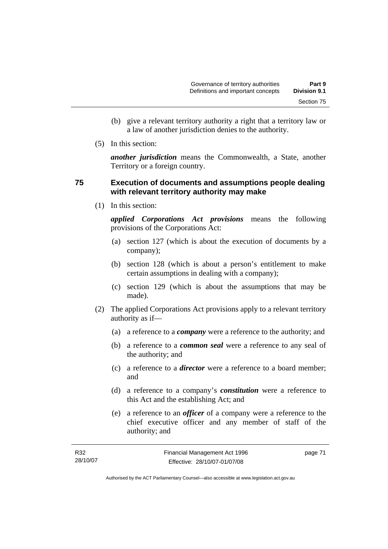- (b) give a relevant territory authority a right that a territory law or a law of another jurisdiction denies to the authority.
- (5) In this section:

*another jurisdiction* means the Commonwealth, a State, another Territory or a foreign country.

### **75 Execution of documents and assumptions people dealing with relevant territory authority may make**

(1) In this section:

*applied Corporations Act provisions* means the following provisions of the Corporations Act:

- (a) section 127 (which is about the execution of documents by a company);
- (b) section 128 (which is about a person's entitlement to make certain assumptions in dealing with a company);
- (c) section 129 (which is about the assumptions that may be made).
- (2) The applied Corporations Act provisions apply to a relevant territory authority as if—
	- (a) a reference to a *company* were a reference to the authority; and
	- (b) a reference to a *common seal* were a reference to any seal of the authority; and
	- (c) a reference to a *director* were a reference to a board member; and
	- (d) a reference to a company's *constitution* were a reference to this Act and the establishing Act; and
	- (e) a reference to an *officer* of a company were a reference to the chief executive officer and any member of staff of the authority; and

| R32      | Financial Management Act 1996 | page 71 |
|----------|-------------------------------|---------|
| 28/10/07 | Effective: 28/10/07-01/07/08  |         |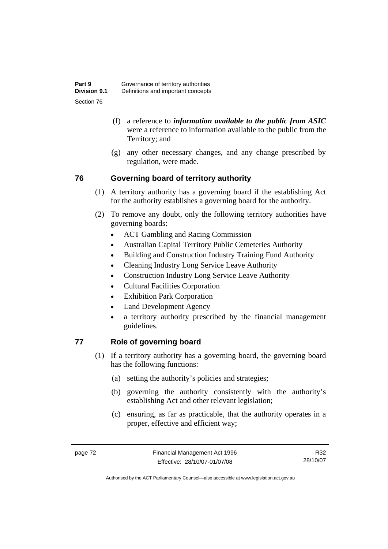- (f) a reference to *information available to the public from ASIC*  were a reference to information available to the public from the Territory; and
- (g) any other necessary changes, and any change prescribed by regulation, were made.

## **76 Governing board of territory authority**

- (1) A territory authority has a governing board if the establishing Act for the authority establishes a governing board for the authority.
- (2) To remove any doubt, only the following territory authorities have governing boards:
	- ACT Gambling and Racing Commission
	- Australian Capital Territory Public Cemeteries Authority
	- Building and Construction Industry Training Fund Authority
	- Cleaning Industry Long Service Leave Authority
	- Construction Industry Long Service Leave Authority
	- Cultural Facilities Corporation
	- Exhibition Park Corporation
	- Land Development Agency
	- a territory authority prescribed by the financial management guidelines.

# **77 Role of governing board**

- (1) If a territory authority has a governing board, the governing board has the following functions:
	- (a) setting the authority's policies and strategies;
	- (b) governing the authority consistently with the authority's establishing Act and other relevant legislation;
	- (c) ensuring, as far as practicable, that the authority operates in a proper, effective and efficient way;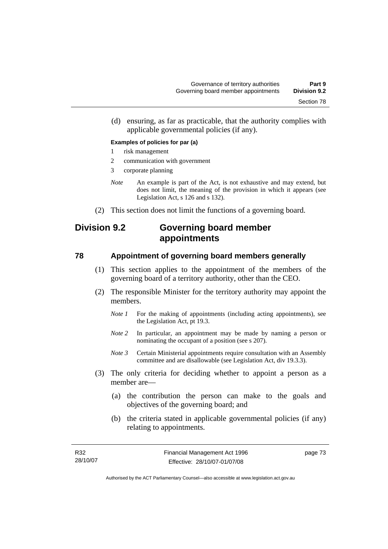(d) ensuring, as far as practicable, that the authority complies with applicable governmental policies (if any).

#### **Examples of policies for par (a)**

- 1 risk management
- 2 communication with government
- 3 corporate planning
- *Note* An example is part of the Act, is not exhaustive and may extend, but does not limit, the meaning of the provision in which it appears (see Legislation Act, s 126 and s 132).
- (2) This section does not limit the functions of a governing board.

# **Division 9.2 Governing board member appointments**

#### **78 Appointment of governing board members generally**

- (1) This section applies to the appointment of the members of the governing board of a territory authority, other than the CEO.
- (2) The responsible Minister for the territory authority may appoint the members.
	- *Note 1* For the making of appointments (including acting appointments), see the Legislation Act, pt 19.3.
	- *Note 2* In particular, an appointment may be made by naming a person or nominating the occupant of a position (see s 207).
	- *Note 3* Certain Ministerial appointments require consultation with an Assembly committee and are disallowable (see Legislation Act, div 19.3.3).
- (3) The only criteria for deciding whether to appoint a person as a member are—
	- (a) the contribution the person can make to the goals and objectives of the governing board; and
	- (b) the criteria stated in applicable governmental policies (if any) relating to appointments.

page 73

Authorised by the ACT Parliamentary Counsel—also accessible at www.legislation.act.gov.au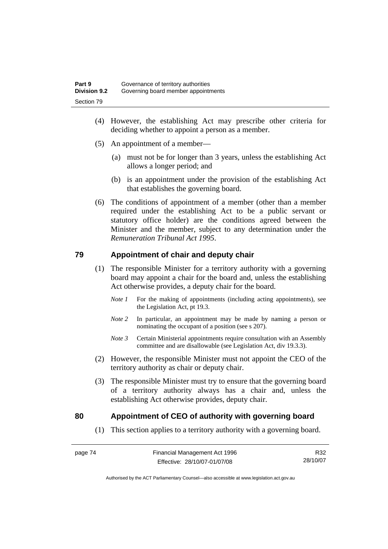- (4) However, the establishing Act may prescribe other criteria for deciding whether to appoint a person as a member.
- (5) An appointment of a member—
	- (a) must not be for longer than 3 years, unless the establishing Act allows a longer period; and
	- (b) is an appointment under the provision of the establishing Act that establishes the governing board.
- (6) The conditions of appointment of a member (other than a member required under the establishing Act to be a public servant or statutory office holder) are the conditions agreed between the Minister and the member, subject to any determination under the *Remuneration Tribunal Act 1995*.

#### **79 Appointment of chair and deputy chair**

- (1) The responsible Minister for a territory authority with a governing board may appoint a chair for the board and, unless the establishing Act otherwise provides, a deputy chair for the board.
	- *Note 1* For the making of appointments (including acting appointments), see the Legislation Act, pt 19.3.
	- *Note 2* In particular, an appointment may be made by naming a person or nominating the occupant of a position (see s 207).
	- *Note 3* Certain Ministerial appointments require consultation with an Assembly committee and are disallowable (see Legislation Act, div 19.3.3).
- (2) However, the responsible Minister must not appoint the CEO of the territory authority as chair or deputy chair.
- (3) The responsible Minister must try to ensure that the governing board of a territory authority always has a chair and, unless the establishing Act otherwise provides, deputy chair.

#### **80 Appointment of CEO of authority with governing board**

(1) This section applies to a territory authority with a governing board.

R32 28/10/07

Authorised by the ACT Parliamentary Counsel—also accessible at www.legislation.act.gov.au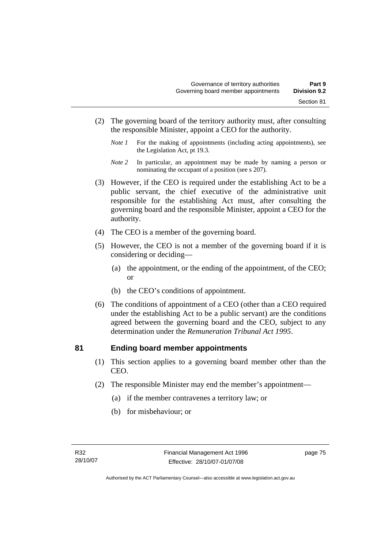- (2) The governing board of the territory authority must, after consulting the responsible Minister, appoint a CEO for the authority.
	- *Note 1* For the making of appointments (including acting appointments), see the Legislation Act, pt 19.3.
	- *Note 2* In particular, an appointment may be made by naming a person or nominating the occupant of a position (see s 207).
- (3) However, if the CEO is required under the establishing Act to be a public servant, the chief executive of the administrative unit responsible for the establishing Act must, after consulting the governing board and the responsible Minister, appoint a CEO for the authority.
- (4) The CEO is a member of the governing board.
- (5) However, the CEO is not a member of the governing board if it is considering or deciding—
	- (a) the appointment, or the ending of the appointment, of the CEO; or
	- (b) the CEO's conditions of appointment.
- (6) The conditions of appointment of a CEO (other than a CEO required under the establishing Act to be a public servant) are the conditions agreed between the governing board and the CEO, subject to any determination under the *Remuneration Tribunal Act 1995*.

#### **81 Ending board member appointments**

- (1) This section applies to a governing board member other than the CEO.
- (2) The responsible Minister may end the member's appointment—
	- (a) if the member contravenes a territory law; or
	- (b) for misbehaviour; or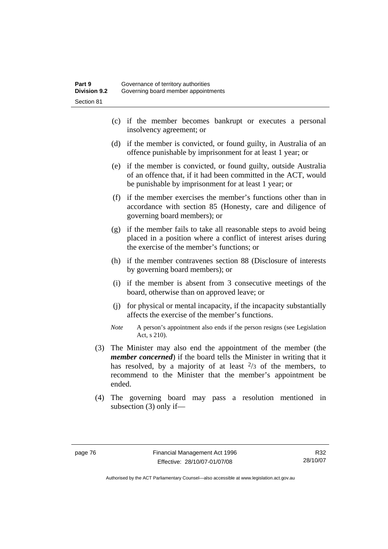- (c) if the member becomes bankrupt or executes a personal insolvency agreement; or
- (d) if the member is convicted, or found guilty, in Australia of an offence punishable by imprisonment for at least 1 year; or
- (e) if the member is convicted, or found guilty, outside Australia of an offence that, if it had been committed in the ACT, would be punishable by imprisonment for at least 1 year; or
- (f) if the member exercises the member's functions other than in accordance with section 85 (Honesty, care and diligence of governing board members); or
- (g) if the member fails to take all reasonable steps to avoid being placed in a position where a conflict of interest arises during the exercise of the member's functions; or
- (h) if the member contravenes section 88 (Disclosure of interests by governing board members); or
- (i) if the member is absent from 3 consecutive meetings of the board, otherwise than on approved leave; or
- (j) for physical or mental incapacity, if the incapacity substantially affects the exercise of the member's functions.
- *Note* A person's appointment also ends if the person resigns (see Legislation Act, s 210).
- (3) The Minister may also end the appointment of the member (the *member concerned*) if the board tells the Minister in writing that it has resolved, by a majority of at least  $\frac{2}{3}$  of the members, to recommend to the Minister that the member's appointment be ended.
- (4) The governing board may pass a resolution mentioned in subsection (3) only if—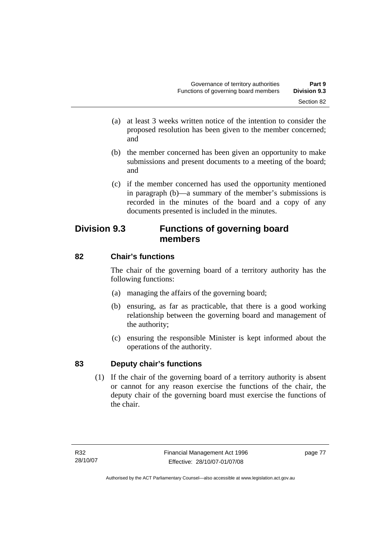- (a) at least 3 weeks written notice of the intention to consider the proposed resolution has been given to the member concerned; and
- (b) the member concerned has been given an opportunity to make submissions and present documents to a meeting of the board; and
- (c) if the member concerned has used the opportunity mentioned in paragraph (b)—a summary of the member's submissions is recorded in the minutes of the board and a copy of any documents presented is included in the minutes.

# **Division 9.3 Functions of governing board members**

# **82 Chair's functions**

The chair of the governing board of a territory authority has the following functions:

- (a) managing the affairs of the governing board;
- (b) ensuring, as far as practicable, that there is a good working relationship between the governing board and management of the authority;
- (c) ensuring the responsible Minister is kept informed about the operations of the authority.

# **83 Deputy chair's functions**

 (1) If the chair of the governing board of a territory authority is absent or cannot for any reason exercise the functions of the chair, the deputy chair of the governing board must exercise the functions of the chair.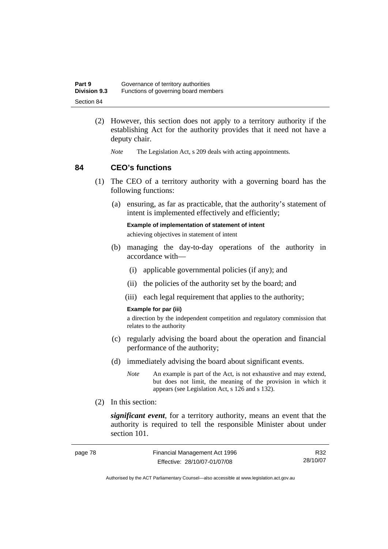| Part 9              | Governance of territory authorities  |
|---------------------|--------------------------------------|
| <b>Division 9.3</b> | Functions of governing board members |
| Section 84          |                                      |

- (2) However, this section does not apply to a territory authority if the establishing Act for the authority provides that it need not have a deputy chair.
	- *Note* The Legislation Act, s 209 deals with acting appointments.

#### **84 CEO's functions**

- (1) The CEO of a territory authority with a governing board has the following functions:
	- (a) ensuring, as far as practicable, that the authority's statement of intent is implemented effectively and efficiently;

**Example of implementation of statement of intent** 

achieving objectives in statement of intent

- (b) managing the day-to-day operations of the authority in accordance with—
	- (i) applicable governmental policies (if any); and
	- (ii) the policies of the authority set by the board; and
	- (iii) each legal requirement that applies to the authority;

#### **Example for par (iii)**

a direction by the independent competition and regulatory commission that relates to the authority

- (c) regularly advising the board about the operation and financial performance of the authority;
- (d) immediately advising the board about significant events.
	- *Note* An example is part of the Act, is not exhaustive and may extend, but does not limit, the meaning of the provision in which it appears (see Legislation Act, s 126 and s 132).
- (2) In this section:

*significant event*, for a territory authority, means an event that the authority is required to tell the responsible Minister about under section 101.

| page 78 | Financial Management Act 1996 | R32      |
|---------|-------------------------------|----------|
|         | Effective: 28/10/07-01/07/08  | 28/10/07 |

Authorised by the ACT Parliamentary Counsel—also accessible at www.legislation.act.gov.au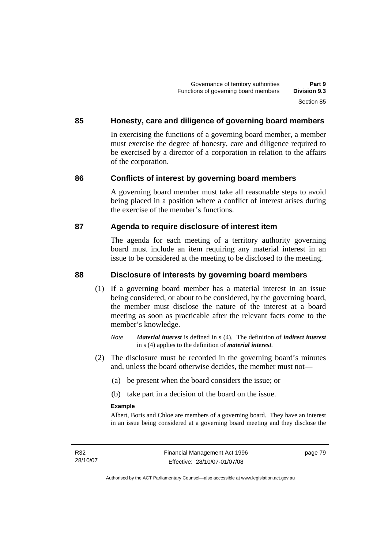## **85 Honesty, care and diligence of governing board members**

In exercising the functions of a governing board member, a member must exercise the degree of honesty, care and diligence required to be exercised by a director of a corporation in relation to the affairs of the corporation.

## **86 Conflicts of interest by governing board members**

A governing board member must take all reasonable steps to avoid being placed in a position where a conflict of interest arises during the exercise of the member's functions.

#### **87 Agenda to require disclosure of interest item**

The agenda for each meeting of a territory authority governing board must include an item requiring any material interest in an issue to be considered at the meeting to be disclosed to the meeting.

### **88 Disclosure of interests by governing board members**

- (1) If a governing board member has a material interest in an issue being considered, or about to be considered, by the governing board, the member must disclose the nature of the interest at a board meeting as soon as practicable after the relevant facts come to the member's knowledge.
	- *Note Material interest* is defined in s (4). The definition of *indirect interest* in s (4) applies to the definition of *material interest*.
- (2) The disclosure must be recorded in the governing board's minutes and, unless the board otherwise decides, the member must not—
	- (a) be present when the board considers the issue; or
	- (b) take part in a decision of the board on the issue.

#### **Example**

Albert, Boris and Chloe are members of a governing board. They have an interest in an issue being considered at a governing board meeting and they disclose the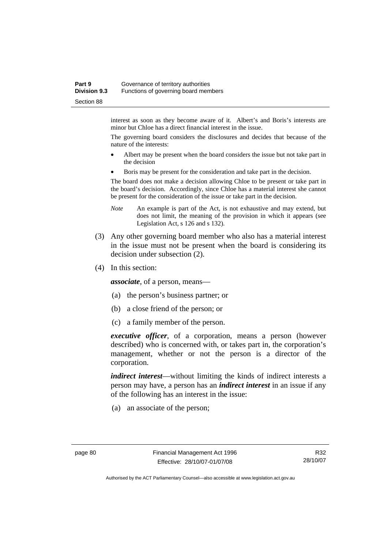#### **Part 9 Governance of territory authorities Division 9.3** Functions of governing board members Section 88

interest as soon as they become aware of it. Albert's and Boris's interests are minor but Chloe has a direct financial interest in the issue.

The governing board considers the disclosures and decides that because of the nature of the interests:

- Albert may be present when the board considers the issue but not take part in the decision
- Boris may be present for the consideration and take part in the decision.

The board does not make a decision allowing Chloe to be present or take part in the board's decision. Accordingly, since Chloe has a material interest she cannot be present for the consideration of the issue or take part in the decision.

- *Note* An example is part of the Act, is not exhaustive and may extend, but does not limit, the meaning of the provision in which it appears (see Legislation Act, s 126 and s 132).
- (3) Any other governing board member who also has a material interest in the issue must not be present when the board is considering its decision under subsection (2).
- (4) In this section:

*associate*, of a person, means—

- (a) the person's business partner; or
- (b) a close friend of the person; or
- (c) a family member of the person.

*executive officer*, of a corporation, means a person (however described) who is concerned with, or takes part in, the corporation's management, whether or not the person is a director of the corporation.

*indirect interest*—without limiting the kinds of indirect interests a person may have, a person has an *indirect interest* in an issue if any of the following has an interest in the issue:

(a) an associate of the person;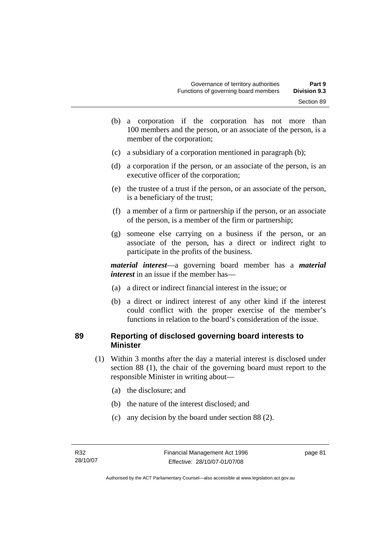- (b) a corporation if the corporation has not more than 100 members and the person, or an associate of the person, is a member of the corporation;
- (c) a subsidiary of a corporation mentioned in paragraph (b);
- (d) a corporation if the person, or an associate of the person, is an executive officer of the corporation;
- (e) the trustee of a trust if the person, or an associate of the person, is a beneficiary of the trust;
- (f) a member of a firm or partnership if the person, or an associate of the person, is a member of the firm or partnership;
- (g) someone else carrying on a business if the person, or an associate of the person, has a direct or indirect right to participate in the profits of the business.

*material interest*—a governing board member has a *material interest* in an issue if the member has—

- (a) a direct or indirect financial interest in the issue; or
- (b) a direct or indirect interest of any other kind if the interest could conflict with the proper exercise of the member's functions in relation to the board's consideration of the issue.

#### **89 Reporting of disclosed governing board interests to Minister**

- (1) Within 3 months after the day a material interest is disclosed under section 88 (1), the chair of the governing board must report to the responsible Minister in writing about—
	- (a) the disclosure; and
	- (b) the nature of the interest disclosed; and
	- (c) any decision by the board under section 88 (2).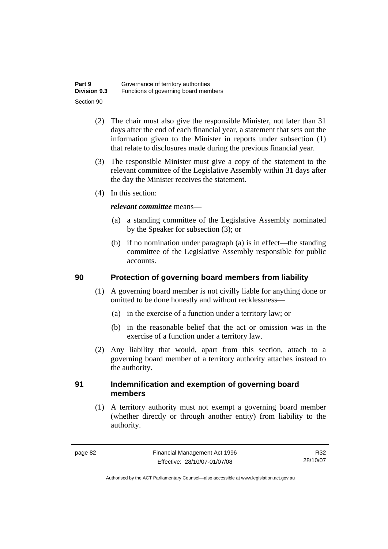| Part 9              | Governance of territory authorities  |
|---------------------|--------------------------------------|
| <b>Division 9.3</b> | Functions of governing board members |
| Section 90          |                                      |

- (2) The chair must also give the responsible Minister, not later than 31 days after the end of each financial year, a statement that sets out the information given to the Minister in reports under subsection (1) that relate to disclosures made during the previous financial year.
- (3) The responsible Minister must give a copy of the statement to the relevant committee of the Legislative Assembly within 31 days after the day the Minister receives the statement.
- (4) In this section:

#### *relevant committee* means—

- (a) a standing committee of the Legislative Assembly nominated by the Speaker for subsection (3); or
- (b) if no nomination under paragraph (a) is in effect—the standing committee of the Legislative Assembly responsible for public accounts.

#### **90 Protection of governing board members from liability**

- (1) A governing board member is not civilly liable for anything done or omitted to be done honestly and without recklessness—
	- (a) in the exercise of a function under a territory law; or
	- (b) in the reasonable belief that the act or omission was in the exercise of a function under a territory law.
- (2) Any liability that would, apart from this section, attach to a governing board member of a territory authority attaches instead to the authority.

#### **91 Indemnification and exemption of governing board members**

 (1) A territory authority must not exempt a governing board member (whether directly or through another entity) from liability to the authority.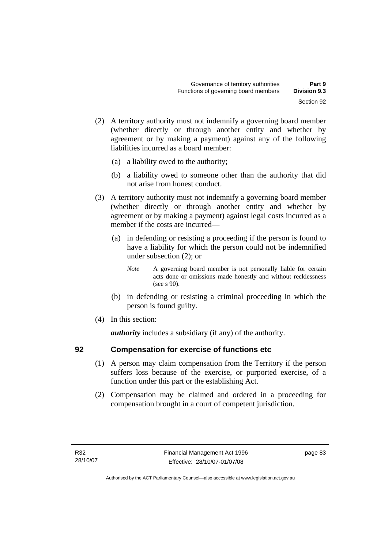- (2) A territory authority must not indemnify a governing board member (whether directly or through another entity and whether by agreement or by making a payment) against any of the following liabilities incurred as a board member:
	- (a) a liability owed to the authority;
	- (b) a liability owed to someone other than the authority that did not arise from honest conduct.
- (3) A territory authority must not indemnify a governing board member (whether directly or through another entity and whether by agreement or by making a payment) against legal costs incurred as a member if the costs are incurred—
	- (a) in defending or resisting a proceeding if the person is found to have a liability for which the person could not be indemnified under subsection (2); or
		- *Note* A governing board member is not personally liable for certain acts done or omissions made honestly and without recklessness (see s 90).
	- (b) in defending or resisting a criminal proceeding in which the person is found guilty.
- (4) In this section:

*authority* includes a subsidiary (if any) of the authority.

## **92 Compensation for exercise of functions etc**

- (1) A person may claim compensation from the Territory if the person suffers loss because of the exercise, or purported exercise, of a function under this part or the establishing Act.
- (2) Compensation may be claimed and ordered in a proceeding for compensation brought in a court of competent jurisdiction.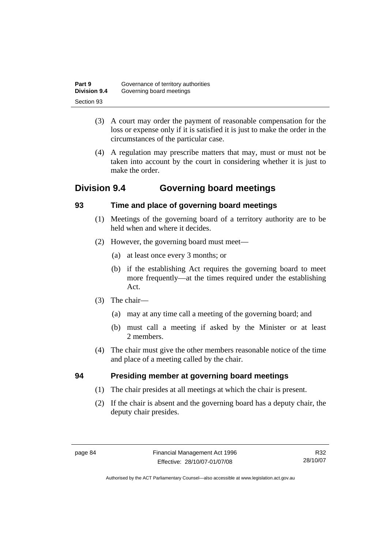| Part 9              | Governance of territory authorities |
|---------------------|-------------------------------------|
| <b>Division 9.4</b> | Governing board meetings            |
| Section 93          |                                     |

- (3) A court may order the payment of reasonable compensation for the loss or expense only if it is satisfied it is just to make the order in the circumstances of the particular case.
- (4) A regulation may prescribe matters that may, must or must not be taken into account by the court in considering whether it is just to make the order.

# **Division 9.4 Governing board meetings**

## **93 Time and place of governing board meetings**

- (1) Meetings of the governing board of a territory authority are to be held when and where it decides.
- (2) However, the governing board must meet—
	- (a) at least once every 3 months; or
	- (b) if the establishing Act requires the governing board to meet more frequently—at the times required under the establishing Act.
- (3) The chair—
	- (a) may at any time call a meeting of the governing board; and
	- (b) must call a meeting if asked by the Minister or at least 2 members.
- (4) The chair must give the other members reasonable notice of the time and place of a meeting called by the chair.

# **94 Presiding member at governing board meetings**

- (1) The chair presides at all meetings at which the chair is present.
- (2) If the chair is absent and the governing board has a deputy chair, the deputy chair presides.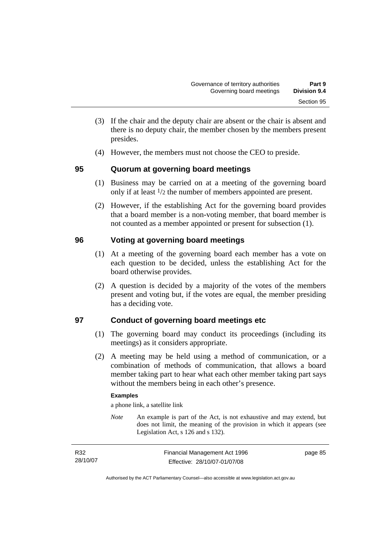- (3) If the chair and the deputy chair are absent or the chair is absent and there is no deputy chair, the member chosen by the members present presides.
- (4) However, the members must not choose the CEO to preside.

## **95 Quorum at governing board meetings**

- (1) Business may be carried on at a meeting of the governing board only if at least 1/2 the number of members appointed are present.
- (2) However, if the establishing Act for the governing board provides that a board member is a non-voting member, that board member is not counted as a member appointed or present for subsection (1).

## **96 Voting at governing board meetings**

- (1) At a meeting of the governing board each member has a vote on each question to be decided, unless the establishing Act for the board otherwise provides.
- (2) A question is decided by a majority of the votes of the members present and voting but, if the votes are equal, the member presiding has a deciding vote.

# **97 Conduct of governing board meetings etc**

- (1) The governing board may conduct its proceedings (including its meetings) as it considers appropriate.
- (2) A meeting may be held using a method of communication, or a combination of methods of communication, that allows a board member taking part to hear what each other member taking part says without the members being in each other's presence.

#### **Examples**

a phone link, a satellite link

*Note* An example is part of the Act, is not exhaustive and may extend, but does not limit, the meaning of the provision in which it appears (see Legislation Act, s 126 and s 132).

| R32      | Financial Management Act 1996 | page 85 |
|----------|-------------------------------|---------|
| 28/10/07 | Effective: 28/10/07-01/07/08  |         |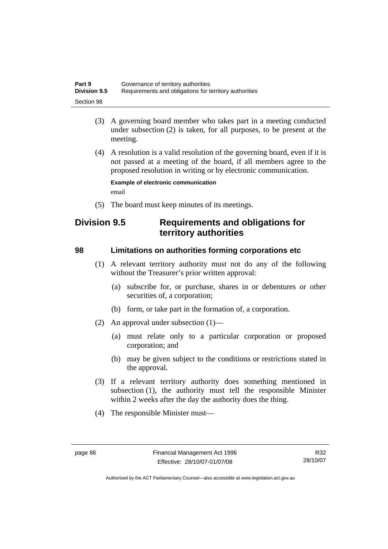| Part 9              | Governance of territory authorities                    |
|---------------------|--------------------------------------------------------|
| <b>Division 9.5</b> | Requirements and obligations for territory authorities |
| Section 98          |                                                        |

- (3) A governing board member who takes part in a meeting conducted under subsection (2) is taken, for all purposes, to be present at the meeting.
- (4) A resolution is a valid resolution of the governing board, even if it is not passed at a meeting of the board, if all members agree to the proposed resolution in writing or by electronic communication.

**Example of electronic communication**  email

(5) The board must keep minutes of its meetings.

# **Division 9.5 Requirements and obligations for territory authorities**

#### **98 Limitations on authorities forming corporations etc**

- (1) A relevant territory authority must not do any of the following without the Treasurer's prior written approval:
	- (a) subscribe for, or purchase, shares in or debentures or other securities of, a corporation;
	- (b) form, or take part in the formation of, a corporation.
- (2) An approval under subsection (1)—
	- (a) must relate only to a particular corporation or proposed corporation; and
	- (b) may be given subject to the conditions or restrictions stated in the approval.
- (3) If a relevant territory authority does something mentioned in subsection (1), the authority must tell the responsible Minister within 2 weeks after the day the authority does the thing.
- (4) The responsible Minister must—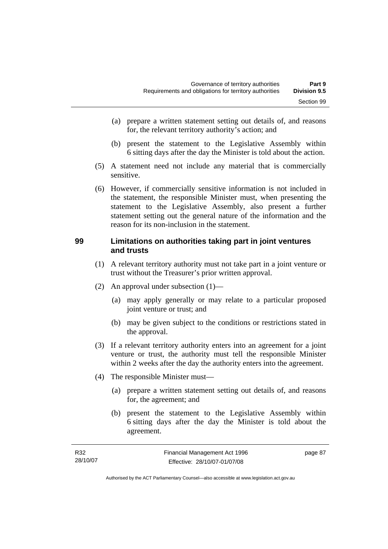- (a) prepare a written statement setting out details of, and reasons for, the relevant territory authority's action; and
- (b) present the statement to the Legislative Assembly within 6 sitting days after the day the Minister is told about the action.
- (5) A statement need not include any material that is commercially sensitive.
- (6) However, if commercially sensitive information is not included in the statement, the responsible Minister must, when presenting the statement to the Legislative Assembly, also present a further statement setting out the general nature of the information and the reason for its non-inclusion in the statement.

#### **99 Limitations on authorities taking part in joint ventures and trusts**

- (1) A relevant territory authority must not take part in a joint venture or trust without the Treasurer's prior written approval.
- (2) An approval under subsection (1)—
	- (a) may apply generally or may relate to a particular proposed joint venture or trust; and
	- (b) may be given subject to the conditions or restrictions stated in the approval.
- (3) If a relevant territory authority enters into an agreement for a joint venture or trust, the authority must tell the responsible Minister within 2 weeks after the day the authority enters into the agreement.
- (4) The responsible Minister must—
	- (a) prepare a written statement setting out details of, and reasons for, the agreement; and
	- (b) present the statement to the Legislative Assembly within 6 sitting days after the day the Minister is told about the agreement.

| R32      | Financial Management Act 1996 | page 87 |
|----------|-------------------------------|---------|
| 28/10/07 | Effective: 28/10/07-01/07/08  |         |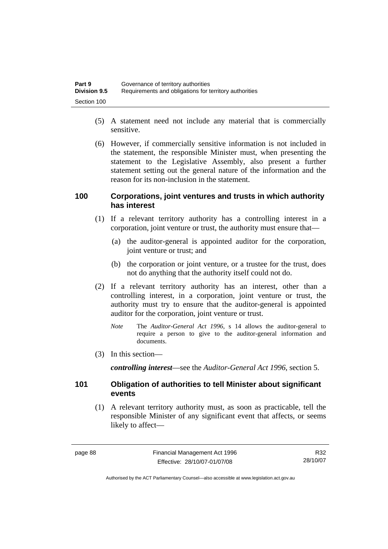| Part 9              | Governance of territory authorities                    |
|---------------------|--------------------------------------------------------|
| <b>Division 9.5</b> | Requirements and obligations for territory authorities |
| Section 100         |                                                        |

- (5) A statement need not include any material that is commercially sensitive.
- (6) However, if commercially sensitive information is not included in the statement, the responsible Minister must, when presenting the statement to the Legislative Assembly, also present a further statement setting out the general nature of the information and the reason for its non-inclusion in the statement.

#### **100 Corporations, joint ventures and trusts in which authority has interest**

- (1) If a relevant territory authority has a controlling interest in a corporation, joint venture or trust, the authority must ensure that—
	- (a) the auditor-general is appointed auditor for the corporation, joint venture or trust; and
	- (b) the corporation or joint venture, or a trustee for the trust, does not do anything that the authority itself could not do.
- (2) If a relevant territory authority has an interest, other than a controlling interest, in a corporation, joint venture or trust, the authority must try to ensure that the auditor-general is appointed auditor for the corporation, joint venture or trust.
	- *Note* The *Auditor-General Act 1996*, s 14 allows the auditor-general to require a person to give to the auditor-general information and documents.
- (3) In this section—

*controlling interest*—see the *Auditor-General Act 1996*, section 5.

#### **101 Obligation of authorities to tell Minister about significant events**

 (1) A relevant territory authority must, as soon as practicable, tell the responsible Minister of any significant event that affects, or seems likely to affect—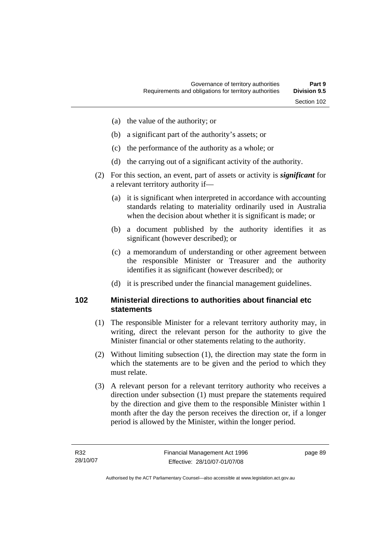- (a) the value of the authority; or
- (b) a significant part of the authority's assets; or
- (c) the performance of the authority as a whole; or
- (d) the carrying out of a significant activity of the authority.
- (2) For this section, an event, part of assets or activity is *significant* for a relevant territory authority if—
	- (a) it is significant when interpreted in accordance with accounting standards relating to materiality ordinarily used in Australia when the decision about whether it is significant is made; or
	- (b) a document published by the authority identifies it as significant (however described); or
	- (c) a memorandum of understanding or other agreement between the responsible Minister or Treasurer and the authority identifies it as significant (however described); or
	- (d) it is prescribed under the financial management guidelines.

#### **102 Ministerial directions to authorities about financial etc statements**

- (1) The responsible Minister for a relevant territory authority may, in writing, direct the relevant person for the authority to give the Minister financial or other statements relating to the authority.
- (2) Without limiting subsection (1), the direction may state the form in which the statements are to be given and the period to which they must relate.
- (3) A relevant person for a relevant territory authority who receives a direction under subsection (1) must prepare the statements required by the direction and give them to the responsible Minister within 1 month after the day the person receives the direction or, if a longer period is allowed by the Minister, within the longer period.

page 89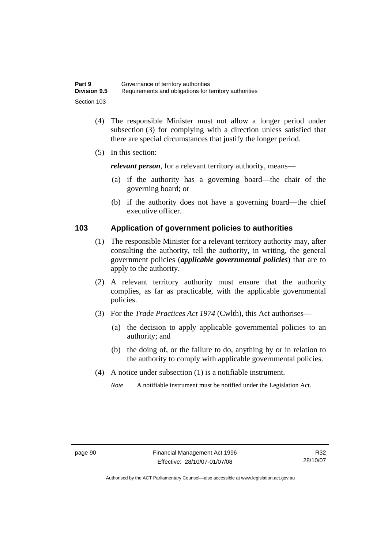| Part 9              | Governance of territory authorities                    |
|---------------------|--------------------------------------------------------|
| <b>Division 9.5</b> | Requirements and obligations for territory authorities |
| Section 103         |                                                        |

- (4) The responsible Minister must not allow a longer period under subsection (3) for complying with a direction unless satisfied that there are special circumstances that justify the longer period.
- (5) In this section:

*relevant person*, for a relevant territory authority, means—

- (a) if the authority has a governing board—the chair of the governing board; or
- (b) if the authority does not have a governing board—the chief executive officer.

#### **103 Application of government policies to authorities**

- (1) The responsible Minister for a relevant territory authority may, after consulting the authority, tell the authority, in writing, the general government policies (*applicable governmental policies*) that are to apply to the authority.
- (2) A relevant territory authority must ensure that the authority complies, as far as practicable, with the applicable governmental policies.
- (3) For the *Trade Practices Act 1974* (Cwlth), this Act authorises—
	- (a) the decision to apply applicable governmental policies to an authority; and
	- (b) the doing of, or the failure to do, anything by or in relation to the authority to comply with applicable governmental policies.
- (4) A notice under subsection (1) is a notifiable instrument.

*Note* A notifiable instrument must be notified under the Legislation Act.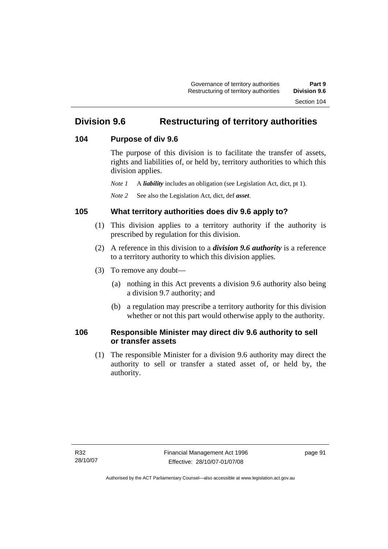# **Division 9.6 Restructuring of territory authorities**

#### **104 Purpose of div 9.6**

The purpose of this division is to facilitate the transfer of assets, rights and liabilities of, or held by, territory authorities to which this division applies.

*Note 1* A *liability* includes an obligation (see Legislation Act, dict, pt 1).

*Note 2* See also the Legislation Act, dict, def *asset*.

### **105 What territory authorities does div 9.6 apply to?**

- (1) This division applies to a territory authority if the authority is prescribed by regulation for this division.
- (2) A reference in this division to a *division 9.6 authority* is a reference to a territory authority to which this division applies.
- (3) To remove any doubt—
	- (a) nothing in this Act prevents a division 9.6 authority also being a division 9.7 authority; and
	- (b) a regulation may prescribe a territory authority for this division whether or not this part would otherwise apply to the authority.

## **106 Responsible Minister may direct div 9.6 authority to sell or transfer assets**

 (1) The responsible Minister for a division 9.6 authority may direct the authority to sell or transfer a stated asset of, or held by, the authority.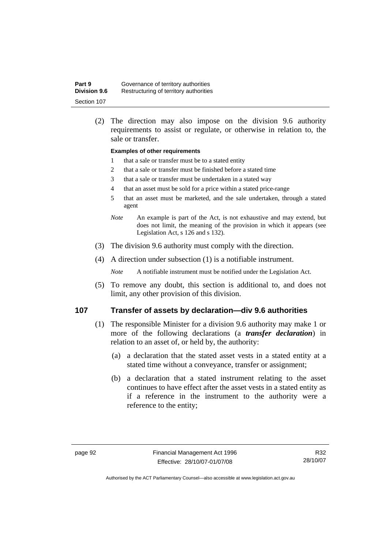| Part 9              | Governance of territory authorities    |
|---------------------|----------------------------------------|
| <b>Division 9.6</b> | Restructuring of territory authorities |
| Section 107         |                                        |

 (2) The direction may also impose on the division 9.6 authority requirements to assist or regulate, or otherwise in relation to, the sale or transfer.

#### **Examples of other requirements**

- 1 that a sale or transfer must be to a stated entity
- 2 that a sale or transfer must be finished before a stated time
- 3 that a sale or transfer must be undertaken in a stated way
- 4 that an asset must be sold for a price within a stated price-range
- 5 that an asset must be marketed, and the sale undertaken, through a stated agent
- *Note* An example is part of the Act, is not exhaustive and may extend, but does not limit, the meaning of the provision in which it appears (see Legislation Act, s 126 and s 132).
- (3) The division 9.6 authority must comply with the direction.
- (4) A direction under subsection (1) is a notifiable instrument.

*Note* A notifiable instrument must be notified under the Legislation Act.

 (5) To remove any doubt, this section is additional to, and does not limit, any other provision of this division.

#### **107 Transfer of assets by declaration—div 9.6 authorities**

- (1) The responsible Minister for a division 9.6 authority may make 1 or more of the following declarations (a *transfer declaration*) in relation to an asset of, or held by, the authority:
	- (a) a declaration that the stated asset vests in a stated entity at a stated time without a conveyance, transfer or assignment;
	- (b) a declaration that a stated instrument relating to the asset continues to have effect after the asset vests in a stated entity as if a reference in the instrument to the authority were a reference to the entity;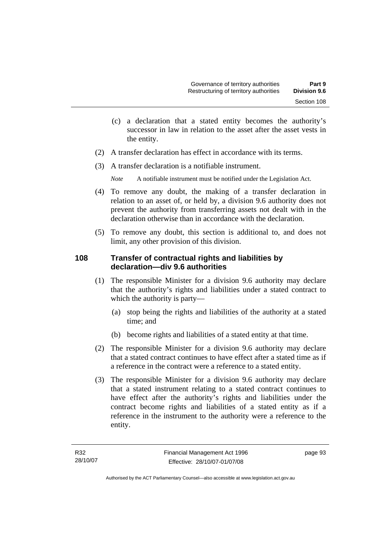- (c) a declaration that a stated entity becomes the authority's successor in law in relation to the asset after the asset vests in the entity.
- (2) A transfer declaration has effect in accordance with its terms.
- (3) A transfer declaration is a notifiable instrument.

*Note* A notifiable instrument must be notified under the Legislation Act.

- (4) To remove any doubt, the making of a transfer declaration in relation to an asset of, or held by, a division 9.6 authority does not prevent the authority from transferring assets not dealt with in the declaration otherwise than in accordance with the declaration.
- (5) To remove any doubt, this section is additional to, and does not limit, any other provision of this division.

## **108 Transfer of contractual rights and liabilities by declaration—div 9.6 authorities**

- (1) The responsible Minister for a division 9.6 authority may declare that the authority's rights and liabilities under a stated contract to which the authority is party—
	- (a) stop being the rights and liabilities of the authority at a stated time; and
	- (b) become rights and liabilities of a stated entity at that time.
- (2) The responsible Minister for a division 9.6 authority may declare that a stated contract continues to have effect after a stated time as if a reference in the contract were a reference to a stated entity.
- (3) The responsible Minister for a division 9.6 authority may declare that a stated instrument relating to a stated contract continues to have effect after the authority's rights and liabilities under the contract become rights and liabilities of a stated entity as if a reference in the instrument to the authority were a reference to the entity.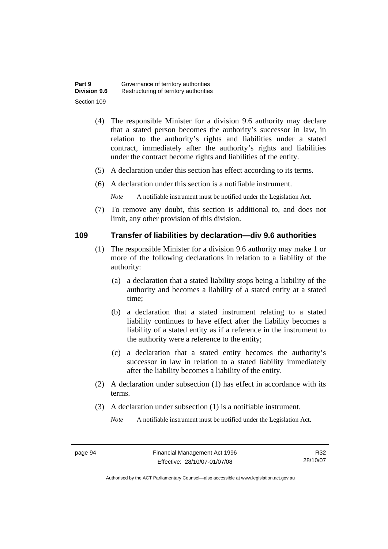| Part 9              | Governance of territory authorities    |
|---------------------|----------------------------------------|
| <b>Division 9.6</b> | Restructuring of territory authorities |
| Section 109         |                                        |

- (4) The responsible Minister for a division 9.6 authority may declare that a stated person becomes the authority's successor in law, in relation to the authority's rights and liabilities under a stated contract, immediately after the authority's rights and liabilities under the contract become rights and liabilities of the entity.
- (5) A declaration under this section has effect according to its terms.
- (6) A declaration under this section is a notifiable instrument.

*Note* A notifiable instrument must be notified under the Legislation Act.

 (7) To remove any doubt, this section is additional to, and does not limit, any other provision of this division.

#### **109 Transfer of liabilities by declaration—div 9.6 authorities**

- (1) The responsible Minister for a division 9.6 authority may make 1 or more of the following declarations in relation to a liability of the authority:
	- (a) a declaration that a stated liability stops being a liability of the authority and becomes a liability of a stated entity at a stated time;
	- (b) a declaration that a stated instrument relating to a stated liability continues to have effect after the liability becomes a liability of a stated entity as if a reference in the instrument to the authority were a reference to the entity;
	- (c) a declaration that a stated entity becomes the authority's successor in law in relation to a stated liability immediately after the liability becomes a liability of the entity.
- (2) A declaration under subsection (1) has effect in accordance with its terms.
- (3) A declaration under subsection (1) is a notifiable instrument.

*Note* A notifiable instrument must be notified under the Legislation Act.

Authorised by the ACT Parliamentary Counsel—also accessible at www.legislation.act.gov.au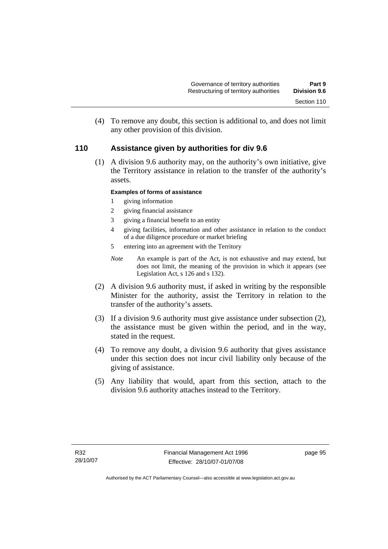(4) To remove any doubt, this section is additional to, and does not limit any other provision of this division.

## **110 Assistance given by authorities for div 9.6**

 (1) A division 9.6 authority may, on the authority's own initiative, give the Territory assistance in relation to the transfer of the authority's assets.

#### **Examples of forms of assistance**

- 1 giving information
- 2 giving financial assistance
- 3 giving a financial benefit to an entity
- 4 giving facilities, information and other assistance in relation to the conduct of a due diligence procedure or market briefing
- 5 entering into an agreement with the Territory
- *Note* An example is part of the Act, is not exhaustive and may extend, but does not limit, the meaning of the provision in which it appears (see Legislation Act, s 126 and s 132).
- (2) A division 9.6 authority must, if asked in writing by the responsible Minister for the authority, assist the Territory in relation to the transfer of the authority's assets.
- (3) If a division 9.6 authority must give assistance under subsection (2), the assistance must be given within the period, and in the way, stated in the request.
- (4) To remove any doubt, a division 9.6 authority that gives assistance under this section does not incur civil liability only because of the giving of assistance.
- (5) Any liability that would, apart from this section, attach to the division 9.6 authority attaches instead to the Territory.

page 95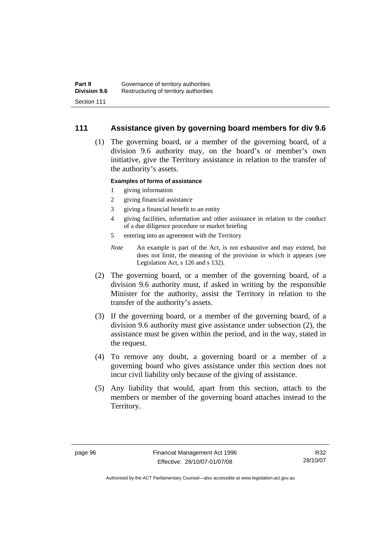### **111 Assistance given by governing board members for div 9.6**

 (1) The governing board, or a member of the governing board, of a division 9.6 authority may, on the board's or member's own initiative, give the Territory assistance in relation to the transfer of the authority's assets.

#### **Examples of forms of assistance**

- 1 giving information
- 2 giving financial assistance
- 3 giving a financial benefit to an entity
- 4 giving facilities, information and other assistance in relation to the conduct of a due diligence procedure or market briefing
- 5 entering into an agreement with the Territory
- *Note* An example is part of the Act, is not exhaustive and may extend, but does not limit, the meaning of the provision in which it appears (see Legislation Act, s 126 and s 132).
- (2) The governing board, or a member of the governing board, of a division 9.6 authority must, if asked in writing by the responsible Minister for the authority, assist the Territory in relation to the transfer of the authority's assets.
- (3) If the governing board, or a member of the governing board, of a division 9.6 authority must give assistance under subsection (2), the assistance must be given within the period, and in the way, stated in the request.
- (4) To remove any doubt, a governing board or a member of a governing board who gives assistance under this section does not incur civil liability only because of the giving of assistance.
- (5) Any liability that would, apart from this section, attach to the members or member of the governing board attaches instead to the Territory.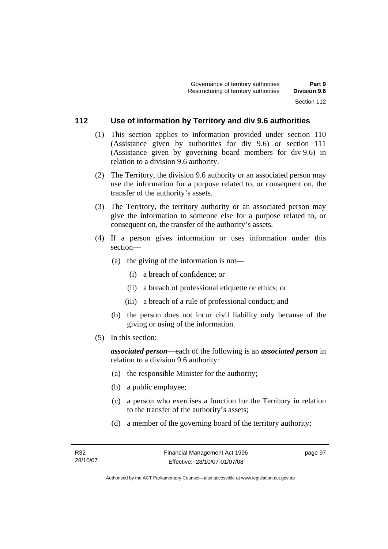## **112 Use of information by Territory and div 9.6 authorities**

- (1) This section applies to information provided under section 110 (Assistance given by authorities for div 9.6) or section 111 (Assistance given by governing board members for div 9.6) in relation to a division 9.6 authority.
- (2) The Territory, the division 9.6 authority or an associated person may use the information for a purpose related to, or consequent on, the transfer of the authority's assets.
- (3) The Territory, the territory authority or an associated person may give the information to someone else for a purpose related to, or consequent on, the transfer of the authority's assets.
- (4) If a person gives information or uses information under this section—
	- (a) the giving of the information is not—
		- (i) a breach of confidence; or
		- (ii) a breach of professional etiquette or ethics; or
		- (iii) a breach of a rule of professional conduct; and
	- (b) the person does not incur civil liability only because of the giving or using of the information.
- (5) In this section:

*associated person*—each of the following is an *associated person* in relation to a division 9.6 authority:

- (a) the responsible Minister for the authority;
- (b) a public employee;
- (c) a person who exercises a function for the Territory in relation to the transfer of the authority's assets;
- (d) a member of the governing board of the territory authority;

page 97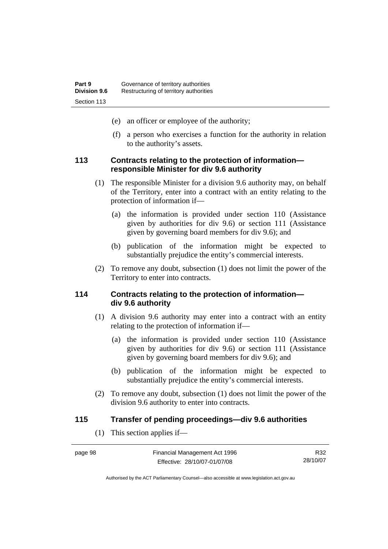- (e) an officer or employee of the authority;
- (f) a person who exercises a function for the authority in relation to the authority's assets.

#### **113 Contracts relating to the protection of information responsible Minister for div 9.6 authority**

- (1) The responsible Minister for a division 9.6 authority may, on behalf of the Territory, enter into a contract with an entity relating to the protection of information if—
	- (a) the information is provided under section 110 (Assistance given by authorities for div 9.6) or section 111 (Assistance given by governing board members for div 9.6); and
	- (b) publication of the information might be expected to substantially prejudice the entity's commercial interests.
- (2) To remove any doubt, subsection (1) does not limit the power of the Territory to enter into contracts.

#### **114 Contracts relating to the protection of information div 9.6 authority**

- (1) A division 9.6 authority may enter into a contract with an entity relating to the protection of information if—
	- (a) the information is provided under section 110 (Assistance given by authorities for div 9.6) or section 111 (Assistance given by governing board members for div 9.6); and
	- (b) publication of the information might be expected to substantially prejudice the entity's commercial interests.
- (2) To remove any doubt, subsection (1) does not limit the power of the division 9.6 authority to enter into contracts.

#### **115 Transfer of pending proceedings—div 9.6 authorities**

(1) This section applies if—

| page 98 | Financial Management Act 1996 |
|---------|-------------------------------|
|         | Effective: 28/10/07-01/07/08  |

R32 28/10/07

Authorised by the ACT Parliamentary Counsel—also accessible at www.legislation.act.gov.au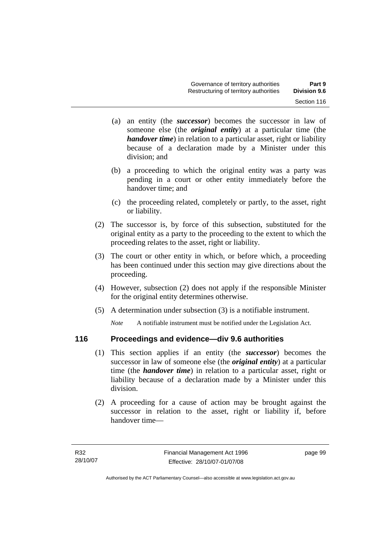- (a) an entity (the *successor*) becomes the successor in law of someone else (the *original entity*) at a particular time (the *handover time*) in relation to a particular asset, right or liability because of a declaration made by a Minister under this division; and
- (b) a proceeding to which the original entity was a party was pending in a court or other entity immediately before the handover time; and
- (c) the proceeding related, completely or partly, to the asset, right or liability.
- (2) The successor is, by force of this subsection, substituted for the original entity as a party to the proceeding to the extent to which the proceeding relates to the asset, right or liability.
- (3) The court or other entity in which, or before which, a proceeding has been continued under this section may give directions about the proceeding.
- (4) However, subsection (2) does not apply if the responsible Minister for the original entity determines otherwise.
- (5) A determination under subsection (3) is a notifiable instrument.

*Note* A notifiable instrument must be notified under the Legislation Act.

## **116 Proceedings and evidence—div 9.6 authorities**

- (1) This section applies if an entity (the *successor*) becomes the successor in law of someone else (the *original entity*) at a particular time (the *handover time*) in relation to a particular asset, right or liability because of a declaration made by a Minister under this division.
- (2) A proceeding for a cause of action may be brought against the successor in relation to the asset, right or liability if, before handover time—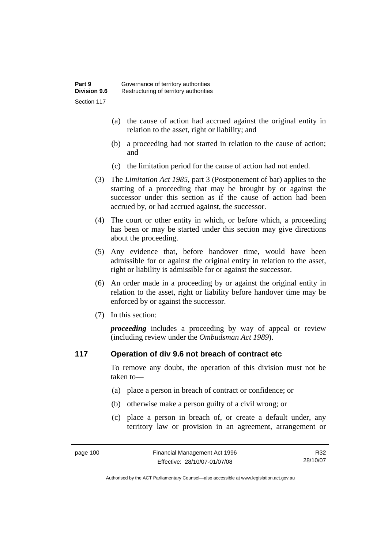- (a) the cause of action had accrued against the original entity in relation to the asset, right or liability; and
- (b) a proceeding had not started in relation to the cause of action; and
- (c) the limitation period for the cause of action had not ended.
- (3) The *Limitation Act 1985,* part 3 (Postponement of bar) applies to the starting of a proceeding that may be brought by or against the successor under this section as if the cause of action had been accrued by, or had accrued against, the successor.
- (4) The court or other entity in which, or before which, a proceeding has been or may be started under this section may give directions about the proceeding.
- (5) Any evidence that, before handover time, would have been admissible for or against the original entity in relation to the asset, right or liability is admissible for or against the successor.
- (6) An order made in a proceeding by or against the original entity in relation to the asset, right or liability before handover time may be enforced by or against the successor.
- (7) In this section:

*proceeding* includes a proceeding by way of appeal or review (including review under the *Ombudsman Act 1989*).

## **117 Operation of div 9.6 not breach of contract etc**

To remove any doubt, the operation of this division must not be taken to—

- (a) place a person in breach of contract or confidence; or
- (b) otherwise make a person guilty of a civil wrong; or
- (c) place a person in breach of, or create a default under, any territory law or provision in an agreement, arrangement or

R32 28/10/07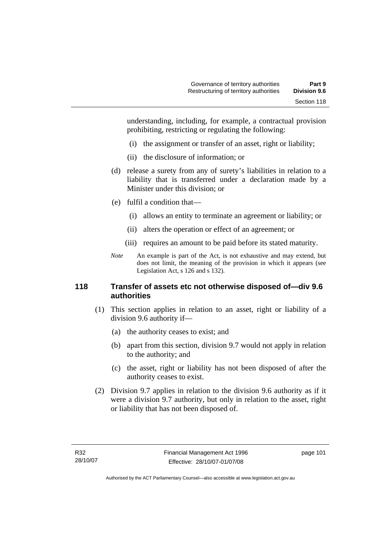understanding, including, for example, a contractual provision prohibiting, restricting or regulating the following:

- (i) the assignment or transfer of an asset, right or liability;
- (ii) the disclosure of information; or
- (d) release a surety from any of surety's liabilities in relation to a liability that is transferred under a declaration made by a Minister under this division; or
- (e) fulfil a condition that—
	- (i) allows an entity to terminate an agreement or liability; or
	- (ii) alters the operation or effect of an agreement; or
	- (iii) requires an amount to be paid before its stated maturity.
- *Note* An example is part of the Act, is not exhaustive and may extend, but does not limit, the meaning of the provision in which it appears (see Legislation Act, s 126 and s 132).

## **118 Transfer of assets etc not otherwise disposed of—div 9.6 authorities**

- (1) This section applies in relation to an asset, right or liability of a division 9.6 authority if—
	- (a) the authority ceases to exist; and
	- (b) apart from this section, division 9.7 would not apply in relation to the authority; and
	- (c) the asset, right or liability has not been disposed of after the authority ceases to exist.
- (2) Division 9.7 applies in relation to the division 9.6 authority as if it were a division 9.7 authority, but only in relation to the asset, right or liability that has not been disposed of.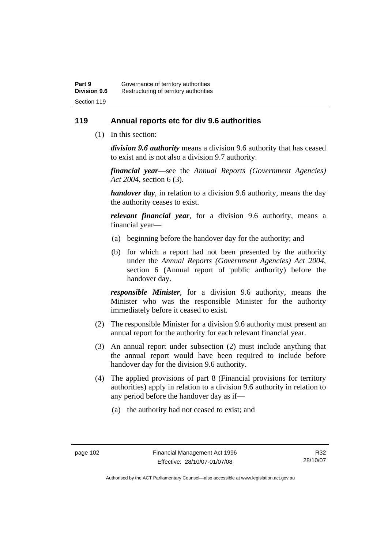## **119 Annual reports etc for div 9.6 authorities**

(1) In this section:

*division 9.6 authority* means a division 9.6 authority that has ceased to exist and is not also a division 9.7 authority.

*financial year*––see the *Annual Reports (Government Agencies) Act 2004*, section 6 (3).

*handover day*, in relation to a division 9.6 authority, means the day the authority ceases to exist.

*relevant financial year*, for a division 9.6 authority, means a financial year—

- (a) beginning before the handover day for the authority; and
- (b) for which a report had not been presented by the authority under the *Annual Reports (Government Agencies) Act 2004*, section 6 (Annual report of public authority) before the handover day.

*responsible Minister*, for a division 9.6 authority, means the Minister who was the responsible Minister for the authority immediately before it ceased to exist.

- (2) The responsible Minister for a division 9.6 authority must present an annual report for the authority for each relevant financial year.
- (3) An annual report under subsection (2) must include anything that the annual report would have been required to include before handover day for the division 9.6 authority.
- (4) The applied provisions of part 8 (Financial provisions for territory authorities) apply in relation to a division 9.6 authority in relation to any period before the handover day as if—
	- (a) the authority had not ceased to exist; and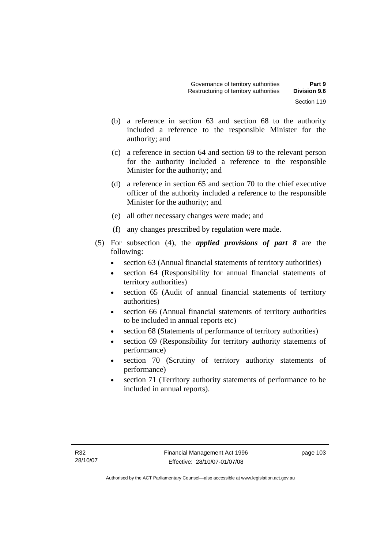- (b) a reference in section 63 and section 68 to the authority included a reference to the responsible Minister for the authority; and
- (c) a reference in section 64 and section 69 to the relevant person for the authority included a reference to the responsible Minister for the authority; and
- (d) a reference in section 65 and section 70 to the chief executive officer of the authority included a reference to the responsible Minister for the authority; and
- (e) all other necessary changes were made; and
- (f) any changes prescribed by regulation were made.
- (5) For subsection (4), the *applied provisions of part 8* are the following:
	- section 63 (Annual financial statements of territory authorities)
	- section 64 (Responsibility for annual financial statements of territory authorities)
	- section 65 (Audit of annual financial statements of territory authorities)
	- section 66 (Annual financial statements of territory authorities to be included in annual reports etc)
	- section 68 (Statements of performance of territory authorities)
	- section 69 (Responsibility for territory authority statements of performance)
	- section 70 (Scrutiny of territory authority statements of performance)
	- section 71 (Territory authority statements of performance to be included in annual reports).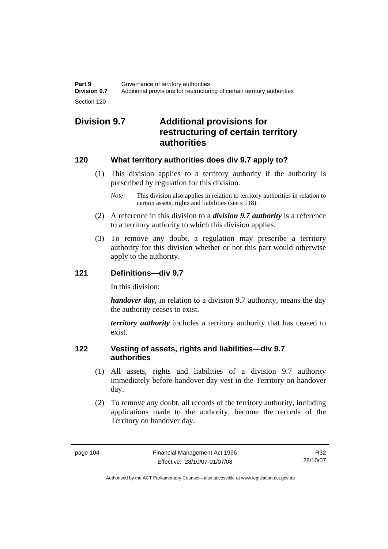## **Division 9.7 Additional provisions for restructuring of certain territory authorities**

## **120 What territory authorities does div 9.7 apply to?**

- (1) This division applies to a territory authority if the authority is prescribed by regulation for this division.
	- *Note* This division also applies in relation to territory authorities in relation to certain assets, rights and liabilities (see s 118).
- (2) A reference in this division to a *division 9.7 authority* is a reference to a territory authority to which this division applies.
- (3) To remove any doubt, a regulation may prescribe a territory authority for this division whether or not this part would otherwise apply to the authority.

## **121 Definitions—div 9.7**

In this division:

*handover day*, in relation to a division 9.7 authority, means the day the authority ceases to exist.

*territory authority* includes a territory authority that has ceased to exist.

## **122 Vesting of assets, rights and liabilities—div 9.7 authorities**

- (1) All assets, rights and liabilities of a division 9.7 authority immediately before handover day vest in the Territory on handover day.
- (2) To remove any doubt, all records of the territory authority, including applications made to the authority, become the records of the Territory on handover day.

R32 28/10/07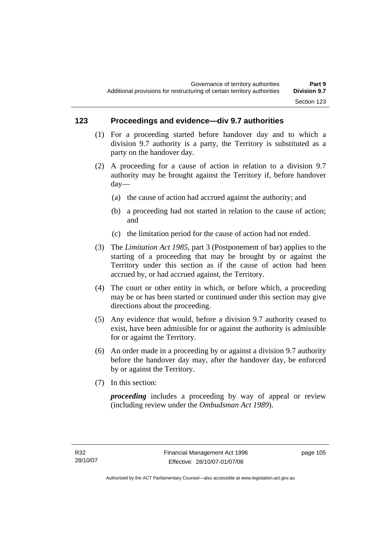## **123 Proceedings and evidence—div 9.7 authorities**

- (1) For a proceeding started before handover day and to which a division 9.7 authority is a party, the Territory is substituted as a party on the handover day.
- (2) A proceeding for a cause of action in relation to a division 9.7 authority may be brought against the Territory if, before handover day—
	- (a) the cause of action had accrued against the authority; and
	- (b) a proceeding had not started in relation to the cause of action; and
	- (c) the limitation period for the cause of action had not ended.
- (3) The *Limitation Act 1985,* part 3 (Postponement of bar) applies to the starting of a proceeding that may be brought by or against the Territory under this section as if the cause of action had been accrued by, or had accrued against, the Territory.
- (4) The court or other entity in which, or before which, a proceeding may be or has been started or continued under this section may give directions about the proceeding.
- (5) Any evidence that would, before a division 9.7 authority ceased to exist, have been admissible for or against the authority is admissible for or against the Territory.
- (6) An order made in a proceeding by or against a division 9.7 authority before the handover day may, after the handover day, be enforced by or against the Territory.
- (7) In this section:

*proceeding* includes a proceeding by way of appeal or review (including review under the *Ombudsman Act 1989*).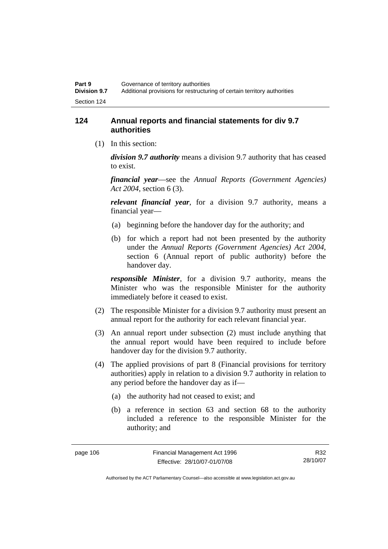## **124 Annual reports and financial statements for div 9.7 authorities**

(1) In this section:

*division 9.7 authority* means a division 9.7 authority that has ceased to exist.

*financial year*––see the *Annual Reports (Government Agencies) Act 2004*, section 6 (3).

*relevant financial year*, for a division 9.7 authority, means a financial year—

- (a) beginning before the handover day for the authority; and
- (b) for which a report had not been presented by the authority under the *Annual Reports (Government Agencies) Act 2004*, section 6 (Annual report of public authority) before the handover day.

*responsible Minister*, for a division 9.7 authority, means the Minister who was the responsible Minister for the authority immediately before it ceased to exist.

- (2) The responsible Minister for a division 9.7 authority must present an annual report for the authority for each relevant financial year.
- (3) An annual report under subsection (2) must include anything that the annual report would have been required to include before handover day for the division 9.7 authority.
- (4) The applied provisions of part 8 (Financial provisions for territory authorities) apply in relation to a division 9.7 authority in relation to any period before the handover day as if—
	- (a) the authority had not ceased to exist; and
	- (b) a reference in section 63 and section 68 to the authority included a reference to the responsible Minister for the authority; and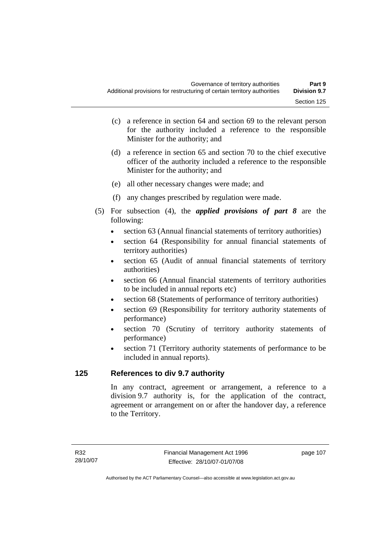- (c) a reference in section 64 and section 69 to the relevant person for the authority included a reference to the responsible Minister for the authority; and
- (d) a reference in section 65 and section 70 to the chief executive officer of the authority included a reference to the responsible Minister for the authority; and
- (e) all other necessary changes were made; and
- (f) any changes prescribed by regulation were made.
- (5) For subsection (4), the *applied provisions of part 8* are the following:
	- section 63 (Annual financial statements of territory authorities)
	- section 64 (Responsibility for annual financial statements of territory authorities)
	- section 65 (Audit of annual financial statements of territory authorities)
	- section 66 (Annual financial statements of territory authorities to be included in annual reports etc)
	- section 68 (Statements of performance of territory authorities)
	- section 69 (Responsibility for territory authority statements of performance)
	- section 70 (Scrutiny of territory authority statements of performance)
	- section 71 (Territory authority statements of performance to be included in annual reports).

## **125 References to div 9.7 authority**

In any contract, agreement or arrangement, a reference to a division 9.7 authority is, for the application of the contract, agreement or arrangement on or after the handover day, a reference to the Territory.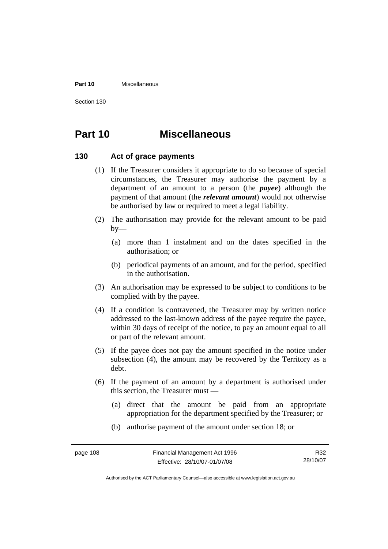#### **Part 10** Miscellaneous

Section 130

## **Part 10 Miscellaneous**

## **130 Act of grace payments**

- (1) If the Treasurer considers it appropriate to do so because of special circumstances, the Treasurer may authorise the payment by a department of an amount to a person (the *payee*) although the payment of that amount (the *relevant amount*) would not otherwise be authorised by law or required to meet a legal liability.
- (2) The authorisation may provide for the relevant amount to be paid  $by-$ 
	- (a) more than 1 instalment and on the dates specified in the authorisation; or
	- (b) periodical payments of an amount, and for the period, specified in the authorisation.
- (3) An authorisation may be expressed to be subject to conditions to be complied with by the payee.
- (4) If a condition is contravened, the Treasurer may by written notice addressed to the last-known address of the payee require the payee, within 30 days of receipt of the notice, to pay an amount equal to all or part of the relevant amount.
- (5) If the payee does not pay the amount specified in the notice under subsection (4), the amount may be recovered by the Territory as a debt.
- (6) If the payment of an amount by a department is authorised under this section, the Treasurer must —
	- (a) direct that the amount be paid from an appropriate appropriation for the department specified by the Treasurer; or
	- (b) authorise payment of the amount under section 18; or

R32 28/10/07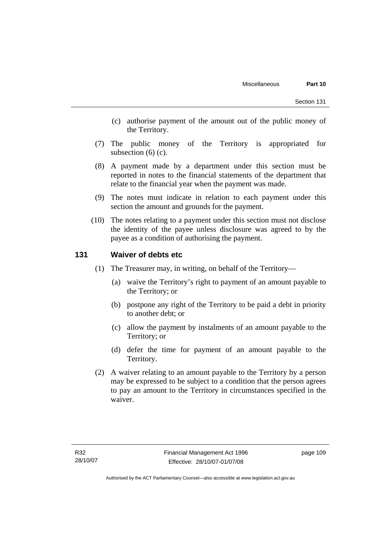- (c) authorise payment of the amount out of the public money of the Territory.
- (7) The public money of the Territory is appropriated for subsection  $(6)$  (c).
- (8) A payment made by a department under this section must be reported in notes to the financial statements of the department that relate to the financial year when the payment was made.
- (9) The notes must indicate in relation to each payment under this section the amount and grounds for the payment.
- (10) The notes relating to a payment under this section must not disclose the identity of the payee unless disclosure was agreed to by the payee as a condition of authorising the payment.

## **131 Waiver of debts etc**

- (1) The Treasurer may, in writing, on behalf of the Territory—
	- (a) waive the Territory's right to payment of an amount payable to the Territory; or
	- (b) postpone any right of the Territory to be paid a debt in priority to another debt; or
	- (c) allow the payment by instalments of an amount payable to the Territory; or
	- (d) defer the time for payment of an amount payable to the Territory.
- (2) A waiver relating to an amount payable to the Territory by a person may be expressed to be subject to a condition that the person agrees to pay an amount to the Territory in circumstances specified in the waiver.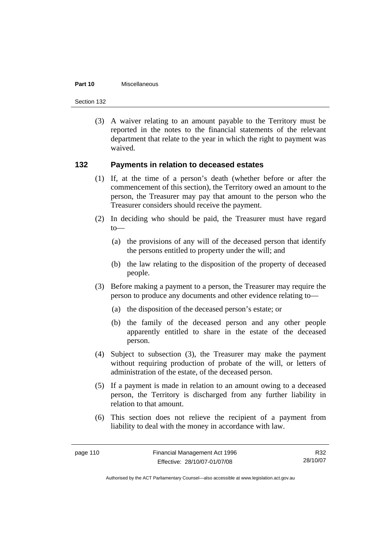#### **Part 10** Miscellaneous

Section 132

 (3) A waiver relating to an amount payable to the Territory must be reported in the notes to the financial statements of the relevant department that relate to the year in which the right to payment was waived.

## **132 Payments in relation to deceased estates**

- (1) If, at the time of a person's death (whether before or after the commencement of this section), the Territory owed an amount to the person, the Treasurer may pay that amount to the person who the Treasurer considers should receive the payment.
- (2) In deciding who should be paid, the Treasurer must have regard  $to$ —
	- (a) the provisions of any will of the deceased person that identify the persons entitled to property under the will; and
	- (b) the law relating to the disposition of the property of deceased people.
- (3) Before making a payment to a person, the Treasurer may require the person to produce any documents and other evidence relating to—
	- (a) the disposition of the deceased person's estate; or
	- (b) the family of the deceased person and any other people apparently entitled to share in the estate of the deceased person.
- (4) Subject to subsection (3), the Treasurer may make the payment without requiring production of probate of the will, or letters of administration of the estate, of the deceased person.
- (5) If a payment is made in relation to an amount owing to a deceased person, the Territory is discharged from any further liability in relation to that amount.
- (6) This section does not relieve the recipient of a payment from liability to deal with the money in accordance with law.

R32 28/10/07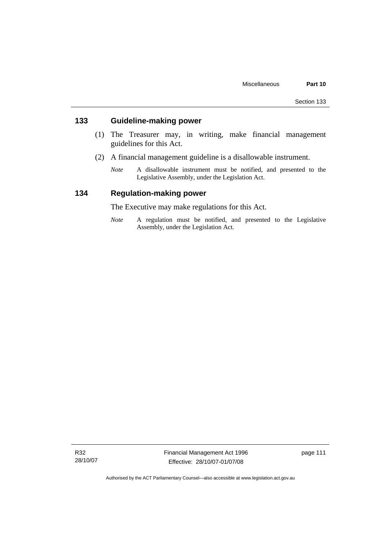## **133 Guideline-making power**

- (1) The Treasurer may, in writing, make financial management guidelines for this Act.
- (2) A financial management guideline is a disallowable instrument.
	- *Note* A disallowable instrument must be notified, and presented to the Legislative Assembly, under the Legislation Act.

## **134 Regulation-making power**

The Executive may make regulations for this Act.

*Note* A regulation must be notified, and presented to the Legislative Assembly, under the Legislation Act.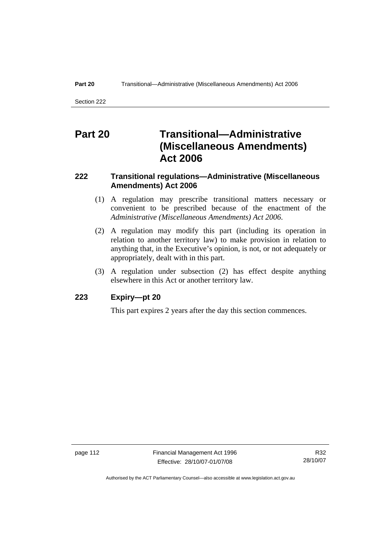Section 222

## **Part 20 Transitional—Administrative (Miscellaneous Amendments) Act 2006**

## **222 Transitional regulations—Administrative (Miscellaneous Amendments) Act 2006**

- (1) A regulation may prescribe transitional matters necessary or convenient to be prescribed because of the enactment of the *Administrative (Miscellaneous Amendments) Act 2006*.
- (2) A regulation may modify this part (including its operation in relation to another territory law) to make provision in relation to anything that, in the Executive's opinion, is not, or not adequately or appropriately, dealt with in this part.
- (3) A regulation under subsection (2) has effect despite anything elsewhere in this Act or another territory law.

## **223 Expiry—pt 20**

This part expires 2 years after the day this section commences.

page 112 Financial Management Act 1996 Effective: 28/10/07-01/07/08

R32 28/10/07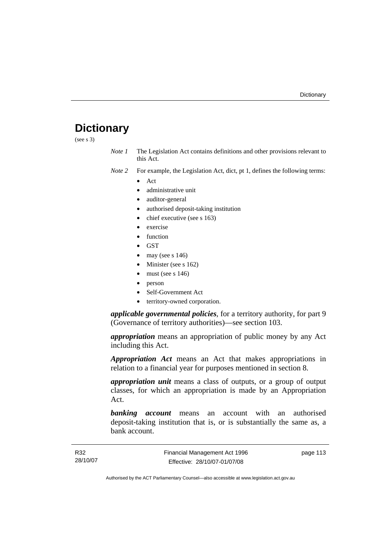# **Dictionary**

(see s 3)

*Note 1* The Legislation Act contains definitions and other provisions relevant to this Act.

*Note 2* For example, the Legislation Act, dict, pt 1, defines the following terms:

- Act
	- administrative unit
	- auditor-general
	- authorised deposit-taking institution
	- chief executive (see s 163)
	- exercise
	- **function**
	- GST
	- may (see s  $146$ )
	- Minister (see s 162)
	- must (see s  $146$ )
	- person
	- Self-Government Act
	- territory-owned corporation.

*applicable governmental policies*, for a territory authority, for part 9 (Governance of territory authorities)—see section 103.

*appropriation* means an appropriation of public money by any Act including this Act.

*Appropriation Act* means an Act that makes appropriations in relation to a financial year for purposes mentioned in section 8.

*appropriation unit* means a class of outputs, or a group of output classes, for which an appropriation is made by an Appropriation Act.

*banking account* means an account with an authorised deposit-taking institution that is, or is substantially the same as, a bank account.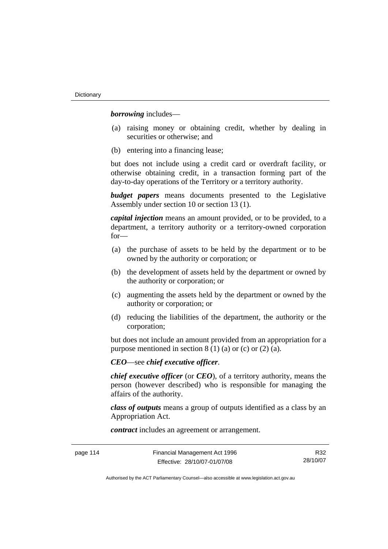*borrowing* includes—

- (a) raising money or obtaining credit, whether by dealing in securities or otherwise; and
- (b) entering into a financing lease;

but does not include using a credit card or overdraft facility, or otherwise obtaining credit, in a transaction forming part of the day-to-day operations of the Territory or a territory authority.

*budget papers* means documents presented to the Legislative Assembly under section 10 or section 13 (1).

*capital injection* means an amount provided, or to be provided, to a department, a territory authority or a territory-owned corporation for—

- (a) the purchase of assets to be held by the department or to be owned by the authority or corporation; or
- (b) the development of assets held by the department or owned by the authority or corporation; or
- (c) augmenting the assets held by the department or owned by the authority or corporation; or
- (d) reducing the liabilities of the department, the authority or the corporation;

but does not include an amount provided from an appropriation for a purpose mentioned in section  $8(1)(a)$  or (c) or  $(2)(a)$ .

*CEO*—see *chief executive officer*.

*chief executive officer* (or *CEO*), of a territory authority, means the person (however described) who is responsible for managing the affairs of the authority.

*class of outputs* means a group of outputs identified as a class by an Appropriation Act.

*contract* includes an agreement or arrangement.

page 114 Financial Management Act 1996 Effective: 28/10/07-01/07/08

R32 28/10/07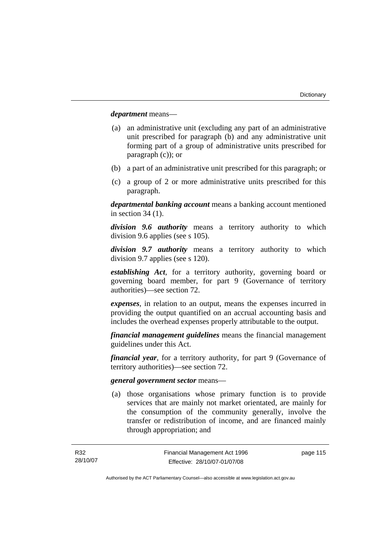*department* means—

- (a) an administrative unit (excluding any part of an administrative unit prescribed for paragraph (b) and any administrative unit forming part of a group of administrative units prescribed for paragraph (c)); or
- (b) a part of an administrative unit prescribed for this paragraph; or
- (c) a group of 2 or more administrative units prescribed for this paragraph.

*departmental banking account* means a banking account mentioned in section 34 (1).

*division 9.6 authority* means a territory authority to which division 9.6 applies (see s 105).

*division 9.7 authority* means a territory authority to which division 9.7 applies (see s 120).

*establishing Act*, for a territory authority, governing board or governing board member, for part 9 (Governance of territory authorities)—see section 72.

*expenses*, in relation to an output, means the expenses incurred in providing the output quantified on an accrual accounting basis and includes the overhead expenses properly attributable to the output.

*financial management guidelines* means the financial management guidelines under this Act.

*financial year*, for a territory authority, for part 9 (Governance of territory authorities)—see section 72.

#### *general government sector* means—

 (a) those organisations whose primary function is to provide services that are mainly not market orientated, are mainly for the consumption of the community generally, involve the transfer or redistribution of income, and are financed mainly through appropriation; and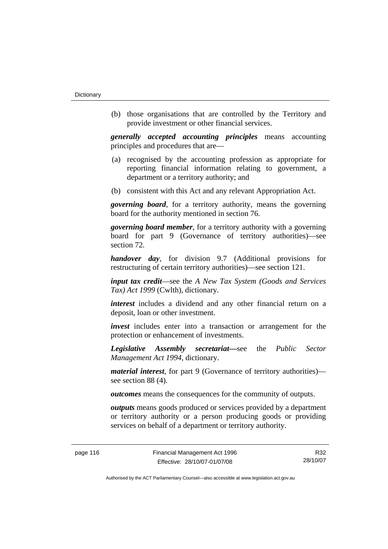(b) those organisations that are controlled by the Territory and provide investment or other financial services.

*generally accepted accounting principles* means accounting principles and procedures that are—

- (a) recognised by the accounting profession as appropriate for reporting financial information relating to government, a department or a territory authority; and
- (b) consistent with this Act and any relevant Appropriation Act.

*governing board*, for a territory authority, means the governing board for the authority mentioned in section 76.

*governing board member*, for a territory authority with a governing board for part 9 (Governance of territory authorities)—see section 72.

*handover day*, for division 9.7 (Additional provisions for restructuring of certain territory authorities)—see section 121.

*input tax credit*—see the *A New Tax System (Goods and Services Tax) Act 1999* (Cwlth), dictionary.

*interest* includes a dividend and any other financial return on a deposit, loan or other investment.

*invest* includes enter into a transaction or arrangement for the protection or enhancement of investments.

*Legislative Assembly secretariat***—**see the *Public Sector Management Act 1994*, dictionary.

*material interest*, for part 9 (Governance of territory authorities) see section 88 (4).

*outcomes* means the consequences for the community of outputs.

*outputs* means goods produced or services provided by a department or territory authority or a person producing goods or providing services on behalf of a department or territory authority.

R32 28/10/07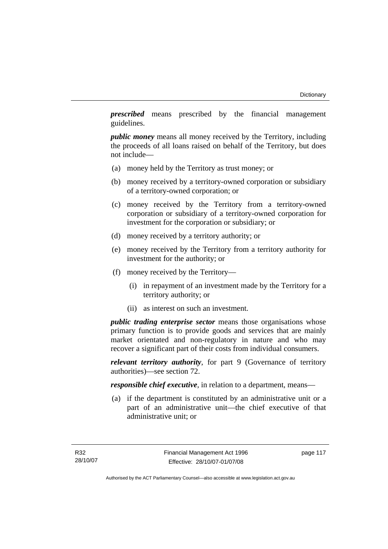*prescribed* means prescribed by the financial management guidelines.

*public money* means all money received by the Territory, including the proceeds of all loans raised on behalf of the Territory, but does not include—

- (a) money held by the Territory as trust money; or
- (b) money received by a territory-owned corporation or subsidiary of a territory-owned corporation; or
- (c) money received by the Territory from a territory-owned corporation or subsidiary of a territory-owned corporation for investment for the corporation or subsidiary; or
- (d) money received by a territory authority; or
- (e) money received by the Territory from a territory authority for investment for the authority; or
- (f) money received by the Territory—
	- (i) in repayment of an investment made by the Territory for a territory authority; or
	- (ii) as interest on such an investment.

*public trading enterprise sector* means those organisations whose primary function is to provide goods and services that are mainly market orientated and non-regulatory in nature and who may recover a significant part of their costs from individual consumers.

*relevant territory authority*, for part 9 (Governance of territory authorities)—see section 72.

*responsible chief executive*, in relation to a department, means—

 (a) if the department is constituted by an administrative unit or a part of an administrative unit—the chief executive of that administrative unit; or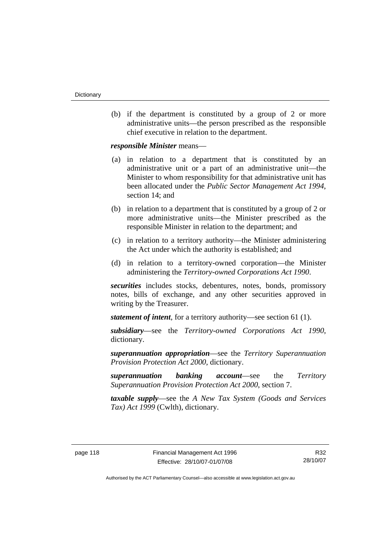(b) if the department is constituted by a group of 2 or more administrative units—the person prescribed as the responsible chief executive in relation to the department.

*responsible Minister* means—

- (a) in relation to a department that is constituted by an administrative unit or a part of an administrative unit—the Minister to whom responsibility for that administrative unit has been allocated under the *Public Sector Management Act 1994*, section 14; and
- (b) in relation to a department that is constituted by a group of 2 or more administrative units—the Minister prescribed as the responsible Minister in relation to the department; and
- (c) in relation to a territory authority—the Minister administering the Act under which the authority is established; and
- (d) in relation to a territory-owned corporation—the Minister administering the *Territory-owned Corporations Act 1990*.

*securities* includes stocks, debentures, notes, bonds, promissory notes, bills of exchange, and any other securities approved in writing by the Treasurer.

*statement of intent*, for a territory authority—see section 61 (1).

*subsidiary*—see the *Territory-owned Corporations Act 1990*, dictionary.

*superannuation appropriation*—see the *Territory Superannuation Provision Protection Act 2000*, dictionary.

*superannuation banking account*—see the *Territory Superannuation Provision Protection Act 2000*, section 7.

*taxable supply*—see the *A New Tax System (Goods and Services Tax) Act 1999* (Cwlth), dictionary.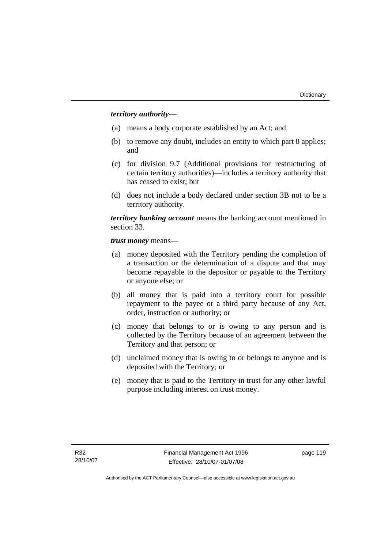## *territory authority*—

- (a) means a body corporate established by an Act; and
- (b) to remove any doubt, includes an entity to which part 8 applies; and
- (c) for division 9.7 (Additional provisions for restructuring of certain territory authorities)—includes a territory authority that has ceased to exist; but
- (d) does not include a body declared under section 3B not to be a territory authority.

*territory banking account* means the banking account mentioned in section 33.

*trust money* means—

- (a) money deposited with the Territory pending the completion of a transaction or the determination of a dispute and that may become repayable to the depositor or payable to the Territory or anyone else; or
- (b) all money that is paid into a territory court for possible repayment to the payee or a third party because of any Act, order, instruction or authority; or
- (c) money that belongs to or is owing to any person and is collected by the Territory because of an agreement between the Territory and that person; or
- (d) unclaimed money that is owing to or belongs to anyone and is deposited with the Territory; or
- (e) money that is paid to the Territory in trust for any other lawful purpose including interest on trust money.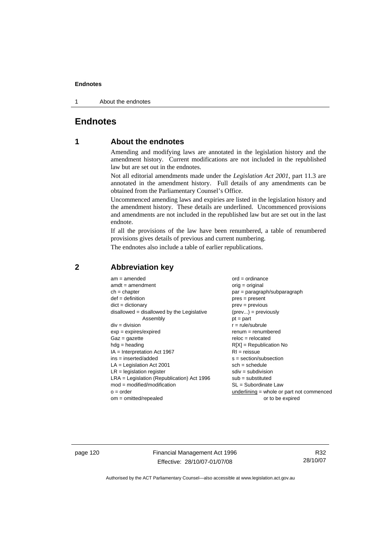1 About the endnotes

## **Endnotes**

## **1 About the endnotes**

Amending and modifying laws are annotated in the legislation history and the amendment history. Current modifications are not included in the republished law but are set out in the endnotes.

Not all editorial amendments made under the *Legislation Act 2001*, part 11.3 are annotated in the amendment history. Full details of any amendments can be obtained from the Parliamentary Counsel's Office.

Uncommenced amending laws and expiries are listed in the legislation history and the amendment history. These details are underlined. Uncommenced provisions and amendments are not included in the republished law but are set out in the last endnote.

If all the provisions of the law have been renumbered, a table of renumbered provisions gives details of previous and current numbering.

The endnotes also include a table of earlier republications.

| $am = amended$                               | $ord = ordinance$                         |
|----------------------------------------------|-------------------------------------------|
| $amdt = amendment$                           | $orig = original$                         |
| $ch = chapter$                               | par = paragraph/subparagraph              |
| $def = definition$                           | $pres = present$                          |
| $dict = dictionary$                          | $prev = previous$                         |
| disallowed = disallowed by the Legislative   | $(\text{prev}) = \text{previously}$       |
| Assembly                                     | $pt = part$                               |
| $div = division$                             | $r = rule/subrule$                        |
| $exp = expires/expired$                      | $renum = renumbered$                      |
| $Gaz = gazette$                              | $reloc = relocated$                       |
| $hdg =$ heading                              | $R[X]$ = Republication No                 |
| $IA = Interpretation Act 1967$               | $RI = reissue$                            |
| $ins = inserted/added$                       | $s = section/subsection$                  |
| $LA =$ Legislation Act 2001                  | $sch = schedule$                          |
| $LR =$ legislation register                  | $sdiv = subdivision$                      |
| $LRA =$ Legislation (Republication) Act 1996 | $sub = substituted$                       |
| $mod = modified/modification$                | $SL = Subordinate$ Law                    |
| $o = order$                                  | underlining = whole or part not commenced |
| $om = omitted/report$                        | or to be expired                          |
|                                              |                                           |

## **2 Abbreviation key**

page 120 Financial Management Act 1996 Effective: 28/10/07-01/07/08

R32 28/10/07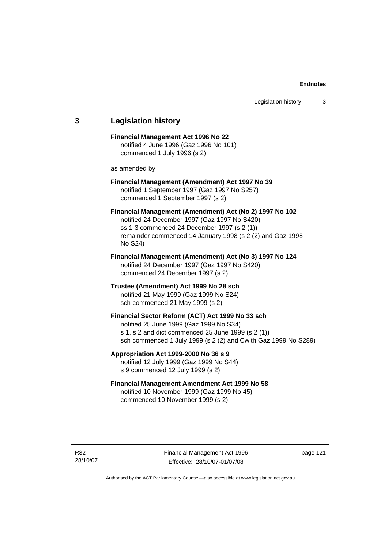## **3 Legislation history Financial Management Act 1996 No 22**  notified 4 June 1996 (Gaz 1996 No 101) commenced 1 July 1996 (s 2) as amended by **Financial Management (Amendment) Act 1997 No 39**  notified 1 September 1997 (Gaz 1997 No S257) commenced 1 September 1997 (s 2) **Financial Management (Amendment) Act (No 2) 1997 No 102**  notified 24 December 1997 (Gaz 1997 No S420) ss 1-3 commenced 24 December 1997 (s 2 (1)) remainder commenced 14 January 1998 (s 2 (2) and Gaz 1998 No S24) **Financial Management (Amendment) Act (No 3) 1997 No 124**  notified 24 December 1997 (Gaz 1997 No S420) commenced 24 December 1997 (s 2) **Trustee (Amendment) Act 1999 No 28 sch**  notified 21 May 1999 (Gaz 1999 No S24) sch commenced 21 May 1999 (s 2) **Financial Sector Reform (ACT) Act 1999 No 33 sch**  notified 25 June 1999 (Gaz 1999 No S34) s 1, s 2 and dict commenced 25 June 1999 (s 2 (1)) sch commenced 1 July 1999 (s 2 (2) and Cwlth Gaz 1999 No S289) **Appropriation Act 1999-2000 No 36 s 9**  notified 12 July 1999 (Gaz 1999 No S44) s 9 commenced 12 July 1999 (s 2) **Financial Management Amendment Act 1999 No 58**  notified 10 November 1999 (Gaz 1999 No 45) commenced 10 November 1999 (s 2)

Financial Management Act 1996 Effective: 28/10/07-01/07/08

page 121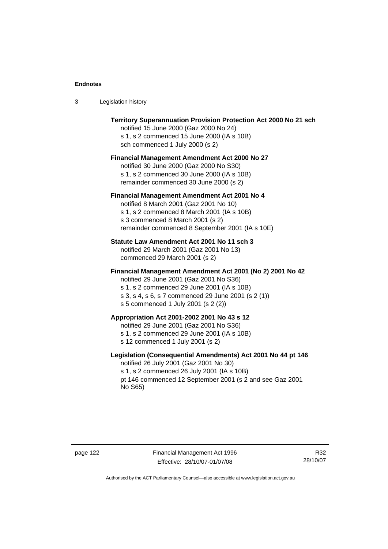| Legislation history<br>-3 |  |
|---------------------------|--|
|---------------------------|--|

| <b>Territory Superannuation Provision Protection Act 2000 No 21 sch</b><br>notified 15 June 2000 (Gaz 2000 No 24)<br>s 1, s 2 commenced 15 June 2000 (IA s 10B)<br>sch commenced 1 July 2000 (s 2)                                               |
|--------------------------------------------------------------------------------------------------------------------------------------------------------------------------------------------------------------------------------------------------|
| <b>Financial Management Amendment Act 2000 No 27</b><br>notified 30 June 2000 (Gaz 2000 No S30)<br>s 1, s 2 commenced 30 June 2000 (IA s 10B)<br>remainder commenced 30 June 2000 (s 2)                                                          |
| Financial Management Amendment Act 2001 No 4<br>notified 8 March 2001 (Gaz 2001 No 10)<br>s 1, s 2 commenced 8 March 2001 (IA s 10B)<br>s 3 commenced 8 March 2001 (s 2)<br>remainder commenced 8 September 2001 (IA s 10E)                      |
| Statute Law Amendment Act 2001 No 11 sch 3<br>notified 29 March 2001 (Gaz 2001 No 13)<br>commenced 29 March 2001 (s 2)                                                                                                                           |
| Financial Management Amendment Act 2001 (No 2) 2001 No 42<br>notified 29 June 2001 (Gaz 2001 No S36)<br>s 1, s 2 commenced 29 June 2001 (IA s 10B)<br>s 3, s 4, s 6, s 7 commenced 29 June 2001 (s 2 (1))<br>s 5 commenced 1 July 2001 (s 2 (2)) |
| Appropriation Act 2001-2002 2001 No 43 s 12<br>notified 29 June 2001 (Gaz 2001 No S36)<br>s 1, s 2 commenced 29 June 2001 (IA s 10B)<br>s 12 commenced 1 July 2001 (s 2)                                                                         |
| Legislation (Consequential Amendments) Act 2001 No 44 pt 146<br>notified 26 July 2001 (Gaz 2001 No 30)<br>s 1, s 2 commenced 26 July 2001 (IA s 10B)<br>pt 146 commenced 12 September 2001 (s 2 and see Gaz 2001<br>No S65)                      |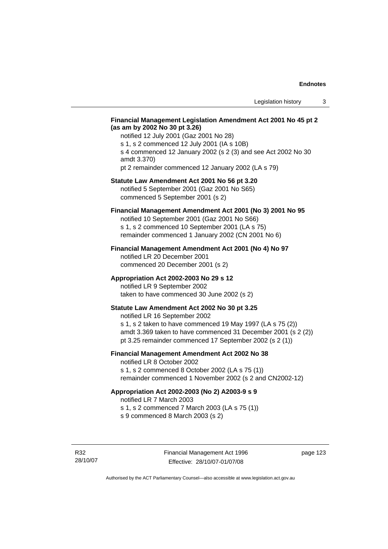### **Financial Management Legislation Amendment Act 2001 No 45 pt 2 (as am by 2002 No 30 pt 3.26)**

notified 12 July 2001 (Gaz 2001 No 28) s 1, s 2 commenced 12 July 2001 (IA s 10B) s 4 commenced 12 January 2002 (s 2 (3) and see Act 2002 No 30 amdt 3.370) pt 2 remainder commenced 12 January 2002 (LA s 79)

#### **Statute Law Amendment Act 2001 No 56 pt 3.20**

notified 5 September 2001 (Gaz 2001 No S65) commenced 5 September 2001 (s 2)

## **Financial Management Amendment Act 2001 (No 3) 2001 No 95**

notified 10 September 2001 (Gaz 2001 No S66) s 1, s 2 commenced 10 September 2001 (LA s 75) remainder commenced 1 January 2002 (CN 2001 No 6)

#### **Financial Management Amendment Act 2001 (No 4) No 97**

notified LR 20 December 2001 commenced 20 December 2001 (s 2)

#### **Appropriation Act 2002-2003 No 29 s 12**

notified LR 9 September 2002 taken to have commenced 30 June 2002 (s 2)

## **Statute Law Amendment Act 2002 No 30 pt 3.25**

notified LR 16 September 2002 s 1, s 2 taken to have commenced 19 May 1997 (LA s 75 (2)) amdt 3.369 taken to have commenced 31 December 2001 (s 2 (2)) pt 3.25 remainder commenced 17 September 2002 (s 2 (1))

## **Financial Management Amendment Act 2002 No 38**

notified LR 8 October 2002 s 1, s 2 commenced 8 October 2002 (LA s 75 (1))

remainder commenced 1 November 2002 (s 2 and CN2002-12)

### **Appropriation Act 2002-2003 (No 2) A2003-9 s 9**

notified LR 7 March 2003

s 1, s 2 commenced 7 March 2003 (LA s 75 (1))

s 9 commenced 8 March 2003 (s 2)

R32 28/10/07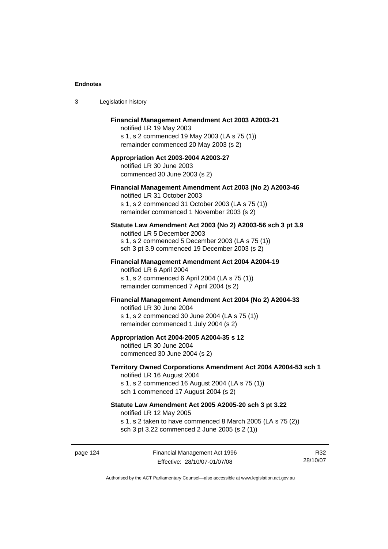| 3 | Legislation history                                                                                                                                                                              |
|---|--------------------------------------------------------------------------------------------------------------------------------------------------------------------------------------------------|
|   | Financial Management Amendment Act 2003 A2003-21<br>notified LR 19 May 2003<br>s 1, s 2 commenced 19 May 2003 (LA s 75 (1))<br>remainder commenced 20 May 2003 (s 2)                             |
|   | Appropriation Act 2003-2004 A2003-27<br>notified LR 30 June 2003<br>commenced 30 June 2003 (s 2)                                                                                                 |
|   | Financial Management Amendment Act 2003 (No 2) A2003-46<br>notified LR 31 October 2003<br>s 1, s 2 commenced 31 October 2003 (LA s 75 (1))<br>remainder commenced 1 November 2003 (s 2)          |
|   | Statute Law Amendment Act 2003 (No 2) A2003-56 sch 3 pt 3.9<br>notified LR 5 December 2003<br>s 1, s 2 commenced 5 December 2003 (LA s 75 (1))<br>sch 3 pt 3.9 commenced 19 December 2003 (s 2)  |
|   | Financial Management Amendment Act 2004 A2004-19<br>notified LR 6 April 2004<br>s 1, s 2 commenced 6 April 2004 (LA s 75 (1))<br>remainder commenced 7 April 2004 (s 2)                          |
|   | Financial Management Amendment Act 2004 (No 2) A2004-33<br>notified LR 30 June 2004<br>s 1, s 2 commenced 30 June 2004 (LA s 75 (1))<br>remainder commenced 1 July 2004 (s 2)                    |
|   | Appropriation Act 2004-2005 A2004-35 s 12<br>notified LR 30 June 2004<br>commenced 30 June 2004 (s 2)                                                                                            |
|   | Territory Owned Corporations Amendment Act 2004 A2004-53 sch 1<br>notified LR 16 August 2004<br>s 1, s 2 commenced 16 August 2004 (LA s 75 (1))<br>sch 1 commenced 17 August 2004 (s 2)          |
|   | Statute Law Amendment Act 2005 A2005-20 sch 3 pt 3.22<br>notified LR 12 May 2005<br>s 1, s 2 taken to have commenced 8 March 2005 (LA s 75 (2))<br>sch 3 pt 3.22 commenced 2 June 2005 (s 2 (1)) |
|   |                                                                                                                                                                                                  |

page 124 Financial Management Act 1996 Effective: 28/10/07-01/07/08

R32 28/10/07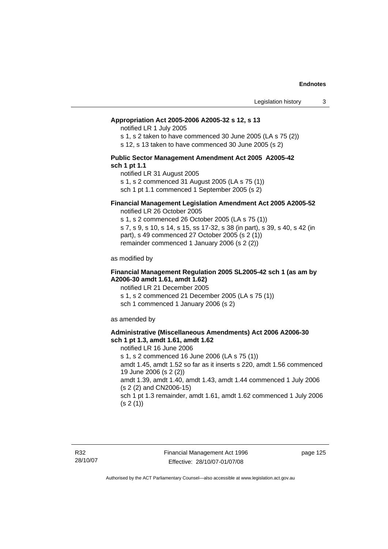#### **Appropriation Act 2005-2006 A2005-32 s 12, s 13**

notified LR 1 July 2005

s 1, s 2 taken to have commenced 30 June 2005 (LA s 75 (2))

s 12, s 13 taken to have commenced 30 June 2005 (s 2)

#### **Public Sector Management Amendment Act 2005 A2005-42 sch 1 pt 1.1**

notified LR 31 August 2005 s 1, s 2 commenced 31 August 2005 (LA s 75 (1)) sch 1 pt 1.1 commenced 1 September 2005 (s 2)

#### **Financial Management Legislation Amendment Act 2005 A2005-52**

notified LR 26 October 2005

s 1, s 2 commenced 26 October 2005 (LA s 75 (1)) s 7, s 9, s 10, s 14, s 15, ss 17-32, s 38 (in part), s 39, s 40, s 42 (in part), s 49 commenced 27 October 2005 (s 2 (1)) remainder commenced 1 January 2006 (s 2 (2))

as modified by

#### **Financial Management Regulation 2005 SL2005-42 sch 1 (as am by A2006-30 amdt 1.61, amdt 1.62)**

notified LR 21 December 2005 s 1, s 2 commenced 21 December 2005 (LA s 75 (1)) sch 1 commenced 1 January 2006 (s 2)

as amended by

#### **Administrative (Miscellaneous Amendments) Act 2006 A2006-30 sch 1 pt 1.3, amdt 1.61, amdt 1.62**

notified LR 16 June 2006 s 1, s 2 commenced 16 June 2006 (LA s 75 (1)) amdt 1.45, amdt 1.52 so far as it inserts s 220, amdt 1.56 commenced 19 June 2006 (s 2 (2)) amdt 1.39, amdt 1.40, amdt 1.43, amdt 1.44 commenced 1 July 2006 (s 2 (2) and CN2006-15) sch 1 pt 1.3 remainder, amdt 1.61, amdt 1.62 commenced 1 July 2006  $(s 2(1))$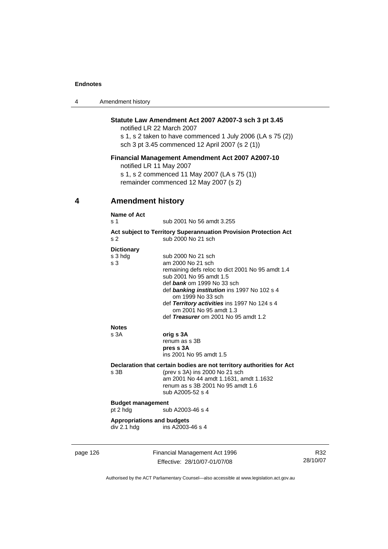| 4 | Amendment history |
|---|-------------------|
|---|-------------------|

## **Statute Law Amendment Act 2007 A2007-3 sch 3 pt 3.45**

notified LR 22 March 2007 s 1, s 2 taken to have commenced 1 July 2006 (LA s 75 (2)) sch 3 pt 3.45 commenced 12 April 2007 (s 2 (1))

## **Financial Management Amendment Act 2007 A2007-10**

notified LR 11 May 2007

s 1, s 2 commenced 11 May 2007 (LA s 75 (1)) remainder commenced 12 May 2007 (s 2)

## **4 Amendment history**

| s <sub>2</sub>                    | Act subject to Territory Superannuation Provision Protection Act<br>sub 2000 No 21 sch |
|-----------------------------------|----------------------------------------------------------------------------------------|
| <b>Dictionary</b>                 |                                                                                        |
| s 3 hdg                           | sub 2000 No 21 sch                                                                     |
| s <sub>3</sub>                    | am 2000 No 21 sch                                                                      |
|                                   | remaining defs reloc to dict 2001 No 95 amdt 1.4<br>sub 2001 No 95 amdt 1.5            |
|                                   | def bank om 1999 No 33 sch                                                             |
|                                   | def banking institution ins 1997 No 102 s 4                                            |
|                                   | om 1999 No 33 sch<br>def Territory activities ins 1997 No 124 s 4                      |
|                                   | om 2001 No 95 amdt 1.3                                                                 |
|                                   | def Treasurer om 2001 No 95 amdt 1.2                                                   |
| <b>Notes</b>                      |                                                                                        |
| s 3A                              | orig s 3A                                                                              |
|                                   | renum as s 3B                                                                          |
|                                   | pres s 3A<br>ins 2001 No 95 amdt 1.5                                                   |
|                                   |                                                                                        |
| s.3B                              | Declaration that certain bodies are not territory authorities for Act                  |
|                                   | (prev s 3A) ins 2000 No 21 sch<br>am 2001 No 44 amdt 1.1631, amdt 1.1632               |
|                                   | renum as s 3B 2001 No 95 amdt 1.6                                                      |
|                                   | sub A2005-52 s 4                                                                       |
| <b>Budget management</b>          |                                                                                        |
| pt 2 hdg                          | sub A2003-46 s 4                                                                       |
| <b>Appropriations and budgets</b> |                                                                                        |
| div 2.1 hdg                       | ins A2003-46 s 4                                                                       |

page 126 Financial Management Act 1996 Effective: 28/10/07-01/07/08

R32 28/10/07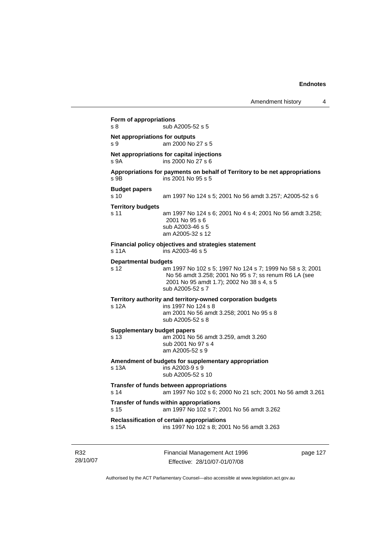```
Financial Management Act 1996 
Form of appropriations 
s 8 sub A2005-52 s 5 
Net appropriations for outputs
s 9 am 2000 No 27 s 5
Net appropriations for capital injections
s 9A ins 2000 No 27 s 6
Appropriations for payments on behalf of Territory to be net appropriations 
s 9B ins 2001 No 95 s 5
Budget papers 
s 10 am 1997 No 124 s 5; 2001 No 56 amdt 3.257; A2005-52 s 6 
Territory budgets 
s 11 am 1997 No 124 s 6; 2001 No 4 s 4; 2001 No 56 amdt 3.258; 
                 2001 No 95 s 6 
                  sub A2003-46 s 5 
                  am A2005-32 s 12 
Financial policy objectives and strategies statement 
s 11A ins A2003-46 s 5 
Departmental budgets
s 12 am 1997 No 102 s 5; 1997 No 124 s 7; 1999 No 58 s 3; 2001 
                 No 56 amdt 3.258; 2001 No 95 s 7; ss renum R6 LA (see 
                  2001 No 95 amdt 1.7); 2002 No 38 s 4, s 5 
                  sub A2005-52 s 7 
Territory authority and territory-owned corporation budgets 
s 12A ins 1997 No 124 s 8 
                  am 2001 No 56 amdt 3.258; 2001 No 95 s 8 
                 sub A2005-52 s 8 
Supplementary budget papers 
s 13 am 2001 No 56 amdt 3.259, amdt 3.260 
                  sub 2001 No 97 s 4 
                 am A2005-52 s 9 
Amendment of budgets for supplementary appropriation 
                 ins A2003-9 s 9
                  sub A2005-52 s 10 
Transfer of funds between appropriations
s 14 am 1997 No 102 s 6; 2000 No 21 sch; 2001 No 56 amdt 3.261 
Transfer of funds within appropriations
s 15 am 1997 No 102 s 7; 2001 No 56 amdt 3.262 
Reclassification of certain appropriations
s 15A ins 1997 No 102 s 8; 2001 No 56 amdt 3.263
```
R32 28/10/07

Effective: 28/10/07-01/07/08

page 127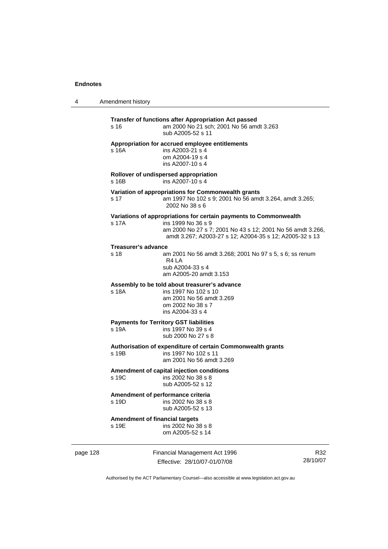4 Amendment history

| s 16                                           | Transfer of functions after Appropriation Act passed<br>am 2000 No 21 sch; 2001 No 56 amdt 3.263<br>sub A2005-52 s 11                                                                                            |
|------------------------------------------------|------------------------------------------------------------------------------------------------------------------------------------------------------------------------------------------------------------------|
| s 16A                                          | Appropriation for accrued employee entitlements<br>ins A2003-21 s 4<br>om A2004-19 s 4<br>ins A2007-10 s 4                                                                                                       |
| s 16B                                          | Rollover of undispersed appropriation<br>ins A2007-10 s 4                                                                                                                                                        |
| s 17                                           | Variation of appropriations for Commonwealth grants<br>am 1997 No 102 s 9; 2001 No 56 amdt 3.264, amdt 3.265;<br>2002 No 38 s 6                                                                                  |
| s 17A                                          | Variations of appropriations for certain payments to Commonwealth<br>ins 1999 No 36 s 9<br>am 2000 No 27 s 7; 2001 No 43 s 12; 2001 No 56 amdt 3.266,<br>amdt 3.267; A2003-27 s 12; A2004-35 s 12; A2005-32 s 13 |
| Treasurer's advance<br>s 18                    | am 2001 No 56 amdt 3.268; 2001 No 97 s 5, s 6; ss renum<br>R4 LA<br>sub A2004-33 s 4<br>am A2005-20 amdt 3.153                                                                                                   |
| s 18A                                          | Assembly to be told about treasurer's advance<br>ins 1997 No 102 s 10<br>am 2001 No 56 amdt 3.269<br>om 2002 No 38 s 7<br>ins A2004-33 s 4                                                                       |
| s 19A                                          | <b>Payments for Territory GST liabilities</b><br>ins 1997 No 39 s 4<br>sub 2000 No 27 s 8                                                                                                                        |
| s 19B                                          | Authorisation of expenditure of certain Commonwealth grants<br>ins 1997 No 102 s 11<br>am 2001 No 56 amdt 3.269                                                                                                  |
| s 19C                                          | Amendment of capital injection conditions<br>ins 2002 No 38 s 8<br>sub A2005-52 s 12                                                                                                                             |
| s 19D                                          | Amendment of performance criteria<br>ins 2002 No 38 s 8<br>sub A2005-52 s 13                                                                                                                                     |
| <b>Amendment of financial targets</b><br>s 19E | ins 2002 No 38 s 8<br>om A2005-52 s 14                                                                                                                                                                           |

page 128 Financial Management Act 1996 Effective: 28/10/07-01/07/08

R32 28/10/07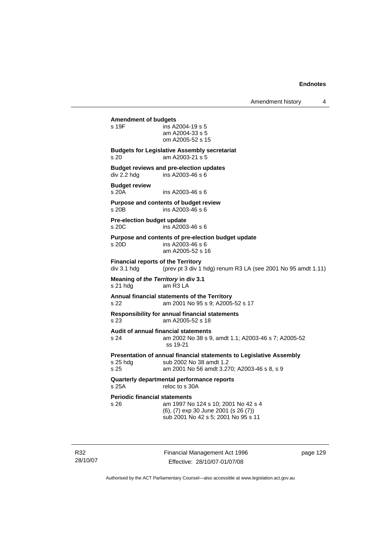#### **Amendment of budgets**

| s 19F | ins A2004-19 s 5 |
|-------|------------------|
|       | am A2004-33 s 5  |
|       | om A2005-52 s 15 |

#### **Budgets for Legislative Assembly secretariat**  s 20 am A2003-21 s 5

**Budget reviews and pre-election updates**  div 2.2 hdg ins A2003-46 s 6

## **Budget review**

s 20A ins A2003-46 s 6

#### **Purpose and contents of budget review**   $ins$  A2003-46 s 6

**Pre-election budget update**  s 20C ins A2003-46 s 6

#### **Purpose and contents of pre-election budget update**

s 20D ins A2003-46 s 6 am A2005-52 s 16

**Financial reports of the Territory**  div 3.1 hdg  $($ prev pt 3 div 1 hdg) renum R3 LA (see 2001 No 95 amdt 1.11)

#### **Meaning of** *the Territory* **in div 3.1**  s 21 hdg am R3 LA

#### **Annual financial statements of the Territory**  s 22 am 2001 No 95 s 9; A2005-52 s 17

**Responsibility for annual financial statements** 

s 23 am A2005-52 s 18

**Audit of annual financial statements** 

#### s 24 am 2002 No 38 s 9, amdt 1.1; A2003-46 s 7; A2005-52 ss 19-21

**Presentation of annual financial statements to Legislative Assembly**  s 25 hdg sub 2002 No 38 amdt 1.2<br>s 25 september 2001 No 56 amdt 3.2

am 2001 No 56 amdt 3.270; A2003-46 s 8, s 9

#### **Quarterly departmental performance reports**  s 25A reloc to s 30A

# **Periodic financial statements**<br>s 26 am 1997 No

| s 26. | am 1997 No 124 s 10; 2001 No 42 s 4  |
|-------|--------------------------------------|
|       | (6), (7) exp 30 June 2001 (s 26 (7)) |
|       | sub 2001 No 42 s 5; 2001 No 95 s 11  |

R32 28/10/07 Financial Management Act 1996 Effective: 28/10/07-01/07/08

page 129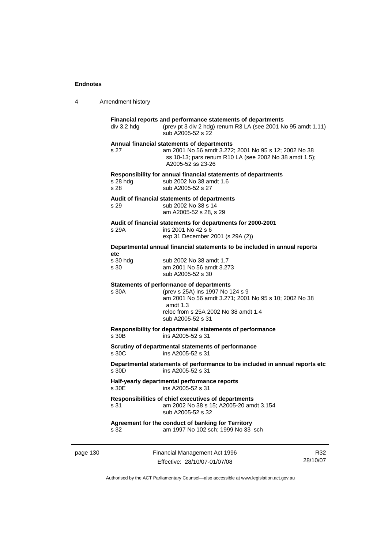4 Amendment history

| div 3.2 hdg      | Financial reports and performance statements of departments<br>(prev pt 3 div 2 hdg) renum R3 LA (see 2001 No 95 amdt 1.11)<br>sub A2005-52 s 22                                                                        |
|------------------|-------------------------------------------------------------------------------------------------------------------------------------------------------------------------------------------------------------------------|
| s 27             | Annual financial statements of departments<br>am 2001 No 56 amdt 3.272; 2001 No 95 s 12; 2002 No 38<br>ss 10-13; pars renum R10 LA (see 2002 No 38 amdt 1.5);<br>A2005-52 ss 23-26                                      |
| s 28 hda<br>s 28 | Responsibility for annual financial statements of departments<br>sub 2002 No 38 amdt 1.6<br>sub A2005-52 s 27                                                                                                           |
| s 29             | Audit of financial statements of departments<br>sub 2002 No 38 s 14<br>am A2005-52 s 28, s 29                                                                                                                           |
|                  | Audit of financial statements for departments for 2000-2001                                                                                                                                                             |
| s 29A            | ins 2001 No 42 s 6<br>exp 31 December 2001 (s 29A (2))                                                                                                                                                                  |
| etc              | Departmental annual financial statements to be included in annual reports                                                                                                                                               |
| s 30 hdg<br>s 30 | sub 2002 No 38 amdt 1.7<br>am 2001 No 56 amdt 3.273<br>sub A2005-52 s 30                                                                                                                                                |
| s 30A            | <b>Statements of performance of departments</b><br>(prev s 25A) ins 1997 No 124 s 9<br>am 2001 No 56 amdt 3.271; 2001 No 95 s 10; 2002 No 38<br>amdt $1.3$<br>reloc from s 25A 2002 No 38 amdt 1.4<br>sub A2005-52 s 31 |
| s 30B            | Responsibility for departmental statements of performance<br>ins A2005-52 s 31                                                                                                                                          |
| s, 30C           | Scrutiny of departmental statements of performance<br>ins A2005-52 s 31                                                                                                                                                 |
| s 30D            | Departmental statements of performance to be included in annual reports etc<br>ins A2005-52 s 31                                                                                                                        |
| s 30E            | Half-yearly departmental performance reports<br>ins A2005-52 s 31                                                                                                                                                       |
| s 31             | Responsibilities of chief executives of departments<br>am 2002 No 38 s 15; A2005-20 amdt 3.154<br>sub A2005-52 s 32                                                                                                     |
| s 32             | Agreement for the conduct of banking for Territory<br>am 1997 No 102 sch; 1999 No 33 sch                                                                                                                                |
|                  |                                                                                                                                                                                                                         |

page 130 Financial Management Act 1996 Effective: 28/10/07-01/07/08

R32 28/10/07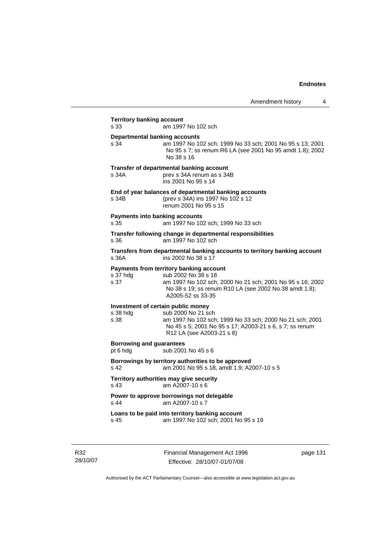| s 33                                        | am 1997 No 102 sch                                                                                                                                                                                           |
|---------------------------------------------|--------------------------------------------------------------------------------------------------------------------------------------------------------------------------------------------------------------|
| s 34                                        | <b>Departmental banking accounts</b><br>am 1997 No 102 sch; 1999 No 33 sch; 2001 No 95 s 13; 2001<br>No 95 s 7; ss renum R6 LA (see 2001 No 95 amdt 1.8); 2002<br>No 38 s 16                                 |
| s 34A                                       | Transfer of departmental banking account<br>prev s 34A renum as s 34B<br>ins 2001 No 95 s 14                                                                                                                 |
| s 34B                                       | End of year balances of departmental banking accounts<br>(prev s 34A) ins 1997 No 102 s 12<br>renum 2001 No 95 s 15                                                                                          |
| s 35                                        | <b>Payments into banking accounts</b><br>am 1997 No 102 sch; 1999 No 33 sch                                                                                                                                  |
| s.36                                        | Transfer following change in departmental responsibilities<br>am 1997 No 102 sch                                                                                                                             |
| s 36A                                       | Transfers from departmental banking accounts to territory banking account<br>ins 2002 No 38 s 17                                                                                                             |
| s 37 hdg<br>s 37                            | Payments from territory banking account<br>sub 2002 No 38 s 18<br>am 1997 No 102 sch; 2000 No 21 sch; 2001 No 95 s 16; 2002<br>No 38 s 19; ss renum R10 LA (see 2002 No 38 amdt 1.8);<br>A2005-52 ss 33-35   |
| s 38 hdg<br>s 38                            | Investment of certain public money<br>sub 2000 No 21 sch<br>am 1997 No 102 sch; 1999 No 33 sch; 2000 No 21 sch; 2001<br>No 45 s 5; 2001 No 95 s 17; A2003-21 s 6, s 7; ss renum<br>R12 LA (see A2003-21 s 8) |
| <b>Borrowing and guarantees</b><br>pt 6 hdg | sub 2001 No 45 s 6                                                                                                                                                                                           |
| s <sub>42</sub>                             | Borrowings by territory authorities to be approved<br>am 2001 No 95 s 18, amdt 1.9; A2007-10 s 5                                                                                                             |
| s 43                                        | Territory authorities may give security<br>am A2007-10 s 6                                                                                                                                                   |
| s 44                                        | Power to approve borrowings not delegable<br>am A2007-10 s 7                                                                                                                                                 |
|                                             |                                                                                                                                                                                                              |

R32 28/10/07 Financial Management Act 1996 Effective: 28/10/07-01/07/08

page 131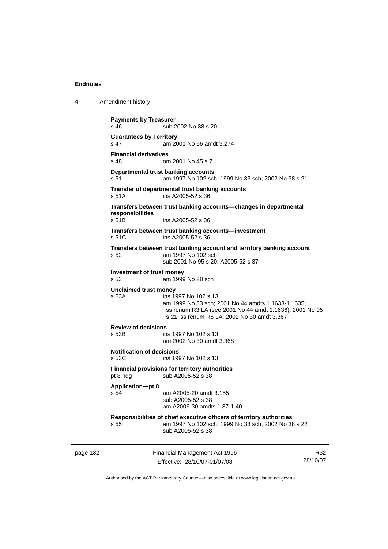4 Amendment history

```
page 132 Financial Management Act 1996 
                          Effective: 28/10/07-01/07/08 
                                                                             R32
                                                                         28/10/07 
           Payments by Treasurer 
           s 46 sub 2002 No 38 s 20
           Guarantees by Territory 
           s 47 am 2001 No 56 amdt 3.274 
           Financial derivatives<br>s 48 on
                            om 2001 No 45 s 7
           Departmental trust banking accounts
           s 51 am 1997 No 102 sch; 1999 No 33 sch; 2002 No 38 s 21 
           Transfer of departmental trust banking accounts 
           s 51A ins A2005-52 s 36 
           Transfers between trust banking accounts—changes in departmental 
           responsibilities 
                            ins A2005-52 s 36
           Transfers between trust banking accounts—investment 
           s 51C ins A2005-52 s 36 
           Transfers between trust banking account and territory banking account 
           s 52 am 1997 No 102 sch 
                             sub 2001 No 95 s 20; A2005-52 s 37 
           Investment of trust money 
           s 53 am 1999 No 28 sch 
           Unclaimed trust money 
           s 53A ins 1997 No 102 s 13 
                             am 1999 No 33 sch; 2001 No 44 amdts 1.1633-1.1635; 
                             ss renum R3 LA (see 2001 No 44 amdt 1.1636); 2001 No 95 
                             s 21; ss renum R6 LA; 2002 No 30 amdt 3.367 
           Review of decisions 
           s 53B ins 1997 No 102 s 13 
                             am 2002 No 30 amdt 3.368 
           Notification of decisions 
           s 53C ins 1997 No 102 s 13 
           Financial provisions for territory authorities 
           pt 8 hdg sub A2005-52 s 38
           Application—pt 8 
           s 54 am A2005-20 amdt 3.155 
                             sub A2005-52 s 38 
                             am A2006-30 amdts 1.37-1.40 
           Responsibilities of chief executive officers of territory authorities 
           s 55 am 1997 No 102 sch; 1999 No 33 sch; 2002 No 38 s 22 
                             sub A2005-52 s 38
```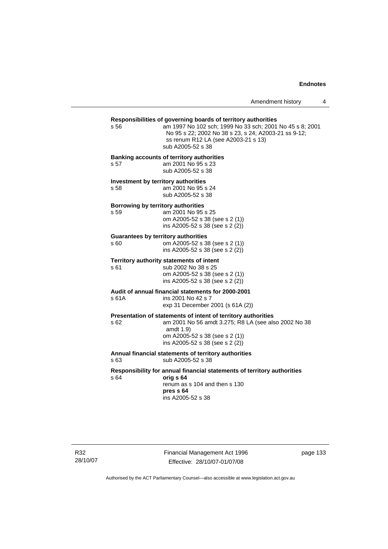Amendment history 4

# **Responsibilities of governing boards of territory authorities**

am 1997 No 102 sch; 1999 No 33 sch; 2001 No 45 s 8; 2001 No 95 s 22; 2002 No 38 s 23, s 24; A2003-21 ss 9-12; ss renum R12 LA (see A2003-21 s 13) sub A2005-52 s 38

#### **Banking accounts of territory authorities**

s 57 am 2001 No 95 s 23 sub A2005-52 s 38

**Investment by territory authorities**  s 58 am 2001 No 95 s 24

sub A2005-52 s 38

#### **Borrowing by territory authorities**

s 59 am 2001 No 95 s 25 om A2005-52 s 38 (see s 2 (1)) ins A2005-52 s 38 (see s 2 (2))

#### **Guarantees by territory authorities**

| s 60 | om A2005-52 s 38 (see s 2 (1))    |
|------|-----------------------------------|
|      | ins A2005-52 s 38 (see s $2(2)$ ) |

# **Territory authority statements of intent**

sub 2002 No 38 s 25 om A2005-52 s 38 (see s 2 (1)) ins A2005-52 s 38 (see s 2 (2))

## **Audit of annual financial statements for 2000-2001**  s 61A ins 2001 No 42 s 7

exp 31 December 2001 (s 61A (2))

#### **Presentation of statements of intent of territory authorities**

s 62 am 2001 No 56 amdt 3.275; R8 LA (see also 2002 No 38 amdt 1.9) om A2005-52 s 38 (see s 2 (1))

ins A2005-52 s 38 (see s 2 (2))

#### **Annual financial statements of territory authorities**  s 63 sub A2005-52 s 38

#### **Responsibility for annual financial statements of territory authorities**  s 64 **orig s 64**

 renum as s 104 and then s 130 **pres s 64**  ins A2005-52 s 38

R32 28/10/07 Financial Management Act 1996 Effective: 28/10/07-01/07/08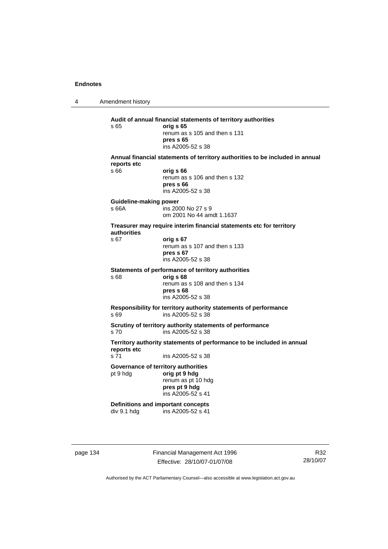4 Amendment history **Audit of annual financial statements of territory authorities**  s 65 **orig s 65**  renum as s 105 and then s 131 **pres s 65**  ins A2005-52 s 38 **Annual financial statements of territory authorities to be included in annual reports etc**  s 66 **orig s 66**  renum as s 106 and then s 132 **pres s 66**  ins A2005-52 s 38 **Guideline-making power**  s 66A ins 2000 No 27 s 9 om 2001 No 44 amdt 1.1637 **Treasurer may require interim financial statements etc for territory authorities** s 67 **orig s 67**  renum as s 107 and then s 133 **pres s 67**  ins A2005-52 s 38 **Statements of performance of territory authorities**  s 68 **orig s 68**  renum as s 108 and then s 134 **pres s 68**  ins A2005-52 s 38 **Responsibility for territory authority statements of performance**  s 69 ins A2005-52 s 38 **Scrutiny of territory authority statements of performance**  s 70 ins A2005-52 s 38 **Territory authority statements of performance to be included in annual reports etc**  s 71 ins A2005-52 s 38 **Governance of territory authorities**  pt 9 hdg **orig pt 9 hdg**  renum as pt 10 hdg **pres pt 9 hdg**  ins A2005-52 s 41 **Definitions and important concepts**  div 9.1 hdg ins A2005-52 s 41

page 134 Financial Management Act 1996 Effective: 28/10/07-01/07/08

R32 28/10/07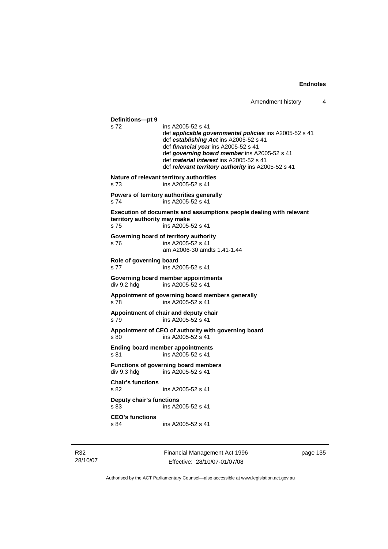```
Definitions—pt 9 
                ins A2005-52 s 41
                 def applicable governmental policies ins A2005-52 s 41 
                 def establishing Act ins A2005-52 s 41 
                 def financial year ins A2005-52 s 41 
                 def governing board member ins A2005-52 s 41 
                 def material interest ins A2005-52 s 41 
                 def relevant territory authority ins A2005-52 s 41 
Nature of relevant territory authorities 
s 73 ins A2005-52 s 41 
Powers of territory authorities generally 
s 74 ins A2005-52 s 41
Execution of documents and assumptions people dealing with relevant 
territory authority may make 
s 75 ins A2005-52 s 41 
Governing board of territory authority 
s 76 ins A2005-52 s 41 
                 am A2006-30 amdts 1.41-1.44 
Role of governing board 
s 77 ins A2005-52 s 41
Governing board member appointments 
div 9.2 hdg ins A2005-52 s 41
Appointment of governing board members generally 
s 78 ins A2005-52 s 41 
Appointment of chair and deputy chair 
s 79 ins A2005-52 s 41 
Appointment of CEO of authority with governing board 
s 80 ins A2005-52 s 41 
Ending board member appointments 
s 81 ins A2005-52 s 41
Functions of governing board members 
div 9.3 hdg ins A2005-52 s 41 
Chair's functions 
s 82 ins A2005-52 s 41 
Deputy chair's functions 
s 83 ins A2005-52 s 41 
CEO's functions 
s 84 ins A2005-52 s 41
```
R32 28/10/07 Financial Management Act 1996 Effective: 28/10/07-01/07/08

page 135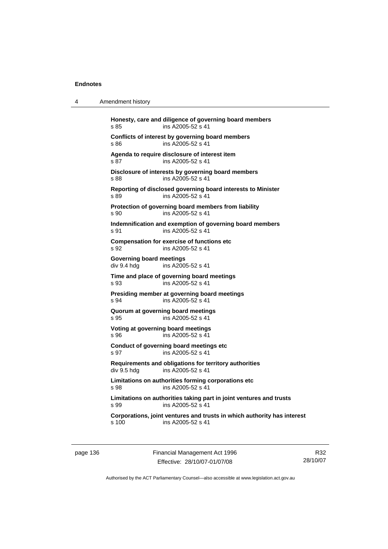4 Amendment history

| s 85                                           | ins A2005-52 s 41                                                                            |
|------------------------------------------------|----------------------------------------------------------------------------------------------|
| s 86                                           | Conflicts of interest by governing board members<br>ins A2005-52 s 41                        |
| s 87                                           | Agenda to require disclosure of interest item<br>ins A2005-52 s 41                           |
| s 88                                           | Disclosure of interests by governing board members<br>ins A2005-52 s 41                      |
| s 89                                           | Reporting of disclosed governing board interests to Minister<br>ins A2005-52 s 41            |
| s 90                                           | Protection of governing board members from liability<br>ins A2005-52 s 41                    |
| s.91                                           | Indemnification and exemption of governing board members<br>ins A2005-52 s 41                |
| s 92                                           | <b>Compensation for exercise of functions etc</b><br>ins A2005-52 s 41                       |
| <b>Governing board meetings</b><br>div 9.4 hdg | ins A2005-52 s 41                                                                            |
| s 93                                           | Time and place of governing board meetings<br>ins A2005-52 s 41                              |
| s 94                                           | Presiding member at governing board meetings<br>ins A2005-52 s 41                            |
| s 95                                           | Quorum at governing board meetings<br>ins A2005-52 s 41                                      |
| S.96                                           | Voting at governing board meetings<br>ins A2005-52 s 41                                      |
| s 97                                           | Conduct of governing board meetings etc<br>ins A2005-52 s 41                                 |
| div 9.5 hda                                    | Requirements and obligations for territory authorities<br>ins A2005-52 s 41                  |
| s 98                                           | Limitations on authorities forming corporations etc<br>ins A2005-52 s 41                     |
| s 99                                           | Limitations on authorities taking part in joint ventures and trusts<br>ins A2005-52 s 41     |
| s, 100                                         | Corporations, joint ventures and trusts in which authority has interest<br>ins A2005-52 s 41 |

page 136 Financial Management Act 1996 Effective: 28/10/07-01/07/08

R32 28/10/07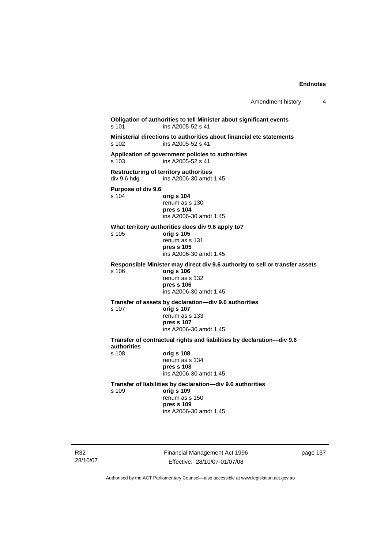| Amendment history |  |
|-------------------|--|
|-------------------|--|

**Obligation of authorities to tell Minister about significant events**  s 101 ins A2005-52 s 41 **Ministerial directions to authorities about financial etc statements**  ins A2005-52 s 41 **Application of government policies to authorities**  s 103 ins A2005-52 s 41 **Restructuring of territory authorities**  div 9.6 hdg ins A2006-30 amdt 1.45 **Purpose of div 9.6**  s 104 **orig s 104** renum as s 130 **pres s 104**  ins A2006-30 amdt 1.45 **What territory authorities does div 9.6 apply to?**  s 105 **orig s 105** renum as s 131 **pres s 105**  ins A2006-30 amdt 1.45 **Responsible Minister may direct div 9.6 authority to sell or transfer assets**  s 106 **orig s 106** renum as s 132 **pres s 106**  ins A2006-30 amdt 1.45 **Transfer of assets by declaration—div 9.6 authorities**  s 107 **orig s 107** renum as s 133 **pres s 107**  ins A2006-30 amdt 1.45 **Transfer of contractual rights and liabilities by declaration—div 9.6 authorities**  s 108 **orig s 108** renum as s 134 **pres s 108**  ins A2006-30 amdt 1.45 **Transfer of liabilities by declaration—div 9.6 authorities**  s 109 **orig s 109** renum as s 150 **pres s 109**  ins A2006-30 amdt 1.45

R32 28/10/07 Financial Management Act 1996 Effective: 28/10/07-01/07/08

page 137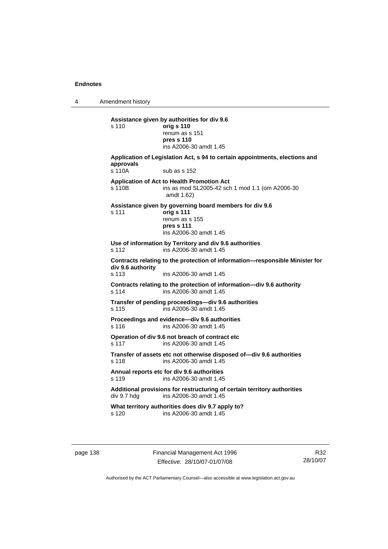4 Amendment history

**Assistance given by authorities for div 9.6**  s 110 **orig s 110** renum as s 151 **pres s 110**  ins A2006-30 amdt 1.45 **Application of Legislation Act, s 94 to certain appointments, elections and approvals**  s 110A sub as s 152 **Application of Act to Health Promotion Act**  s 110B ins as mod SL2005-42 sch 1 mod 1.1 (om A2006-30 amdt 1.62) **Assistance given by governing board members for div 9.6**  s 111 **orig s 111** renum as s 155 **pres s 111**  ins A2006-30 amdt 1.45 **Use of information by Territory and div 9.6 authorities**  s 112 ins A2006-30 amdt 1.45 **Contracts relating to the protection of information—responsible Minister for div 9.6 authority**  s 113 ins A2006-30 amdt 1.45 **Contracts relating to the protection of information—div 9.6 authority**  s 114 ins A2006-30 amdt 1.45 **Transfer of pending proceedings—div 9.6 authorities**  s 115 ins A2006-30 amdt 1.45 **Proceedings and evidence—div 9.6 authorities**  s 116 ins A2006-30 amdt 1.45 **Operation of div 9.6 not breach of contract etc**  s 117 ins A2006-30 amdt 1.45 **Transfer of assets etc not otherwise disposed of—div 9.6 authorities**  s 118 ins A2006-30 amdt 1.45 **Annual reports etc for div 9.6 authorities**  s 119 ins A2006-30 amdt 1.45 Additional provisions for restructuring of certain territory authorities<br>div 9.7 hdg ins A2006-30 amdt 1.45 ins A2006-30 amdt  $1.45$ **What territory authorities does div 9.7 apply to?**  s 120 ins A2006-30 amdt 1.45

page 138 Financial Management Act 1996 Effective: 28/10/07-01/07/08

R32 28/10/07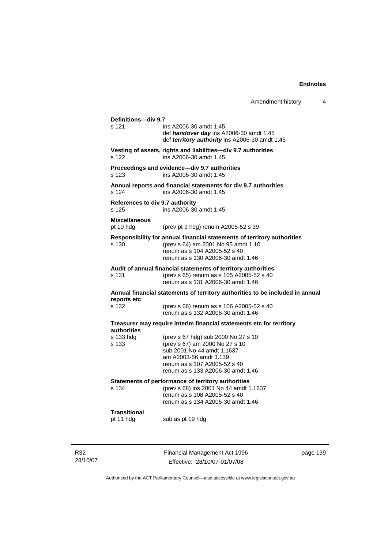|                                                                                                       | Amendment history                                                                                                                                                                                  | 4 |
|-------------------------------------------------------------------------------------------------------|----------------------------------------------------------------------------------------------------------------------------------------------------------------------------------------------------|---|
| Definitions-div 9.7<br>s 121                                                                          | ins A2006-30 amdt 1.45<br>def <i>handover day</i> ins A2006-30 amdt 1.45<br>def territory authority ins A2006-30 amdt 1.45                                                                         |   |
| s 122                                                                                                 | Vesting of assets, rights and liabilities-div 9.7 authorities<br>ins A2006-30 amdt 1.45                                                                                                            |   |
| s 123                                                                                                 | Proceedings and evidence-div 9.7 authorities<br>ins A2006-30 amdt 1.45                                                                                                                             |   |
| s 124                                                                                                 | Annual reports and financial statements for div 9.7 authorities<br>ins A2006-30 amdt 1.45                                                                                                          |   |
| References to div 9.7 authority<br>s 125                                                              | ins A2006-30 amdt 1.45                                                                                                                                                                             |   |
| Miscellaneous<br>pt 10 hdg                                                                            | (prev pt 9 hdg) renum A2005-52 s 39                                                                                                                                                                |   |
| s 130                                                                                                 | Responsibility for annual financial statements of territory authorities<br>(prev s 64) am 2001 No 95 amdt 1.10<br>renum as s 104 A2005-52 s 40<br>renum as s 130 A2006-30 amdt 1.46                |   |
| s 131                                                                                                 | Audit of annual financial statements of territory authorities<br>(prev s 65) renum as s 105 A2005-52 s 40<br>renum as s 131 A2006-30 amdt 1.46                                                     |   |
|                                                                                                       | Annual financial statements of territory authorities to be included in annual                                                                                                                      |   |
| reports etc<br>s 132                                                                                  | (prev s 66) renum as s 106 A2005-52 s 40<br>renum as s 132 A2006-30 amdt 1.46                                                                                                                      |   |
|                                                                                                       | Treasurer may require interim financial statements etc for territory                                                                                                                               |   |
| authorities<br>s 133 hdg<br>s 133                                                                     | (prev s 67 hdg) sub 2000 No 27 s 10<br>(prev s 67) am 2000 No 27 s 10<br>sub 2001 No 44 amdt 1.1637<br>am A2003-56 amdt 3.139<br>renum as s 107 A2005-52 s 40<br>renum as s 133 A2006-30 amdt 1.46 |   |
| Statements of performance of territory authorities<br>(prev s 68) ins 2001 No 44 amdt 1.1637<br>s 134 |                                                                                                                                                                                                    |   |
|                                                                                                       | renum as s 108 A2005-52 s 40<br>renum as s 134 A2006-30 amdt 1.46                                                                                                                                  |   |
| <b>Transitional</b><br>pt 11 hdg                                                                      | sub as pt 19 hdg                                                                                                                                                                                   |   |

R32 28/10/07 Financial Management Act 1996 Effective: 28/10/07-01/07/08

page 139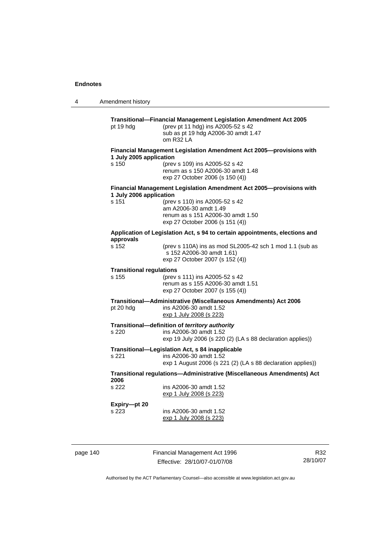4 Amendment history **Transitional—Financial Management Legislation Amendment Act 2005**  pt 19 hdg (prev pt 11 hdg) ins A2005-52 s 42 sub as pt 19 hdg A2006-30 amdt 1.47 om R32 LA **Financial Management Legislation Amendment Act 2005—provisions with 1 July 2005 application**  s 150 (prev s 109) ins A2005-52 s 42 renum as s 150 A2006-30 amdt 1.48 exp 27 October 2006 (s 150 (4)) **Financial Management Legislation Amendment Act 2005—provisions with 1 July 2006 application**  s 151 (prev s 110) ins A2005-52 s 42 am A2006-30 amdt 1.49 renum as s 151 A2006-30 amdt 1.50 exp 27 October 2006 (s 151 (4)) **Application of Legislation Act, s 94 to certain appointments, elections and approvals**  s 152 (prev s 110A) ins as mod SL2005-42 sch 1 mod 1.1 (sub as s 152 A2006-30 amdt 1.61) exp 27 October 2007 (s 152 (4)) **Transitional regulations**  s 155 (prev s 111) ins A2005-52 s 42 renum as s 155 A2006-30 amdt 1.51 exp 27 October 2007 (s 155 (4)) **Transitional—Administrative (Miscellaneous Amendments) Act 2006**  pt 20 hdg ins A2006-30 amdt 1.52 exp 1 July 2008 (s 223) **Transitional—definition of** *territory authority*  s 220 ins A2006-30 amdt 1.52 exp 19 July 2006 (s 220 (2) (LA s 88 declaration applies)) **Transitional—Legislation Act, s 84 inapplicable**  s 221 ins A2006-30 amdt 1.52 exp 1 August 2006 (s 221 (2) (LA s 88 declaration applies)) **Transitional regulations—Administrative (Miscellaneous Amendments) Act 2006**  s 222 ins A2006-30 amdt 1.52 exp 1 July 2008 (s 223) **Expiry—pt 20**  s 223 ins A2006-30 amdt 1.52 exp 1 July 2008 (s 223)

page 140 Financial Management Act 1996 Effective: 28/10/07-01/07/08

R32 28/10/07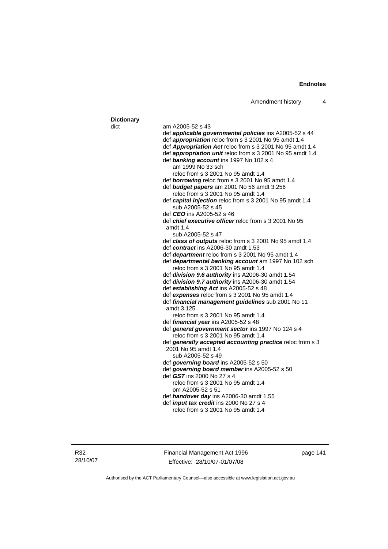| <b>Dictionary</b> |                                                              |
|-------------------|--------------------------------------------------------------|
| dict              | am A2005-52 s 43                                             |
|                   | def applicable governmental policies ins A2005-52 s 44       |
|                   | def appropriation reloc from s 3 2001 No 95 amdt 1.4         |
|                   |                                                              |
|                   | def Appropriation Act reloc from s 3 2001 No 95 amdt 1.4     |
|                   | def appropriation unit reloc from s 3 2001 No 95 amdt 1.4    |
|                   | def banking account ins 1997 No 102 s 4                      |
|                   | am 1999 No 33 sch                                            |
|                   | reloc from s 3 2001 No 95 amdt 1.4                           |
|                   | def borrowing reloc from s 3 2001 No 95 amdt 1.4             |
|                   | def budget papers am 2001 No 56 amdt 3.256                   |
|                   | reloc from s 3 2001 No 95 amdt 1.4                           |
|                   | def capital injection reloc from s 3 2001 No 95 amdt 1.4     |
|                   | sub A2005-52 s 45                                            |
|                   | def CEO ins A2005-52 s 46                                    |
|                   | def <i>chief executive officer</i> reloc from s 3 2001 No 95 |
|                   | amdt $1.4$                                                   |
|                   | sub A2005-52 s 47                                            |
|                   | def class of outputs reloc from s 3 2001 No 95 amdt 1.4      |
|                   | def contract ins A2006-30 amdt 1.53                          |
|                   | def <i>department</i> reloc from s 3 2001 No 95 amdt 1.4     |
|                   | def departmental banking account am 1997 No 102 sch          |
|                   | reloc from s 3 2001 No 95 amdt 1.4                           |
|                   | def division 9.6 authority ins A2006-30 amdt 1.54            |
|                   | def division 9.7 authority ins A2006-30 amdt 1.54            |
|                   | def establishing Act ins A2005-52 s 48                       |
|                   | def expenses reloc from s 3 2001 No 95 amdt 1.4              |
|                   | def financial management guidelines sub 2001 No 11           |
|                   | amdt 3.125                                                   |
|                   | reloc from s 3 2001 No 95 amdt 1.4                           |
|                   | def financial year ins A2005-52 s 48                         |
|                   | def general government sector ins 1997 No 124 s 4            |
|                   | reloc from s 3 2001 No 95 amdt 1.4                           |
|                   | def generally accepted accounting practice reloc from s 3    |
|                   | 2001 No 95 amdt 1.4                                          |
|                   | sub A2005-52 s 49                                            |
|                   | def governing board ins A2005-52 s 50                        |
|                   | def governing board member ins A2005-52 s 50                 |
|                   | def GST ins 2000 No 27 s 4                                   |
|                   | reloc from s 3 2001 No 95 amdt 1.4                           |
|                   | om A2005-52 s 51                                             |
|                   | def handover day ins A2006-30 amdt 1.55                      |
|                   | def <i>input tax credit</i> ins 2000 No 27 s 4               |
|                   | reloc from s 3 2001 No 95 amdt 1.4                           |
|                   |                                                              |
|                   |                                                              |

R32 28/10/07 Financial Management Act 1996 Effective: 28/10/07-01/07/08

page 141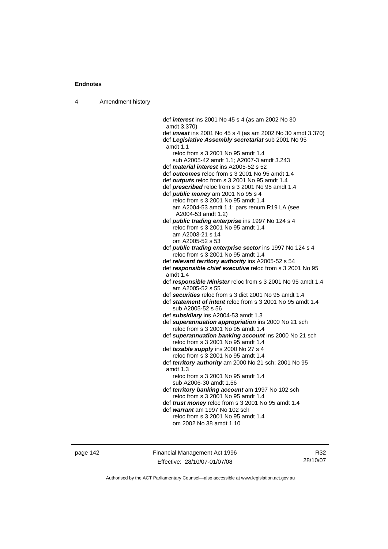| 4 | Amendment history |
|---|-------------------|
|---|-------------------|

 def *interest* ins 2001 No 45 s 4 (as am 2002 No 30 amdt 3.370) def *invest* ins 2001 No 45 s 4 (as am 2002 No 30 amdt 3.370) def *Legislative Assembly secretariat* sub 2001 No 95 amdt 1.1 reloc from s 3 2001 No 95 amdt 1.4 sub A2005-42 amdt 1.1; A2007-3 amdt 3.243 def *material interest* ins A2005-52 s 52 def *outcomes* reloc from s 3 2001 No 95 amdt 1.4 def *outputs* reloc from s 3 2001 No 95 amdt 1.4 def *prescribed* reloc from s 3 2001 No 95 amdt 1.4 def *public money* am 2001 No 95 s 4 reloc from s 3 2001 No 95 amdt 1.4 am A2004-53 amdt 1.1; pars renum R19 LA (see A2004-53 amdt 1.2) def *public trading enterprise* ins 1997 No 124 s 4 reloc from s 3 2001 No 95 amdt 1.4 am A2003-21 s 14 om A2005-52 s 53 def *public trading enterprise sector* ins 1997 No 124 s 4 reloc from s 3 2001 No 95 amdt 1.4 def *relevant territory authority* ins A2005-52 s 54 def *responsible chief executive* reloc from s 3 2001 No 95 amdt 1.4 def *responsible Minister* reloc from s 3 2001 No 95 amdt 1.4 am A2005-52 s 55 def *securities* reloc from s 3 dict 2001 No 95 amdt 1.4 def *statement of intent* reloc from s 3 2001 No 95 amdt 1.4 sub A2005-52 s 56 def *subsidiary* ins A2004-53 amdt 1.3 def *superannuation appropriation* ins 2000 No 21 sch reloc from s 3 2001 No 95 amdt 1.4 def *superannuation banking account* ins 2000 No 21 sch reloc from s 3 2001 No 95 amdt 1.4 def *taxable supply* ins 2000 No 27 s 4 reloc from s 3 2001 No 95 amdt 1.4 def *territory authority* am 2000 No 21 sch; 2001 No 95 amdt 1.3 reloc from s 3 2001 No 95 amdt 1.4 sub A2006-30 amdt 1.56 def *territory banking account* am 1997 No 102 sch reloc from s 3 2001 No 95 amdt 1.4 def *trust money* reloc from s 3 2001 No 95 amdt 1.4 def *warrant* am 1997 No 102 sch reloc from s 3 2001 No 95 amdt 1.4 om 2002 No 38 amdt 1.10

page 142 Financial Management Act 1996 Effective: 28/10/07-01/07/08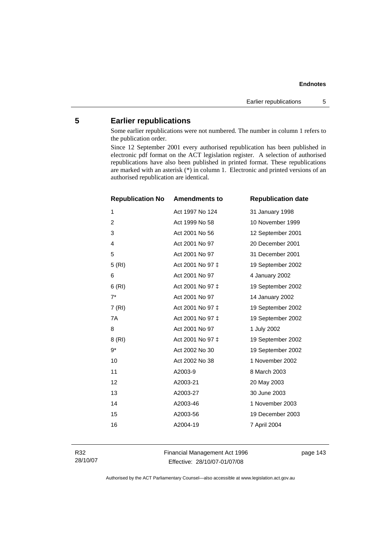# **5 Earlier republications**

Some earlier republications were not numbered. The number in column 1 refers to the publication order.

Since 12 September 2001 every authorised republication has been published in electronic pdf format on the ACT legislation register. A selection of authorised republications have also been published in printed format. These republications are marked with an asterisk (\*) in column 1. Electronic and printed versions of an authorised republication are identical.

| <b>Republication No</b> | <b>Amendments to</b> | <b>Republication date</b> |
|-------------------------|----------------------|---------------------------|
| 1                       | Act 1997 No 124      | 31 January 1998           |
| $\overline{c}$          | Act 1999 No 58       | 10 November 1999          |
| 3                       | Act 2001 No 56       | 12 September 2001         |
| $\overline{4}$          | Act 2001 No 97       | 20 December 2001          |
| 5                       | Act 2001 No 97       | 31 December 2001          |
| 5(RI)                   | Act 2001 No 97 ‡     | 19 September 2002         |
| 6                       | Act 2001 No 97       | 4 January 2002            |
| 6(RI)                   | Act 2001 No 97 ‡     | 19 September 2002         |
| $7^*$                   | Act 2001 No 97       | 14 January 2002           |
| 7(RI)                   | Act 2001 No 97 ‡     | 19 September 2002         |
| 7A                      | Act 2001 No 97 ‡     | 19 September 2002         |
| 8                       | Act 2001 No 97       | 1 July 2002               |
| 8 (RI)                  | Act 2001 No 97 ‡     | 19 September 2002         |
| $9^*$                   | Act 2002 No 30       | 19 September 2002         |
| 10                      | Act 2002 No 38       | 1 November 2002           |
| 11                      | A2003-9              | 8 March 2003              |
| 12                      | A2003-21             | 20 May 2003               |
| 13                      | A2003-27             | 30 June 2003              |
| 14                      | A2003-46             | 1 November 2003           |
| 15                      | A2003-56             | 19 December 2003          |
| 16                      | A2004-19             | 7 April 2004              |

R32 28/10/07 Financial Management Act 1996 Effective: 28/10/07-01/07/08

page 143